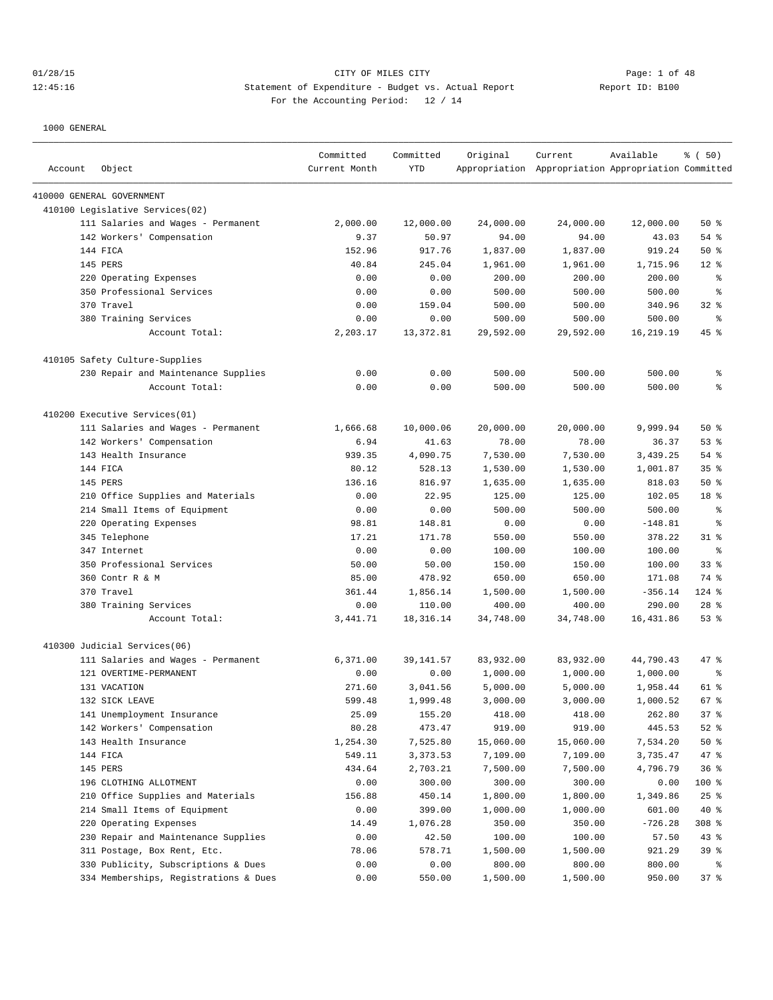# 01/28/15 Page: 1 of 48 12:45:16 Statement of Expenditure - Budget vs. Actual Report 11: Report ID: B100 For the Accounting Period: 12 / 14

| Account | Object                                | Committed<br>Current Month | Committed<br><b>YTD</b> | Original  | Current<br>Appropriation Appropriation Appropriation Committed | Available | % (50)          |
|---------|---------------------------------------|----------------------------|-------------------------|-----------|----------------------------------------------------------------|-----------|-----------------|
|         | 410000 GENERAL GOVERNMENT             |                            |                         |           |                                                                |           |                 |
|         | 410100 Legislative Services(02)       |                            |                         |           |                                                                |           |                 |
|         | 111 Salaries and Wages - Permanent    | 2,000.00                   | 12,000.00               | 24,000.00 | 24,000.00                                                      | 12,000.00 | 50%             |
|         | 142 Workers' Compensation             | 9.37                       | 50.97                   | 94.00     | 94.00                                                          | 43.03     | $54$ %          |
|         | 144 FICA                              | 152.96                     | 917.76                  | 1,837.00  | 1,837.00                                                       | 919.24    | 50%             |
|         | 145 PERS                              | 40.84                      | 245.04                  | 1,961.00  | 1,961.00                                                       | 1,715.96  | $12*$           |
|         | 220 Operating Expenses                | 0.00                       | 0.00                    | 200.00    | 200.00                                                         | 200.00    | နွ              |
|         | 350 Professional Services             | 0.00                       | 0.00                    | 500.00    | 500.00                                                         | 500.00    | ి               |
|         | 370 Travel                            | 0.00                       | 159.04                  | 500.00    | 500.00                                                         | 340.96    | $32$ $%$        |
|         | 380 Training Services                 | 0.00                       | 0.00                    | 500.00    | 500.00                                                         | 500.00    | နွ              |
|         | Account Total:                        | 2,203.17                   | 13, 372.81              | 29,592.00 | 29,592.00                                                      | 16,219.19 | 45 %            |
|         | 410105 Safety Culture-Supplies        |                            |                         |           |                                                                |           |                 |
|         | 230 Repair and Maintenance Supplies   | 0.00                       | 0.00                    | 500.00    | 500.00                                                         | 500.00    | ್ಠಿ             |
|         | Account Total:                        | 0.00                       | 0.00                    | 500.00    | 500.00                                                         | 500.00    | နွ              |
|         | 410200 Executive Services(01)         |                            |                         |           |                                                                |           |                 |
|         | 111 Salaries and Wages - Permanent    | 1,666.68                   | 10,000.06               | 20,000.00 | 20,000.00                                                      | 9,999.94  | 50%             |
|         | 142 Workers' Compensation             | 6.94                       | 41.63                   | 78.00     | 78.00                                                          | 36.37     | 53%             |
|         | 143 Health Insurance                  | 939.35                     | 4,090.75                | 7,530.00  | 7,530.00                                                       | 3,439.25  | 54 %            |
|         | 144 FICA                              | 80.12                      | 528.13                  | 1,530.00  | 1,530.00                                                       | 1,001.87  | 35 <sup>8</sup> |
|         | 145 PERS                              | 136.16                     | 816.97                  | 1,635.00  | 1,635.00                                                       | 818.03    | 50%             |
|         | 210 Office Supplies and Materials     | 0.00                       | 22.95                   | 125.00    | 125.00                                                         | 102.05    | 18 %            |
|         | 214 Small Items of Equipment          | 0.00                       | 0.00                    | 500.00    | 500.00                                                         | 500.00    | နွ              |
|         | Operating Expenses<br>220             | 98.81                      | 148.81                  | 0.00      | 0.00                                                           | $-148.81$ | နွ              |
|         | 345 Telephone                         | 17.21                      | 171.78                  | 550.00    | 550.00                                                         | 378.22    | $31$ %          |
|         | 347 Internet                          | 0.00                       | 0.00                    | 100.00    | 100.00                                                         | 100.00    | $\epsilon$      |
|         | 350 Professional Services             | 50.00                      | 50.00                   | 150.00    | 150.00                                                         | 100.00    | 33%             |
|         | 360 Contr R & M                       | 85.00                      | 478.92                  | 650.00    | 650.00                                                         | 171.08    | 74 %            |
|         | 370 Travel                            | 361.44                     | 1,856.14                | 1,500.00  | 1,500.00                                                       | $-356.14$ | $124$ %         |
|         | 380 Training Services                 | 0.00                       | 110.00                  | 400.00    | 400.00                                                         | 290.00    | $28$ %          |
|         | Account Total:                        | 3,441.71                   | 18, 316. 14             | 34,748.00 | 34,748.00                                                      | 16,431.86 | 53%             |
|         | 410300 Judicial Services(06)          |                            |                         |           |                                                                |           |                 |
|         | 111 Salaries and Wages - Permanent    | 6,371.00                   | 39,141.57               | 83,932.00 | 83,932.00                                                      | 44,790.43 | 47 %            |
|         | 121 OVERTIME-PERMANENT                | 0.00                       | 0.00                    | 1,000.00  | 1,000.00                                                       | 1,000.00  | ႜ               |
|         | 131 VACATION                          | 271.60                     | 3,041.56                | 5,000.00  | 5,000.00                                                       | 1,958.44  | 61 %            |
|         | 132 SICK LEAVE                        | 599.48                     | 1,999.48                | 3,000.00  | 3,000.00                                                       | 1,000.52  | 67 %            |
|         | 141 Unemployment Insurance            | 25.09                      | 155.20                  | 418.00    | 418.00                                                         | 262.80    | 37%             |
|         | 142 Workers' Compensation             | 80.28                      | 473.47                  | 919.00    | 919.00                                                         | 445.53    | $52$ %          |
|         | 143 Health Insurance                  | 1,254.30                   | 7,525.80                | 15,060.00 | 15,060.00                                                      | 7,534.20  | 50%             |
|         | 144 FICA                              | 549.11                     | 3,373.53                | 7,109.00  | 7,109.00                                                       | 3,735.47  | 47 %            |
|         | 145 PERS                              | 434.64                     | 2,703.21                | 7,500.00  | 7,500.00                                                       | 4,796.79  | 36%             |
|         | 196 CLOTHING ALLOTMENT                | 0.00                       | 300.00                  | 300.00    | 300.00                                                         | 0.00      | 100 %           |
|         | Office Supplies and Materials<br>210  | 156.88                     | 450.14                  | 1,800.00  | 1,800.00                                                       | 1,349.86  | 25%             |
|         | 214 Small Items of Equipment          | 0.00                       | 399.00                  | 1,000.00  | 1,000.00                                                       | 601.00    | 40 %            |
|         | 220 Operating Expenses                | 14.49                      | 1,076.28                | 350.00    | 350.00                                                         | $-726.28$ | 308 %           |
|         | 230 Repair and Maintenance Supplies   | 0.00                       | 42.50                   | 100.00    | 100.00                                                         | 57.50     | 43 %            |
|         | 311 Postage, Box Rent, Etc.           | 78.06                      | 578.71                  | 1,500.00  | 1,500.00                                                       | 921.29    | 39%             |
|         | 330 Publicity, Subscriptions & Dues   | 0.00                       | 0.00                    | 800.00    | 800.00                                                         | 800.00    | ႜွ              |
|         | 334 Memberships, Registrations & Dues | 0.00                       | 550.00                  | 1,500.00  | 1,500.00                                                       | 950.00    | 37%             |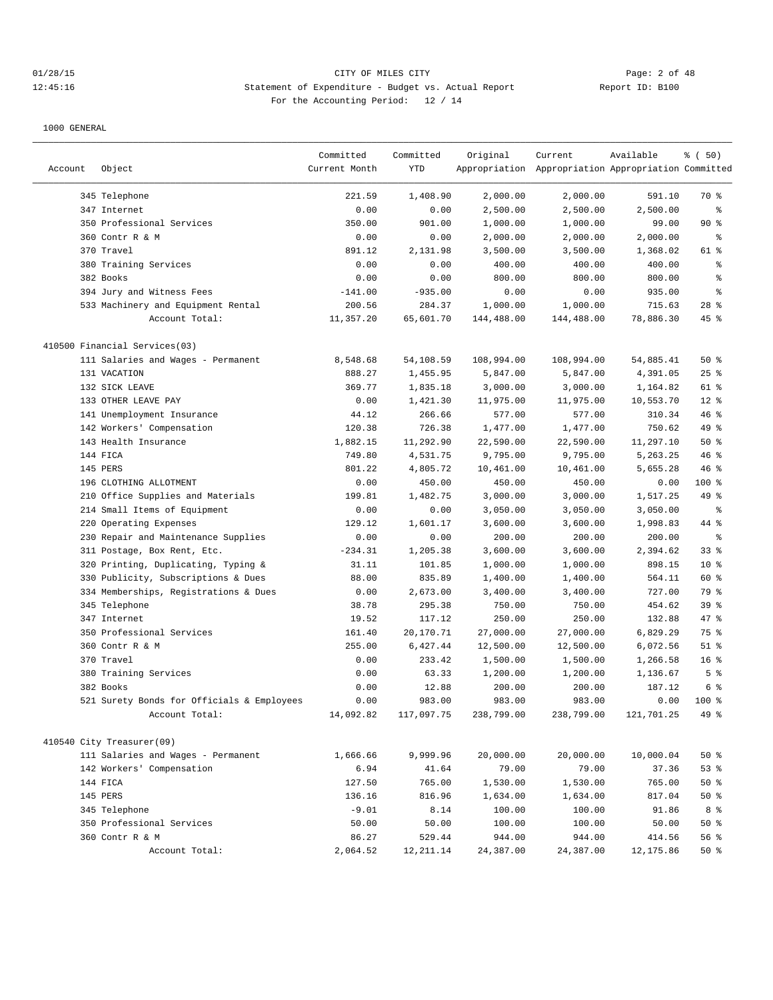# 01/28/15 CITY OF MILES CITY Page: 2 of 48 12:45:16 Statement of Expenditure - Budget vs. Actual Report Changery Report ID: B100 For the Accounting Period: 12 / 14

| Account | Object                                     | Committed<br>Current Month | Committed<br>YTD | Original   | Current<br>Appropriation Appropriation Appropriation Committed | Available  | % ( 50)         |
|---------|--------------------------------------------|----------------------------|------------------|------------|----------------------------------------------------------------|------------|-----------------|
|         | 345 Telephone                              | 221.59                     | 1,408.90         | 2,000.00   | 2,000.00                                                       | 591.10     | 70 %            |
|         | 347 Internet                               | 0.00                       | 0.00             | 2,500.00   | 2,500.00                                                       | 2,500.00   | ి               |
|         | 350 Professional Services                  | 350.00                     | 901.00           | 1,000.00   | 1,000.00                                                       | 99.00      | $90*$           |
|         | 360 Contr R & M                            | 0.00                       | 0.00             | 2,000.00   | 2,000.00                                                       | 2,000.00   | နွ              |
|         | 370 Travel                                 | 891.12                     | 2,131.98         | 3,500.00   | 3,500.00                                                       | 1,368.02   | 61 %            |
|         | 380 Training Services                      | 0.00                       | 0.00             | 400.00     | 400.00                                                         | 400.00     | ి               |
|         | 382 Books                                  | 0.00                       | 0.00             | 800.00     | 800.00                                                         | 800.00     | ి               |
|         | 394 Jury and Witness Fees                  | $-141.00$                  | $-935.00$        | 0.00       | 0.00                                                           | 935.00     | ి               |
|         | 533 Machinery and Equipment Rental         | 200.56                     | 284.37           | 1,000.00   | 1,000.00                                                       | 715.63     | $28$ %          |
|         | Account Total:                             | 11,357.20                  | 65,601.70        | 144,488.00 | 144,488.00                                                     | 78,886.30  | $45$ %          |
|         | 410500 Financial Services(03)              |                            |                  |            |                                                                |            |                 |
|         | 111 Salaries and Wages - Permanent         | 8,548.68                   | 54,108.59        | 108,994.00 | 108,994.00                                                     | 54,885.41  | 50%             |
|         | 131 VACATION                               | 888.27                     | 1,455.95         | 5,847.00   | 5,847.00                                                       | 4,391.05   | 25%             |
|         | 132 SICK LEAVE                             | 369.77                     | 1,835.18         | 3,000.00   | 3,000.00                                                       | 1,164.82   | 61 %            |
|         | 133 OTHER LEAVE PAY                        | 0.00                       | 1,421.30         | 11,975.00  | 11,975.00                                                      | 10,553.70  | $12*$           |
|         | 141 Unemployment Insurance                 | 44.12                      | 266.66           | 577.00     | 577.00                                                         | 310.34     | 46 %            |
|         | 142 Workers' Compensation                  | 120.38                     | 726.38           | 1,477.00   | 1,477.00                                                       | 750.62     | 49 %            |
|         | 143 Health Insurance                       | 1,882.15                   | 11,292.90        | 22,590.00  | 22,590.00                                                      | 11,297.10  | 50%             |
|         | 144 FICA                                   | 749.80                     | 4,531.75         | 9,795.00   | 9,795.00                                                       | 5,263.25   | 46%             |
|         | 145 PERS                                   | 801.22                     | 4,805.72         | 10,461.00  | 10,461.00                                                      | 5,655.28   | 46%             |
|         | 196 CLOTHING ALLOTMENT                     | 0.00                       | 450.00           | 450.00     | 450.00                                                         | 0.00       | 100 %           |
|         | 210 Office Supplies and Materials          | 199.81                     | 1,482.75         | 3,000.00   | 3,000.00                                                       | 1,517.25   | 49 %            |
|         | 214 Small Items of Equipment               | 0.00                       | 0.00             | 3,050.00   | 3,050.00                                                       | 3,050.00   | နွ              |
|         | 220 Operating Expenses                     | 129.12                     | 1,601.17         | 3,600.00   | 3,600.00                                                       | 1,998.83   | 44 %            |
|         | 230 Repair and Maintenance Supplies        | 0.00                       | 0.00             | 200.00     | 200.00                                                         | 200.00     | နွ              |
|         | 311 Postage, Box Rent, Etc.                | $-234.31$                  | 1,205.38         | 3,600.00   | 3,600.00                                                       | 2,394.62   | 33%             |
|         | 320 Printing, Duplicating, Typing &        | 31.11                      | 101.85           | 1,000.00   | 1,000.00                                                       | 898.15     | $10*$           |
|         | 330 Publicity, Subscriptions & Dues        | 88.00                      | 835.89           | 1,400.00   | 1,400.00                                                       | 564.11     | 60 %            |
|         | 334 Memberships, Registrations & Dues      | 0.00                       | 2,673.00         | 3,400.00   | 3,400.00                                                       | 727.00     | 79 %            |
|         | 345 Telephone                              | 38.78                      | 295.38           | 750.00     | 750.00                                                         | 454.62     | 39%             |
|         | 347 Internet                               | 19.52                      | 117.12           | 250.00     | 250.00                                                         | 132.88     | 47 %            |
|         | 350 Professional Services                  | 161.40                     | 20,170.71        | 27,000.00  | 27,000.00                                                      | 6,829.29   | 75 %            |
|         | 360 Contr R & M                            | 255.00                     | 6,427.44         | 12,500.00  | 12,500.00                                                      | 6,072.56   | $51$ %          |
|         | 370 Travel                                 | 0.00                       | 233.42           | 1,500.00   | 1,500.00                                                       | 1,266.58   | 16 <sup>8</sup> |
|         | 380 Training Services                      | 0.00                       | 63.33            | 1,200.00   | 1,200.00                                                       | 1,136.67   | 5 <sup>°</sup>  |
|         | 382 Books                                  | 0.00                       | 12.88            | 200.00     | 200.00                                                         | 187.12     | 6 %             |
|         | 521 Surety Bonds for Officials & Employees | 0.00                       | 983.00           | 983.00     | 983.00                                                         | 0.00       | $100*$          |
|         | Account Total:                             | 14,092.82                  | 117,097.75       | 238,799.00 | 238,799.00                                                     | 121,701.25 | 49 %            |
|         | 410540 City Treasurer(09)                  |                            |                  |            |                                                                |            |                 |
|         | 111 Salaries and Wages - Permanent         | 1,666.66                   | 9,999.96         | 20,000.00  | 20,000.00                                                      | 10,000.04  | $50*$           |
|         | 142 Workers' Compensation                  | 6.94                       | 41.64            | 79.00      | 79.00                                                          | 37.36      | $53$ %          |
|         | 144 FICA                                   | 127.50                     | 765.00           | 1,530.00   | 1,530.00                                                       | 765.00     | $50*$           |
|         | 145 PERS                                   | 136.16                     | 816.96           | 1,634.00   | 1,634.00                                                       | 817.04     | $50*$           |
|         | 345 Telephone                              | $-9.01$                    | 8.14             | 100.00     | 100.00                                                         | 91.86      | 8 %             |
|         | 350 Professional Services                  | 50.00                      | 50.00            | 100.00     | 100.00                                                         | 50.00      | $50*$           |
|         | 360 Contr R & M                            | 86.27                      | 529.44           | 944.00     | 944.00                                                         | 414.56     | 56%             |
|         | Account Total:                             | 2,064.52                   | 12, 211.14       | 24,387.00  | 24,387.00                                                      | 12,175.86  | $50*$           |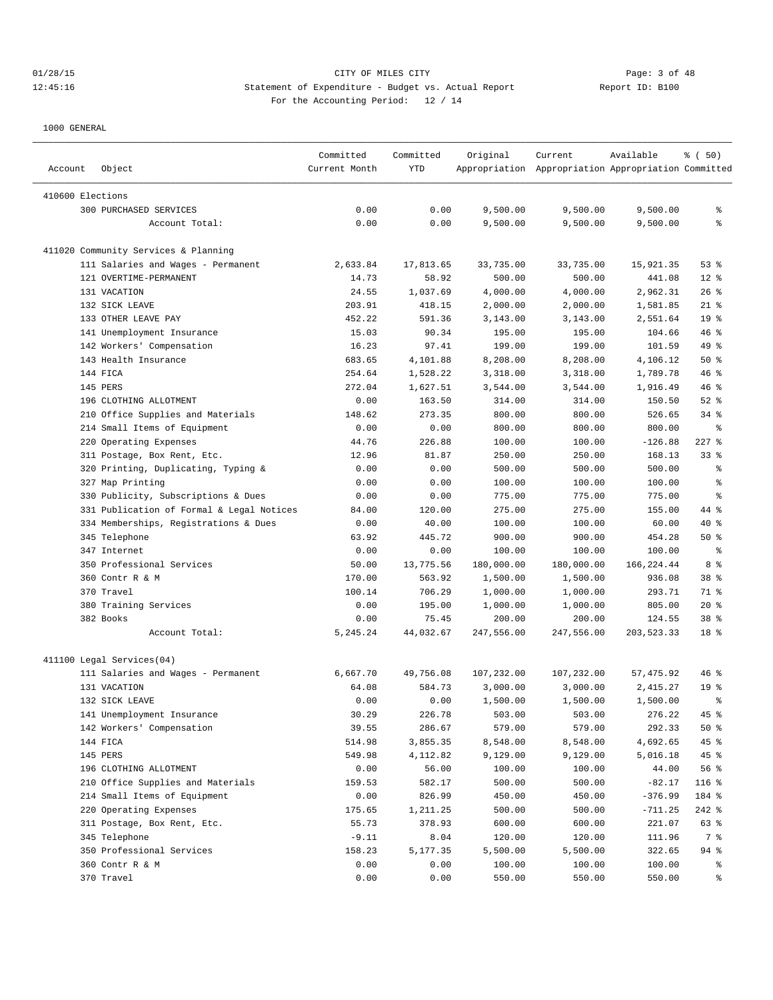| Account          | Object                                    | Committed<br>Current Month | Committed<br><b>YTD</b> | Original   | Current<br>Appropriation Appropriation Appropriation Committed | Available  | % (50)          |
|------------------|-------------------------------------------|----------------------------|-------------------------|------------|----------------------------------------------------------------|------------|-----------------|
|                  |                                           |                            |                         |            |                                                                |            |                 |
| 410600 Elections |                                           |                            |                         |            |                                                                |            |                 |
|                  | 300 PURCHASED SERVICES                    | 0.00                       | 0.00                    | 9,500.00   | 9,500.00                                                       | 9,500.00   | ి               |
|                  | Account Total:                            | 0.00                       | 0.00                    | 9,500.00   | 9,500.00                                                       | 9,500.00   | ి               |
|                  | 411020 Community Services & Planning      |                            |                         |            |                                                                |            |                 |
|                  | 111 Salaries and Wages - Permanent        | 2,633.84                   | 17,813.65               | 33,735.00  | 33,735.00                                                      | 15,921.35  | 53%             |
|                  | 121 OVERTIME-PERMANENT                    | 14.73                      | 58.92                   | 500.00     | 500.00                                                         | 441.08     | $12*$           |
|                  | 131 VACATION                              | 24.55                      | 1,037.69                | 4,000.00   | 4,000.00                                                       | 2,962.31   | $26$ %          |
|                  | 132 SICK LEAVE                            | 203.91                     | 418.15                  | 2,000.00   | 2,000.00                                                       | 1,581.85   | $21$ %          |
|                  | 133 OTHER LEAVE PAY                       | 452.22                     | 591.36                  | 3,143.00   | 3,143.00                                                       | 2,551.64   | 19 <sup>°</sup> |
|                  | 141 Unemployment Insurance                | 15.03                      | 90.34                   | 195.00     | 195.00                                                         | 104.66     | 46 %            |
|                  | 142 Workers' Compensation                 | 16.23                      | 97.41                   | 199.00     | 199.00                                                         | 101.59     | 49 %            |
|                  | 143 Health Insurance                      | 683.65                     | 4,101.88                | 8,208.00   | 8,208.00                                                       | 4,106.12   | 50%             |
|                  | 144 FICA                                  | 254.64                     | 1,528.22                | 3,318.00   | 3,318.00                                                       | 1,789.78   | 46 %            |
|                  | 145 PERS                                  | 272.04                     | 1,627.51                | 3,544.00   | 3,544.00                                                       | 1,916.49   | 46 %            |
|                  | 196 CLOTHING ALLOTMENT                    | 0.00                       | 163.50                  | 314.00     | 314.00                                                         | 150.50     | $52$ $%$        |
|                  | 210 Office Supplies and Materials         | 148.62                     | 273.35                  | 800.00     | 800.00                                                         | 526.65     | $34$ $%$        |
|                  | 214 Small Items of Equipment              | 0.00                       | 0.00                    | 800.00     | 800.00                                                         | 800.00     | ႜ               |
|                  | 220 Operating Expenses                    | 44.76                      | 226.88                  | 100.00     | 100.00                                                         | $-126.88$  | $227$ %         |
|                  | 311 Postage, Box Rent, Etc.               | 12.96                      | 81.87                   | 250.00     | 250.00                                                         | 168.13     | $33$ $%$        |
|                  | 320 Printing, Duplicating, Typing &       | 0.00                       | 0.00                    | 500.00     | 500.00                                                         | 500.00     | ి               |
|                  | 327 Map Printing                          | 0.00                       | 0.00                    | 100.00     | 100.00                                                         | 100.00     | နွ              |
|                  | 330 Publicity, Subscriptions & Dues       | 0.00                       | 0.00                    | 775.00     | 775.00                                                         | 775.00     | နွ              |
|                  | 331 Publication of Formal & Legal Notices | 84.00                      | 120.00                  | 275.00     | 275.00                                                         | 155.00     | 44 %            |
|                  | 334 Memberships, Registrations & Dues     | 0.00                       | 40.00                   | 100.00     | 100.00                                                         | 60.00      | 40 %            |
|                  | 345 Telephone                             | 63.92                      | 445.72                  | 900.00     | 900.00                                                         | 454.28     | 50%             |
|                  | 347 Internet                              | 0.00                       | 0.00                    | 100.00     | 100.00                                                         | 100.00     | $\epsilon$      |
|                  | 350 Professional Services                 | 50.00                      | 13,775.56               | 180,000.00 | 180,000.00                                                     | 166,224.44 | 8 %             |
|                  | 360 Contr R & M                           | 170.00                     | 563.92                  | 1,500.00   | 1,500.00                                                       | 936.08     | 38 <sup>8</sup> |
|                  | 370 Travel                                | 100.14                     | 706.29                  | 1,000.00   | 1,000.00                                                       | 293.71     | 71 %            |
|                  | 380 Training Services                     | 0.00                       | 195.00                  | 1,000.00   | 1,000.00                                                       | 805.00     | $20*$           |
|                  | 382 Books                                 | 0.00                       | 75.45                   | 200.00     | 200.00                                                         | 124.55     | 38 %            |
|                  | Account Total:                            | 5, 245. 24                 | 44,032.67               | 247,556.00 | 247,556.00                                                     | 203,523.33 | 18 %            |
|                  | 411100 Legal Services(04)                 |                            |                         |            |                                                                |            |                 |
|                  | 111 Salaries and Wages - Permanent        | 6,667.70                   | 49,756.08               | 107,232.00 | 107,232.00                                                     | 57,475.92  | 46 %            |
|                  | 131 VACATION                              | 64.08                      | 584.73                  | 3,000.00   | 3,000.00                                                       | 2,415.27   | 19 <sup>°</sup> |
|                  | 132 SICK LEAVE                            | 0.00                       | 0.00                    | 1,500.00   | 1,500.00                                                       | 1,500.00   | ి               |
|                  | 141 Unemployment Insurance                | 30.29                      | 226.78                  | 503.00     | 503.00                                                         | 276.22     | 45 %            |
|                  | 142 Workers' Compensation                 | 39.55                      | 286.67                  | 579.00     | 579.00                                                         | 292.33     | 50 %            |
|                  | 144 FICA                                  | 514.98                     | 3,855.35                | 8,548.00   | 8,548.00                                                       | 4,692.65   | 45 %            |
|                  | 145 PERS                                  | 549.98                     | 4,112.82                | 9,129.00   | 9,129.00                                                       | 5,016.18   | 45 %            |
|                  | 196 CLOTHING ALLOTMENT                    | 0.00                       | 56.00                   | 100.00     | 100.00                                                         | 44.00      | 56 %            |
|                  | 210 Office Supplies and Materials         | 159.53                     | 582.17                  | 500.00     | 500.00                                                         | $-82.17$   | 116 %           |
|                  | 214 Small Items of Equipment              | 0.00                       | 826.99                  | 450.00     | 450.00                                                         | $-376.99$  | 184 %           |
|                  | 220 Operating Expenses                    | 175.65                     | 1,211.25                | 500.00     | 500.00                                                         | $-711.25$  | $242$ %         |
|                  | 311 Postage, Box Rent, Etc.               | 55.73                      | 378.93                  | 600.00     | 600.00                                                         | 221.07     | 63 %            |
|                  | 345 Telephone                             | $-9.11$                    | 8.04                    | 120.00     | 120.00                                                         | 111.96     | 7 %             |
|                  | 350 Professional Services                 | 158.23                     | 5,177.35                | 5,500.00   | 5,500.00                                                       | 322.65     | 94 %            |
|                  | 360 Contr R & M                           | 0.00                       | 0.00                    | 100.00     | 100.00                                                         | 100.00     | ွေ              |
|                  | 370 Travel                                | 0.00                       | 0.00                    | 550.00     | 550.00                                                         | 550.00     | ွေ              |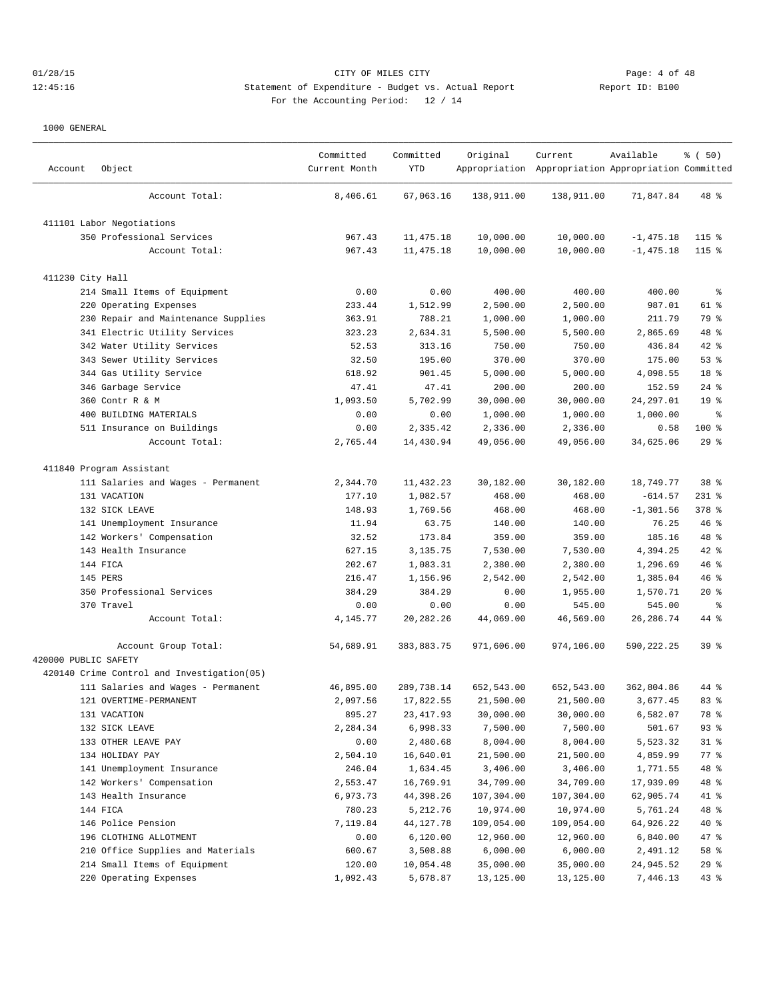## 01/28/15 CITY OF MILES CITY Page: 4 of 48 12:45:16 Statement of Expenditure - Budget vs. Actual Report Changer Report ID: B100 For the Accounting Period: 12 / 14

| Account              | Object                                     | Committed<br>Current Month | Committed<br>YTD | Original   | Current<br>Appropriation Appropriation Appropriation Committed | Available    | % (50)          |
|----------------------|--------------------------------------------|----------------------------|------------------|------------|----------------------------------------------------------------|--------------|-----------------|
|                      | Account Total:                             | 8,406.61                   | 67,063.16        | 138,911.00 | 138,911.00                                                     | 71,847.84    | 48 %            |
|                      | 411101 Labor Negotiations                  |                            |                  |            |                                                                |              |                 |
|                      | 350 Professional Services                  | 967.43                     | 11, 475.18       | 10,000.00  | 10,000.00                                                      | $-1, 475.18$ | $115$ %         |
|                      | Account Total:                             | 967.43                     | 11, 475.18       | 10,000.00  | 10,000.00                                                      | $-1, 475.18$ | $115$ %         |
| 411230 City Hall     |                                            |                            |                  |            |                                                                |              |                 |
|                      | 214 Small Items of Equipment               | 0.00                       | 0.00             | 400.00     | 400.00                                                         | 400.00       | ႜ               |
|                      | 220 Operating Expenses                     | 233.44                     | 1,512.99         | 2,500.00   | 2,500.00                                                       | 987.01       | 61 %            |
|                      | 230 Repair and Maintenance Supplies        | 363.91                     | 788.21           | 1,000.00   | 1,000.00                                                       | 211.79       | 79 %            |
|                      | 341 Electric Utility Services              | 323.23                     | 2,634.31         | 5,500.00   | 5,500.00                                                       | 2,865.69     | 48 %            |
|                      | 342 Water Utility Services                 | 52.53                      | 313.16           | 750.00     | 750.00                                                         | 436.84       | $42$ %          |
|                      | 343 Sewer Utility Services                 | 32.50                      | 195.00           | 370.00     | 370.00                                                         | 175.00       | 53%             |
|                      | 344 Gas Utility Service                    | 618.92                     | 901.45           | 5,000.00   | 5,000.00                                                       | 4,098.55     | 18 %            |
|                      | 346 Garbage Service                        | 47.41                      | 47.41            | 200.00     | 200.00                                                         | 152.59       | $24$ %          |
|                      | 360 Contr R & M                            | 1,093.50                   | 5,702.99         | 30,000.00  | 30,000.00                                                      | 24, 297.01   | 19 <sup>°</sup> |
|                      | 400 BUILDING MATERIALS                     | 0.00                       | 0.00             | 1,000.00   | 1,000.00                                                       | 1,000.00     | နွ              |
|                      | 511 Insurance on Buildings                 | 0.00                       | 2,335.42         | 2,336.00   | 2,336.00                                                       | 0.58         | $100$ %         |
|                      | Account Total:                             | 2,765.44                   | 14,430.94        | 49,056.00  | 49,056.00                                                      | 34,625.06    | $29$ %          |
|                      | 411840 Program Assistant                   |                            |                  |            |                                                                |              |                 |
|                      | 111 Salaries and Wages - Permanent         | 2,344.70                   | 11, 432.23       | 30,182.00  | 30,182.00                                                      | 18,749.77    | 38 <sup>8</sup> |
|                      | 131 VACATION                               | 177.10                     | 1,082.57         | 468.00     | 468.00                                                         | $-614.57$    | $231$ %         |
|                      | 132 SICK LEAVE                             | 148.93                     | 1,769.56         | 468.00     | 468.00                                                         | $-1, 301.56$ | 378 %           |
|                      | 141 Unemployment Insurance                 | 11.94                      | 63.75            | 140.00     | 140.00                                                         | 76.25        | $46$ %          |
|                      | 142 Workers' Compensation                  | 32.52                      | 173.84           | 359.00     | 359.00                                                         | 185.16       | 48 %            |
|                      | 143 Health Insurance                       | 627.15                     | 3,135.75         | 7,530.00   | 7,530.00                                                       | 4,394.25     | 42 %            |
|                      | 144 FICA                                   | 202.67                     | 1,083.31         | 2,380.00   | 2,380.00                                                       | 1,296.69     | 46%             |
|                      | 145 PERS                                   | 216.47                     | 1,156.96         | 2,542.00   | 2,542.00                                                       | 1,385.04     | 46%             |
|                      | 350 Professional Services                  | 384.29                     | 384.29           | 0.00       | 1,955.00                                                       | 1,570.71     | $20*$           |
|                      | 370 Travel                                 | 0.00                       | 0.00             | 0.00       | 545.00                                                         | 545.00       | ႜ               |
|                      | Account Total:                             | 4,145.77                   | 20, 282. 26      | 44,069.00  | 46,569.00                                                      | 26, 286.74   | 44 %            |
| 420000 PUBLIC SAFETY | Account Group Total:                       | 54,689.91                  | 383,883.75       | 971,606.00 | 974,106.00                                                     | 590,222.25   | 39 <sup>8</sup> |
|                      | 420140 Crime Control and Investigation(05) |                            |                  |            |                                                                |              |                 |
|                      | 111 Salaries and Wages - Permanent         | 46,895.00                  | 289,738.14       | 652,543.00 | 652,543.00                                                     | 362,804.86   | 44 %            |
|                      | 121 OVERTIME-PERMANENT                     | 2,097.56                   | 17,822.55        | 21,500.00  | 21,500.00                                                      | 3,677.45     | 83 %            |
|                      | 131 VACATION                               | 895.27                     | 23, 417.93       | 30,000.00  | 30,000.00                                                      | 6,582.07     | 78 %            |
|                      | 132 SICK LEAVE                             | 2,284.34                   | 6,998.33         | 7,500.00   | 7,500.00                                                       | 501.67       | 93 %            |
|                      | 133 OTHER LEAVE PAY                        | 0.00                       | 2,480.68         | 8,004.00   | 8,004.00                                                       | 5,523.32     | $31$ %          |
|                      | 134 HOLIDAY PAY                            | 2,504.10                   | 16,640.01        | 21,500.00  | 21,500.00                                                      | 4,859.99     | $77$ %          |
|                      | 141 Unemployment Insurance                 | 246.04                     | 1,634.45         | 3,406.00   | 3,406.00                                                       | 1,771.55     | 48 %            |
|                      | 142 Workers' Compensation                  | 2,553.47                   | 16,769.91        | 34,709.00  | 34,709.00                                                      | 17,939.09    | 48 %            |
|                      | 143 Health Insurance                       | 6,973.73                   | 44,398.26        | 107,304.00 | 107,304.00                                                     | 62,905.74    | 41 %            |
|                      | 144 FICA                                   | 780.23                     | 5,212.76         | 10,974.00  | 10,974.00                                                      | 5,761.24     | 48 %            |
|                      | 146 Police Pension                         | 7,119.84                   | 44, 127. 78      | 109,054.00 | 109,054.00                                                     | 64,926.22    | $40*$           |
|                      | 196 CLOTHING ALLOTMENT                     | 0.00                       | 6,120.00         | 12,960.00  | 12,960.00                                                      | 6,840.00     | 47 %            |
|                      | 210 Office Supplies and Materials          | 600.67                     | 3,508.88         | 6,000.00   | 6,000.00                                                       | 2,491.12     | 58 %            |
|                      | 214 Small Items of Equipment               | 120.00                     | 10,054.48        | 35,000.00  | 35,000.00                                                      | 24,945.52    | 29%             |
|                      | 220 Operating Expenses                     | 1,092.43                   | 5,678.87         | 13,125.00  | 13,125.00                                                      | 7,446.13     | 43 %            |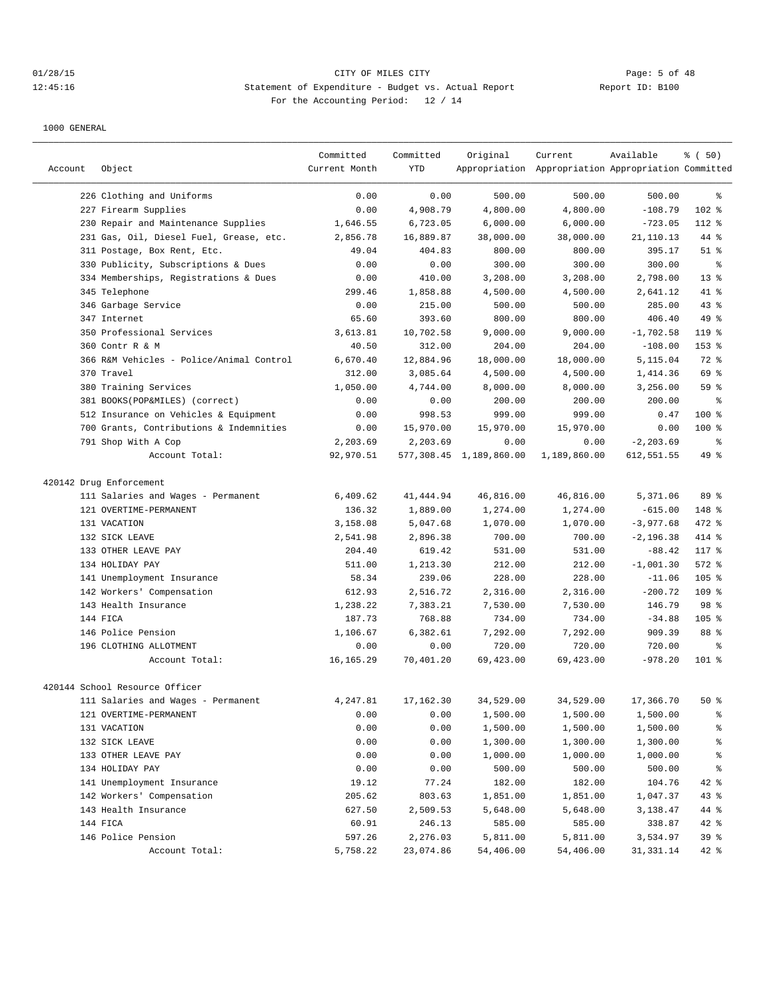# 01/28/15 CITY OF MILES CITY Page: 5 of 48 12:45:16 Statement of Expenditure - Budget vs. Actual Report Changer Report ID: B100 For the Accounting Period: 12 / 14

| 226 Clothing and Uniforms<br>0.00<br>500.00<br>500.00<br>500.00<br>0.00<br>နွ<br>102 %<br>227 Firearm Supplies<br>0.00<br>4,908.79<br>4,800.00<br>4,800.00<br>$-108.79$<br>230 Repair and Maintenance Supplies<br>6,723.05<br>6,000.00<br>6,000.00<br>$-723.05$<br>112 %<br>1,646.55<br>231 Gas, Oil, Diesel Fuel, Grease, etc.<br>16,889.87<br>38,000.00<br>44 %<br>2,856.78<br>38,000.00<br>21,110.13<br>311 Postage, Box Rent, Etc.<br>49.04<br>404.83<br>800.00<br>800.00<br>395.17<br>$51$ %<br>330 Publicity, Subscriptions & Dues<br>0.00<br>300.00<br>300.00<br>300.00<br>နွ<br>0.00<br>334 Memberships, Registrations & Dues<br>0.00<br>410.00<br>3,208.00<br>3,208.00<br>2,798.00<br>$13*$<br>345 Telephone<br>299.46<br>1,858.88<br>4,500.00<br>41 %<br>4,500.00<br>2,641.12<br>346 Garbage Service<br>0.00<br>215.00<br>500.00<br>500.00<br>285.00<br>43%<br>65.60<br>393.60<br>800.00<br>800.00<br>49 %<br>347 Internet<br>406.40<br>350 Professional Services<br>10,702.58<br>9,000.00<br>9,000.00<br>$-1,702.58$<br>119 %<br>3,613.81<br>360 Contr R & M<br>40.50<br>312.00<br>204.00<br>204.00<br>$-108.00$<br>$153$ %<br>366 R&M Vehicles - Police/Animal Control<br>6,670.40<br>12,884.96<br>18,000.00<br>18,000.00<br>5,115.04<br>72 %<br>370 Travel<br>312.00<br>3,085.64<br>4,500.00<br>4,500.00<br>69 %<br>1,414.36<br>380 Training Services<br>1,050.00<br>4,744.00<br>8,000.00<br>8,000.00<br>3,256.00<br>59%<br>381 BOOKS(POP&MILES) (correct)<br>0.00<br>0.00<br>200.00<br>200.00<br>200.00<br>နွ<br>512 Insurance on Vehicles & Equipment<br>0.00<br>998.53<br>999.00<br>999.00<br>0.47<br>$100$ %<br>700 Grants, Contributions & Indemnities<br>15,970.00<br>15,970.00<br>15,970.00<br>100 %<br>0.00<br>0.00<br>791 Shop With A Cop<br>2,203.69<br>2,203.69<br>$-2, 203.69$<br>$\epsilon$<br>0.00<br>0.00<br>49 %<br>92,970.51<br>577,308.45 1,189,860.00<br>1,189,860.00<br>Account Total:<br>612,551.55<br>420142 Drug Enforcement<br>111 Salaries and Wages - Permanent<br>6,409.62<br>41, 444.94<br>46,816.00<br>46,816.00<br>5,371.06<br>89 %<br>121 OVERTIME-PERMANENT<br>136.32<br>1,889.00<br>1,274.00<br>1,274.00<br>$-615.00$<br>148 %<br>472 %<br>131 VACATION<br>3,158.08<br>5,047.68<br>1,070.00<br>1,070.00<br>$-3,977.68$<br>132 SICK LEAVE<br>2,541.98<br>2,896.38<br>700.00<br>700.00<br>$-2, 196.38$<br>414 %<br>133 OTHER LEAVE PAY<br>204.40<br>619.42<br>531.00<br>531.00<br>$-88.42$<br>117 %<br>134 HOLIDAY PAY<br>511.00<br>1,213.30<br>212.00<br>212.00<br>$-1,001.30$<br>$572$ $%$<br>141 Unemployment Insurance<br>58.34<br>239.06<br>228.00<br>228.00<br>$105$ %<br>$-11.06$<br>142 Workers' Compensation<br>612.93<br>2,516.72<br>2,316.00<br>2,316.00<br>$-200.72$<br>$109$ %<br>1,238.22<br>7,383.21<br>7,530.00<br>7,530.00<br>146.79<br>98 <sup>°</sup><br>143 Health Insurance<br>144 FICA<br>187.73<br>768.88<br>734.00<br>734.00<br>$-34.88$<br>$105$ %<br>146 Police Pension<br>1,106.67<br>6,382.61<br>7,292.00<br>7,292.00<br>909.39<br>88 %<br>196 CLOTHING ALLOTMENT<br>720.00<br>720.00<br>0.00<br>0.00<br>720.00<br>နွ<br>16, 165.29<br>70,401.20<br>69,423.00<br>69,423.00<br>$-978.20$<br>$101$ %<br>Account Total:<br>420144 School Resource Officer<br>111 Salaries and Wages - Permanent<br>4,247.81<br>17,162.30<br>34,529.00<br>34,529.00<br>17,366.70<br>50%<br>0.00<br>1,500.00<br>1,500.00<br>121 OVERTIME-PERMANENT<br>0.00<br>1,500.00<br>ိန<br>131 VACATION<br>0.00<br>1,500.00<br>1,500.00<br>န့<br>0.00<br>1,500.00<br>132 SICK LEAVE<br>0.00<br>0.00<br>1,300.00<br>1,300.00<br>$\frac{6}{3}$<br>1,300.00<br>133 OTHER LEAVE PAY<br>0.00<br>0.00<br>1,000.00<br>1,000.00<br>1,000.00<br>$\,{}^{\circ}\!$<br>134 HOLIDAY PAY<br>0.00<br>0.00<br>500.00<br>500.00<br>500.00<br>ိင<br>141 Unemployment Insurance<br>19.12<br>182.00<br>42 %<br>77.24<br>182.00<br>104.76<br>142 Workers' Compensation<br>43 %<br>205.62<br>803.63<br>1,851.00<br>1,851.00<br>1,047.37<br>44 %<br>143 Health Insurance<br>627.50<br>2,509.53<br>5,648.00<br>5,648.00<br>3,138.47<br>144 FICA<br>60.91<br>246.13<br>585.00<br>585.00<br>338.87<br>$42$ %<br>146 Police Pension<br>597.26<br>2,276.03<br>5,811.00<br>39 <sup>8</sup><br>5,811.00<br>3,534.97<br>Account Total:<br>5,758.22<br>23,074.86<br>54,406.00<br>54,406.00<br>42 %<br>31, 331.14 | Account | Object | Committed<br>Current Month | Committed<br><b>YTD</b> | Original | Current<br>Appropriation Appropriation Appropriation Committed | Available | % ( 50) |
|--------------------------------------------------------------------------------------------------------------------------------------------------------------------------------------------------------------------------------------------------------------------------------------------------------------------------------------------------------------------------------------------------------------------------------------------------------------------------------------------------------------------------------------------------------------------------------------------------------------------------------------------------------------------------------------------------------------------------------------------------------------------------------------------------------------------------------------------------------------------------------------------------------------------------------------------------------------------------------------------------------------------------------------------------------------------------------------------------------------------------------------------------------------------------------------------------------------------------------------------------------------------------------------------------------------------------------------------------------------------------------------------------------------------------------------------------------------------------------------------------------------------------------------------------------------------------------------------------------------------------------------------------------------------------------------------------------------------------------------------------------------------------------------------------------------------------------------------------------------------------------------------------------------------------------------------------------------------------------------------------------------------------------------------------------------------------------------------------------------------------------------------------------------------------------------------------------------------------------------------------------------------------------------------------------------------------------------------------------------------------------------------------------------------------------------------------------------------------------------------------------------------------------------------------------------------------------------------------------------------------------------------------------------------------------------------------------------------------------------------------------------------------------------------------------------------------------------------------------------------------------------------------------------------------------------------------------------------------------------------------------------------------------------------------------------------------------------------------------------------------------------------------------------------------------------------------------------------------------------------------------------------------------------------------------------------------------------------------------------------------------------------------------------------------------------------------------------------------------------------------------------------------------------------------------------------------------------------------------------------------------------------------------------------------------------------------------------------------------------------------------------------------------------------------------------------------------------------------------------------------------------------------------------------------------------------------------------------------------------------------------------------------------------------------------------------------------------------------------------------------------------------------------------------------------------------------------------------------------------------------------------------------------------------------------------------------|---------|--------|----------------------------|-------------------------|----------|----------------------------------------------------------------|-----------|---------|
|                                                                                                                                                                                                                                                                                                                                                                                                                                                                                                                                                                                                                                                                                                                                                                                                                                                                                                                                                                                                                                                                                                                                                                                                                                                                                                                                                                                                                                                                                                                                                                                                                                                                                                                                                                                                                                                                                                                                                                                                                                                                                                                                                                                                                                                                                                                                                                                                                                                                                                                                                                                                                                                                                                                                                                                                                                                                                                                                                                                                                                                                                                                                                                                                                                                                                                                                                                                                                                                                                                                                                                                                                                                                                                                                                                                                                                                                                                                                                                                                                                                                                                                                                                                                                                                                                                                          |         |        |                            |                         |          |                                                                |           |         |
|                                                                                                                                                                                                                                                                                                                                                                                                                                                                                                                                                                                                                                                                                                                                                                                                                                                                                                                                                                                                                                                                                                                                                                                                                                                                                                                                                                                                                                                                                                                                                                                                                                                                                                                                                                                                                                                                                                                                                                                                                                                                                                                                                                                                                                                                                                                                                                                                                                                                                                                                                                                                                                                                                                                                                                                                                                                                                                                                                                                                                                                                                                                                                                                                                                                                                                                                                                                                                                                                                                                                                                                                                                                                                                                                                                                                                                                                                                                                                                                                                                                                                                                                                                                                                                                                                                                          |         |        |                            |                         |          |                                                                |           |         |
|                                                                                                                                                                                                                                                                                                                                                                                                                                                                                                                                                                                                                                                                                                                                                                                                                                                                                                                                                                                                                                                                                                                                                                                                                                                                                                                                                                                                                                                                                                                                                                                                                                                                                                                                                                                                                                                                                                                                                                                                                                                                                                                                                                                                                                                                                                                                                                                                                                                                                                                                                                                                                                                                                                                                                                                                                                                                                                                                                                                                                                                                                                                                                                                                                                                                                                                                                                                                                                                                                                                                                                                                                                                                                                                                                                                                                                                                                                                                                                                                                                                                                                                                                                                                                                                                                                                          |         |        |                            |                         |          |                                                                |           |         |
|                                                                                                                                                                                                                                                                                                                                                                                                                                                                                                                                                                                                                                                                                                                                                                                                                                                                                                                                                                                                                                                                                                                                                                                                                                                                                                                                                                                                                                                                                                                                                                                                                                                                                                                                                                                                                                                                                                                                                                                                                                                                                                                                                                                                                                                                                                                                                                                                                                                                                                                                                                                                                                                                                                                                                                                                                                                                                                                                                                                                                                                                                                                                                                                                                                                                                                                                                                                                                                                                                                                                                                                                                                                                                                                                                                                                                                                                                                                                                                                                                                                                                                                                                                                                                                                                                                                          |         |        |                            |                         |          |                                                                |           |         |
|                                                                                                                                                                                                                                                                                                                                                                                                                                                                                                                                                                                                                                                                                                                                                                                                                                                                                                                                                                                                                                                                                                                                                                                                                                                                                                                                                                                                                                                                                                                                                                                                                                                                                                                                                                                                                                                                                                                                                                                                                                                                                                                                                                                                                                                                                                                                                                                                                                                                                                                                                                                                                                                                                                                                                                                                                                                                                                                                                                                                                                                                                                                                                                                                                                                                                                                                                                                                                                                                                                                                                                                                                                                                                                                                                                                                                                                                                                                                                                                                                                                                                                                                                                                                                                                                                                                          |         |        |                            |                         |          |                                                                |           |         |
|                                                                                                                                                                                                                                                                                                                                                                                                                                                                                                                                                                                                                                                                                                                                                                                                                                                                                                                                                                                                                                                                                                                                                                                                                                                                                                                                                                                                                                                                                                                                                                                                                                                                                                                                                                                                                                                                                                                                                                                                                                                                                                                                                                                                                                                                                                                                                                                                                                                                                                                                                                                                                                                                                                                                                                                                                                                                                                                                                                                                                                                                                                                                                                                                                                                                                                                                                                                                                                                                                                                                                                                                                                                                                                                                                                                                                                                                                                                                                                                                                                                                                                                                                                                                                                                                                                                          |         |        |                            |                         |          |                                                                |           |         |
|                                                                                                                                                                                                                                                                                                                                                                                                                                                                                                                                                                                                                                                                                                                                                                                                                                                                                                                                                                                                                                                                                                                                                                                                                                                                                                                                                                                                                                                                                                                                                                                                                                                                                                                                                                                                                                                                                                                                                                                                                                                                                                                                                                                                                                                                                                                                                                                                                                                                                                                                                                                                                                                                                                                                                                                                                                                                                                                                                                                                                                                                                                                                                                                                                                                                                                                                                                                                                                                                                                                                                                                                                                                                                                                                                                                                                                                                                                                                                                                                                                                                                                                                                                                                                                                                                                                          |         |        |                            |                         |          |                                                                |           |         |
|                                                                                                                                                                                                                                                                                                                                                                                                                                                                                                                                                                                                                                                                                                                                                                                                                                                                                                                                                                                                                                                                                                                                                                                                                                                                                                                                                                                                                                                                                                                                                                                                                                                                                                                                                                                                                                                                                                                                                                                                                                                                                                                                                                                                                                                                                                                                                                                                                                                                                                                                                                                                                                                                                                                                                                                                                                                                                                                                                                                                                                                                                                                                                                                                                                                                                                                                                                                                                                                                                                                                                                                                                                                                                                                                                                                                                                                                                                                                                                                                                                                                                                                                                                                                                                                                                                                          |         |        |                            |                         |          |                                                                |           |         |
|                                                                                                                                                                                                                                                                                                                                                                                                                                                                                                                                                                                                                                                                                                                                                                                                                                                                                                                                                                                                                                                                                                                                                                                                                                                                                                                                                                                                                                                                                                                                                                                                                                                                                                                                                                                                                                                                                                                                                                                                                                                                                                                                                                                                                                                                                                                                                                                                                                                                                                                                                                                                                                                                                                                                                                                                                                                                                                                                                                                                                                                                                                                                                                                                                                                                                                                                                                                                                                                                                                                                                                                                                                                                                                                                                                                                                                                                                                                                                                                                                                                                                                                                                                                                                                                                                                                          |         |        |                            |                         |          |                                                                |           |         |
|                                                                                                                                                                                                                                                                                                                                                                                                                                                                                                                                                                                                                                                                                                                                                                                                                                                                                                                                                                                                                                                                                                                                                                                                                                                                                                                                                                                                                                                                                                                                                                                                                                                                                                                                                                                                                                                                                                                                                                                                                                                                                                                                                                                                                                                                                                                                                                                                                                                                                                                                                                                                                                                                                                                                                                                                                                                                                                                                                                                                                                                                                                                                                                                                                                                                                                                                                                                                                                                                                                                                                                                                                                                                                                                                                                                                                                                                                                                                                                                                                                                                                                                                                                                                                                                                                                                          |         |        |                            |                         |          |                                                                |           |         |
|                                                                                                                                                                                                                                                                                                                                                                                                                                                                                                                                                                                                                                                                                                                                                                                                                                                                                                                                                                                                                                                                                                                                                                                                                                                                                                                                                                                                                                                                                                                                                                                                                                                                                                                                                                                                                                                                                                                                                                                                                                                                                                                                                                                                                                                                                                                                                                                                                                                                                                                                                                                                                                                                                                                                                                                                                                                                                                                                                                                                                                                                                                                                                                                                                                                                                                                                                                                                                                                                                                                                                                                                                                                                                                                                                                                                                                                                                                                                                                                                                                                                                                                                                                                                                                                                                                                          |         |        |                            |                         |          |                                                                |           |         |
|                                                                                                                                                                                                                                                                                                                                                                                                                                                                                                                                                                                                                                                                                                                                                                                                                                                                                                                                                                                                                                                                                                                                                                                                                                                                                                                                                                                                                                                                                                                                                                                                                                                                                                                                                                                                                                                                                                                                                                                                                                                                                                                                                                                                                                                                                                                                                                                                                                                                                                                                                                                                                                                                                                                                                                                                                                                                                                                                                                                                                                                                                                                                                                                                                                                                                                                                                                                                                                                                                                                                                                                                                                                                                                                                                                                                                                                                                                                                                                                                                                                                                                                                                                                                                                                                                                                          |         |        |                            |                         |          |                                                                |           |         |
|                                                                                                                                                                                                                                                                                                                                                                                                                                                                                                                                                                                                                                                                                                                                                                                                                                                                                                                                                                                                                                                                                                                                                                                                                                                                                                                                                                                                                                                                                                                                                                                                                                                                                                                                                                                                                                                                                                                                                                                                                                                                                                                                                                                                                                                                                                                                                                                                                                                                                                                                                                                                                                                                                                                                                                                                                                                                                                                                                                                                                                                                                                                                                                                                                                                                                                                                                                                                                                                                                                                                                                                                                                                                                                                                                                                                                                                                                                                                                                                                                                                                                                                                                                                                                                                                                                                          |         |        |                            |                         |          |                                                                |           |         |
|                                                                                                                                                                                                                                                                                                                                                                                                                                                                                                                                                                                                                                                                                                                                                                                                                                                                                                                                                                                                                                                                                                                                                                                                                                                                                                                                                                                                                                                                                                                                                                                                                                                                                                                                                                                                                                                                                                                                                                                                                                                                                                                                                                                                                                                                                                                                                                                                                                                                                                                                                                                                                                                                                                                                                                                                                                                                                                                                                                                                                                                                                                                                                                                                                                                                                                                                                                                                                                                                                                                                                                                                                                                                                                                                                                                                                                                                                                                                                                                                                                                                                                                                                                                                                                                                                                                          |         |        |                            |                         |          |                                                                |           |         |
|                                                                                                                                                                                                                                                                                                                                                                                                                                                                                                                                                                                                                                                                                                                                                                                                                                                                                                                                                                                                                                                                                                                                                                                                                                                                                                                                                                                                                                                                                                                                                                                                                                                                                                                                                                                                                                                                                                                                                                                                                                                                                                                                                                                                                                                                                                                                                                                                                                                                                                                                                                                                                                                                                                                                                                                                                                                                                                                                                                                                                                                                                                                                                                                                                                                                                                                                                                                                                                                                                                                                                                                                                                                                                                                                                                                                                                                                                                                                                                                                                                                                                                                                                                                                                                                                                                                          |         |        |                            |                         |          |                                                                |           |         |
|                                                                                                                                                                                                                                                                                                                                                                                                                                                                                                                                                                                                                                                                                                                                                                                                                                                                                                                                                                                                                                                                                                                                                                                                                                                                                                                                                                                                                                                                                                                                                                                                                                                                                                                                                                                                                                                                                                                                                                                                                                                                                                                                                                                                                                                                                                                                                                                                                                                                                                                                                                                                                                                                                                                                                                                                                                                                                                                                                                                                                                                                                                                                                                                                                                                                                                                                                                                                                                                                                                                                                                                                                                                                                                                                                                                                                                                                                                                                                                                                                                                                                                                                                                                                                                                                                                                          |         |        |                            |                         |          |                                                                |           |         |
|                                                                                                                                                                                                                                                                                                                                                                                                                                                                                                                                                                                                                                                                                                                                                                                                                                                                                                                                                                                                                                                                                                                                                                                                                                                                                                                                                                                                                                                                                                                                                                                                                                                                                                                                                                                                                                                                                                                                                                                                                                                                                                                                                                                                                                                                                                                                                                                                                                                                                                                                                                                                                                                                                                                                                                                                                                                                                                                                                                                                                                                                                                                                                                                                                                                                                                                                                                                                                                                                                                                                                                                                                                                                                                                                                                                                                                                                                                                                                                                                                                                                                                                                                                                                                                                                                                                          |         |        |                            |                         |          |                                                                |           |         |
|                                                                                                                                                                                                                                                                                                                                                                                                                                                                                                                                                                                                                                                                                                                                                                                                                                                                                                                                                                                                                                                                                                                                                                                                                                                                                                                                                                                                                                                                                                                                                                                                                                                                                                                                                                                                                                                                                                                                                                                                                                                                                                                                                                                                                                                                                                                                                                                                                                                                                                                                                                                                                                                                                                                                                                                                                                                                                                                                                                                                                                                                                                                                                                                                                                                                                                                                                                                                                                                                                                                                                                                                                                                                                                                                                                                                                                                                                                                                                                                                                                                                                                                                                                                                                                                                                                                          |         |        |                            |                         |          |                                                                |           |         |
|                                                                                                                                                                                                                                                                                                                                                                                                                                                                                                                                                                                                                                                                                                                                                                                                                                                                                                                                                                                                                                                                                                                                                                                                                                                                                                                                                                                                                                                                                                                                                                                                                                                                                                                                                                                                                                                                                                                                                                                                                                                                                                                                                                                                                                                                                                                                                                                                                                                                                                                                                                                                                                                                                                                                                                                                                                                                                                                                                                                                                                                                                                                                                                                                                                                                                                                                                                                                                                                                                                                                                                                                                                                                                                                                                                                                                                                                                                                                                                                                                                                                                                                                                                                                                                                                                                                          |         |        |                            |                         |          |                                                                |           |         |
|                                                                                                                                                                                                                                                                                                                                                                                                                                                                                                                                                                                                                                                                                                                                                                                                                                                                                                                                                                                                                                                                                                                                                                                                                                                                                                                                                                                                                                                                                                                                                                                                                                                                                                                                                                                                                                                                                                                                                                                                                                                                                                                                                                                                                                                                                                                                                                                                                                                                                                                                                                                                                                                                                                                                                                                                                                                                                                                                                                                                                                                                                                                                                                                                                                                                                                                                                                                                                                                                                                                                                                                                                                                                                                                                                                                                                                                                                                                                                                                                                                                                                                                                                                                                                                                                                                                          |         |        |                            |                         |          |                                                                |           |         |
|                                                                                                                                                                                                                                                                                                                                                                                                                                                                                                                                                                                                                                                                                                                                                                                                                                                                                                                                                                                                                                                                                                                                                                                                                                                                                                                                                                                                                                                                                                                                                                                                                                                                                                                                                                                                                                                                                                                                                                                                                                                                                                                                                                                                                                                                                                                                                                                                                                                                                                                                                                                                                                                                                                                                                                                                                                                                                                                                                                                                                                                                                                                                                                                                                                                                                                                                                                                                                                                                                                                                                                                                                                                                                                                                                                                                                                                                                                                                                                                                                                                                                                                                                                                                                                                                                                                          |         |        |                            |                         |          |                                                                |           |         |
|                                                                                                                                                                                                                                                                                                                                                                                                                                                                                                                                                                                                                                                                                                                                                                                                                                                                                                                                                                                                                                                                                                                                                                                                                                                                                                                                                                                                                                                                                                                                                                                                                                                                                                                                                                                                                                                                                                                                                                                                                                                                                                                                                                                                                                                                                                                                                                                                                                                                                                                                                                                                                                                                                                                                                                                                                                                                                                                                                                                                                                                                                                                                                                                                                                                                                                                                                                                                                                                                                                                                                                                                                                                                                                                                                                                                                                                                                                                                                                                                                                                                                                                                                                                                                                                                                                                          |         |        |                            |                         |          |                                                                |           |         |
|                                                                                                                                                                                                                                                                                                                                                                                                                                                                                                                                                                                                                                                                                                                                                                                                                                                                                                                                                                                                                                                                                                                                                                                                                                                                                                                                                                                                                                                                                                                                                                                                                                                                                                                                                                                                                                                                                                                                                                                                                                                                                                                                                                                                                                                                                                                                                                                                                                                                                                                                                                                                                                                                                                                                                                                                                                                                                                                                                                                                                                                                                                                                                                                                                                                                                                                                                                                                                                                                                                                                                                                                                                                                                                                                                                                                                                                                                                                                                                                                                                                                                                                                                                                                                                                                                                                          |         |        |                            |                         |          |                                                                |           |         |
|                                                                                                                                                                                                                                                                                                                                                                                                                                                                                                                                                                                                                                                                                                                                                                                                                                                                                                                                                                                                                                                                                                                                                                                                                                                                                                                                                                                                                                                                                                                                                                                                                                                                                                                                                                                                                                                                                                                                                                                                                                                                                                                                                                                                                                                                                                                                                                                                                                                                                                                                                                                                                                                                                                                                                                                                                                                                                                                                                                                                                                                                                                                                                                                                                                                                                                                                                                                                                                                                                                                                                                                                                                                                                                                                                                                                                                                                                                                                                                                                                                                                                                                                                                                                                                                                                                                          |         |        |                            |                         |          |                                                                |           |         |
|                                                                                                                                                                                                                                                                                                                                                                                                                                                                                                                                                                                                                                                                                                                                                                                                                                                                                                                                                                                                                                                                                                                                                                                                                                                                                                                                                                                                                                                                                                                                                                                                                                                                                                                                                                                                                                                                                                                                                                                                                                                                                                                                                                                                                                                                                                                                                                                                                                                                                                                                                                                                                                                                                                                                                                                                                                                                                                                                                                                                                                                                                                                                                                                                                                                                                                                                                                                                                                                                                                                                                                                                                                                                                                                                                                                                                                                                                                                                                                                                                                                                                                                                                                                                                                                                                                                          |         |        |                            |                         |          |                                                                |           |         |
|                                                                                                                                                                                                                                                                                                                                                                                                                                                                                                                                                                                                                                                                                                                                                                                                                                                                                                                                                                                                                                                                                                                                                                                                                                                                                                                                                                                                                                                                                                                                                                                                                                                                                                                                                                                                                                                                                                                                                                                                                                                                                                                                                                                                                                                                                                                                                                                                                                                                                                                                                                                                                                                                                                                                                                                                                                                                                                                                                                                                                                                                                                                                                                                                                                                                                                                                                                                                                                                                                                                                                                                                                                                                                                                                                                                                                                                                                                                                                                                                                                                                                                                                                                                                                                                                                                                          |         |        |                            |                         |          |                                                                |           |         |
|                                                                                                                                                                                                                                                                                                                                                                                                                                                                                                                                                                                                                                                                                                                                                                                                                                                                                                                                                                                                                                                                                                                                                                                                                                                                                                                                                                                                                                                                                                                                                                                                                                                                                                                                                                                                                                                                                                                                                                                                                                                                                                                                                                                                                                                                                                                                                                                                                                                                                                                                                                                                                                                                                                                                                                                                                                                                                                                                                                                                                                                                                                                                                                                                                                                                                                                                                                                                                                                                                                                                                                                                                                                                                                                                                                                                                                                                                                                                                                                                                                                                                                                                                                                                                                                                                                                          |         |        |                            |                         |          |                                                                |           |         |
|                                                                                                                                                                                                                                                                                                                                                                                                                                                                                                                                                                                                                                                                                                                                                                                                                                                                                                                                                                                                                                                                                                                                                                                                                                                                                                                                                                                                                                                                                                                                                                                                                                                                                                                                                                                                                                                                                                                                                                                                                                                                                                                                                                                                                                                                                                                                                                                                                                                                                                                                                                                                                                                                                                                                                                                                                                                                                                                                                                                                                                                                                                                                                                                                                                                                                                                                                                                                                                                                                                                                                                                                                                                                                                                                                                                                                                                                                                                                                                                                                                                                                                                                                                                                                                                                                                                          |         |        |                            |                         |          |                                                                |           |         |
|                                                                                                                                                                                                                                                                                                                                                                                                                                                                                                                                                                                                                                                                                                                                                                                                                                                                                                                                                                                                                                                                                                                                                                                                                                                                                                                                                                                                                                                                                                                                                                                                                                                                                                                                                                                                                                                                                                                                                                                                                                                                                                                                                                                                                                                                                                                                                                                                                                                                                                                                                                                                                                                                                                                                                                                                                                                                                                                                                                                                                                                                                                                                                                                                                                                                                                                                                                                                                                                                                                                                                                                                                                                                                                                                                                                                                                                                                                                                                                                                                                                                                                                                                                                                                                                                                                                          |         |        |                            |                         |          |                                                                |           |         |
|                                                                                                                                                                                                                                                                                                                                                                                                                                                                                                                                                                                                                                                                                                                                                                                                                                                                                                                                                                                                                                                                                                                                                                                                                                                                                                                                                                                                                                                                                                                                                                                                                                                                                                                                                                                                                                                                                                                                                                                                                                                                                                                                                                                                                                                                                                                                                                                                                                                                                                                                                                                                                                                                                                                                                                                                                                                                                                                                                                                                                                                                                                                                                                                                                                                                                                                                                                                                                                                                                                                                                                                                                                                                                                                                                                                                                                                                                                                                                                                                                                                                                                                                                                                                                                                                                                                          |         |        |                            |                         |          |                                                                |           |         |
|                                                                                                                                                                                                                                                                                                                                                                                                                                                                                                                                                                                                                                                                                                                                                                                                                                                                                                                                                                                                                                                                                                                                                                                                                                                                                                                                                                                                                                                                                                                                                                                                                                                                                                                                                                                                                                                                                                                                                                                                                                                                                                                                                                                                                                                                                                                                                                                                                                                                                                                                                                                                                                                                                                                                                                                                                                                                                                                                                                                                                                                                                                                                                                                                                                                                                                                                                                                                                                                                                                                                                                                                                                                                                                                                                                                                                                                                                                                                                                                                                                                                                                                                                                                                                                                                                                                          |         |        |                            |                         |          |                                                                |           |         |
|                                                                                                                                                                                                                                                                                                                                                                                                                                                                                                                                                                                                                                                                                                                                                                                                                                                                                                                                                                                                                                                                                                                                                                                                                                                                                                                                                                                                                                                                                                                                                                                                                                                                                                                                                                                                                                                                                                                                                                                                                                                                                                                                                                                                                                                                                                                                                                                                                                                                                                                                                                                                                                                                                                                                                                                                                                                                                                                                                                                                                                                                                                                                                                                                                                                                                                                                                                                                                                                                                                                                                                                                                                                                                                                                                                                                                                                                                                                                                                                                                                                                                                                                                                                                                                                                                                                          |         |        |                            |                         |          |                                                                |           |         |
|                                                                                                                                                                                                                                                                                                                                                                                                                                                                                                                                                                                                                                                                                                                                                                                                                                                                                                                                                                                                                                                                                                                                                                                                                                                                                                                                                                                                                                                                                                                                                                                                                                                                                                                                                                                                                                                                                                                                                                                                                                                                                                                                                                                                                                                                                                                                                                                                                                                                                                                                                                                                                                                                                                                                                                                                                                                                                                                                                                                                                                                                                                                                                                                                                                                                                                                                                                                                                                                                                                                                                                                                                                                                                                                                                                                                                                                                                                                                                                                                                                                                                                                                                                                                                                                                                                                          |         |        |                            |                         |          |                                                                |           |         |
|                                                                                                                                                                                                                                                                                                                                                                                                                                                                                                                                                                                                                                                                                                                                                                                                                                                                                                                                                                                                                                                                                                                                                                                                                                                                                                                                                                                                                                                                                                                                                                                                                                                                                                                                                                                                                                                                                                                                                                                                                                                                                                                                                                                                                                                                                                                                                                                                                                                                                                                                                                                                                                                                                                                                                                                                                                                                                                                                                                                                                                                                                                                                                                                                                                                                                                                                                                                                                                                                                                                                                                                                                                                                                                                                                                                                                                                                                                                                                                                                                                                                                                                                                                                                                                                                                                                          |         |        |                            |                         |          |                                                                |           |         |
|                                                                                                                                                                                                                                                                                                                                                                                                                                                                                                                                                                                                                                                                                                                                                                                                                                                                                                                                                                                                                                                                                                                                                                                                                                                                                                                                                                                                                                                                                                                                                                                                                                                                                                                                                                                                                                                                                                                                                                                                                                                                                                                                                                                                                                                                                                                                                                                                                                                                                                                                                                                                                                                                                                                                                                                                                                                                                                                                                                                                                                                                                                                                                                                                                                                                                                                                                                                                                                                                                                                                                                                                                                                                                                                                                                                                                                                                                                                                                                                                                                                                                                                                                                                                                                                                                                                          |         |        |                            |                         |          |                                                                |           |         |
|                                                                                                                                                                                                                                                                                                                                                                                                                                                                                                                                                                                                                                                                                                                                                                                                                                                                                                                                                                                                                                                                                                                                                                                                                                                                                                                                                                                                                                                                                                                                                                                                                                                                                                                                                                                                                                                                                                                                                                                                                                                                                                                                                                                                                                                                                                                                                                                                                                                                                                                                                                                                                                                                                                                                                                                                                                                                                                                                                                                                                                                                                                                                                                                                                                                                                                                                                                                                                                                                                                                                                                                                                                                                                                                                                                                                                                                                                                                                                                                                                                                                                                                                                                                                                                                                                                                          |         |        |                            |                         |          |                                                                |           |         |
|                                                                                                                                                                                                                                                                                                                                                                                                                                                                                                                                                                                                                                                                                                                                                                                                                                                                                                                                                                                                                                                                                                                                                                                                                                                                                                                                                                                                                                                                                                                                                                                                                                                                                                                                                                                                                                                                                                                                                                                                                                                                                                                                                                                                                                                                                                                                                                                                                                                                                                                                                                                                                                                                                                                                                                                                                                                                                                                                                                                                                                                                                                                                                                                                                                                                                                                                                                                                                                                                                                                                                                                                                                                                                                                                                                                                                                                                                                                                                                                                                                                                                                                                                                                                                                                                                                                          |         |        |                            |                         |          |                                                                |           |         |
|                                                                                                                                                                                                                                                                                                                                                                                                                                                                                                                                                                                                                                                                                                                                                                                                                                                                                                                                                                                                                                                                                                                                                                                                                                                                                                                                                                                                                                                                                                                                                                                                                                                                                                                                                                                                                                                                                                                                                                                                                                                                                                                                                                                                                                                                                                                                                                                                                                                                                                                                                                                                                                                                                                                                                                                                                                                                                                                                                                                                                                                                                                                                                                                                                                                                                                                                                                                                                                                                                                                                                                                                                                                                                                                                                                                                                                                                                                                                                                                                                                                                                                                                                                                                                                                                                                                          |         |        |                            |                         |          |                                                                |           |         |
|                                                                                                                                                                                                                                                                                                                                                                                                                                                                                                                                                                                                                                                                                                                                                                                                                                                                                                                                                                                                                                                                                                                                                                                                                                                                                                                                                                                                                                                                                                                                                                                                                                                                                                                                                                                                                                                                                                                                                                                                                                                                                                                                                                                                                                                                                                                                                                                                                                                                                                                                                                                                                                                                                                                                                                                                                                                                                                                                                                                                                                                                                                                                                                                                                                                                                                                                                                                                                                                                                                                                                                                                                                                                                                                                                                                                                                                                                                                                                                                                                                                                                                                                                                                                                                                                                                                          |         |        |                            |                         |          |                                                                |           |         |
|                                                                                                                                                                                                                                                                                                                                                                                                                                                                                                                                                                                                                                                                                                                                                                                                                                                                                                                                                                                                                                                                                                                                                                                                                                                                                                                                                                                                                                                                                                                                                                                                                                                                                                                                                                                                                                                                                                                                                                                                                                                                                                                                                                                                                                                                                                                                                                                                                                                                                                                                                                                                                                                                                                                                                                                                                                                                                                                                                                                                                                                                                                                                                                                                                                                                                                                                                                                                                                                                                                                                                                                                                                                                                                                                                                                                                                                                                                                                                                                                                                                                                                                                                                                                                                                                                                                          |         |        |                            |                         |          |                                                                |           |         |
|                                                                                                                                                                                                                                                                                                                                                                                                                                                                                                                                                                                                                                                                                                                                                                                                                                                                                                                                                                                                                                                                                                                                                                                                                                                                                                                                                                                                                                                                                                                                                                                                                                                                                                                                                                                                                                                                                                                                                                                                                                                                                                                                                                                                                                                                                                                                                                                                                                                                                                                                                                                                                                                                                                                                                                                                                                                                                                                                                                                                                                                                                                                                                                                                                                                                                                                                                                                                                                                                                                                                                                                                                                                                                                                                                                                                                                                                                                                                                                                                                                                                                                                                                                                                                                                                                                                          |         |        |                            |                         |          |                                                                |           |         |
|                                                                                                                                                                                                                                                                                                                                                                                                                                                                                                                                                                                                                                                                                                                                                                                                                                                                                                                                                                                                                                                                                                                                                                                                                                                                                                                                                                                                                                                                                                                                                                                                                                                                                                                                                                                                                                                                                                                                                                                                                                                                                                                                                                                                                                                                                                                                                                                                                                                                                                                                                                                                                                                                                                                                                                                                                                                                                                                                                                                                                                                                                                                                                                                                                                                                                                                                                                                                                                                                                                                                                                                                                                                                                                                                                                                                                                                                                                                                                                                                                                                                                                                                                                                                                                                                                                                          |         |        |                            |                         |          |                                                                |           |         |
|                                                                                                                                                                                                                                                                                                                                                                                                                                                                                                                                                                                                                                                                                                                                                                                                                                                                                                                                                                                                                                                                                                                                                                                                                                                                                                                                                                                                                                                                                                                                                                                                                                                                                                                                                                                                                                                                                                                                                                                                                                                                                                                                                                                                                                                                                                                                                                                                                                                                                                                                                                                                                                                                                                                                                                                                                                                                                                                                                                                                                                                                                                                                                                                                                                                                                                                                                                                                                                                                                                                                                                                                                                                                                                                                                                                                                                                                                                                                                                                                                                                                                                                                                                                                                                                                                                                          |         |        |                            |                         |          |                                                                |           |         |
|                                                                                                                                                                                                                                                                                                                                                                                                                                                                                                                                                                                                                                                                                                                                                                                                                                                                                                                                                                                                                                                                                                                                                                                                                                                                                                                                                                                                                                                                                                                                                                                                                                                                                                                                                                                                                                                                                                                                                                                                                                                                                                                                                                                                                                                                                                                                                                                                                                                                                                                                                                                                                                                                                                                                                                                                                                                                                                                                                                                                                                                                                                                                                                                                                                                                                                                                                                                                                                                                                                                                                                                                                                                                                                                                                                                                                                                                                                                                                                                                                                                                                                                                                                                                                                                                                                                          |         |        |                            |                         |          |                                                                |           |         |
|                                                                                                                                                                                                                                                                                                                                                                                                                                                                                                                                                                                                                                                                                                                                                                                                                                                                                                                                                                                                                                                                                                                                                                                                                                                                                                                                                                                                                                                                                                                                                                                                                                                                                                                                                                                                                                                                                                                                                                                                                                                                                                                                                                                                                                                                                                                                                                                                                                                                                                                                                                                                                                                                                                                                                                                                                                                                                                                                                                                                                                                                                                                                                                                                                                                                                                                                                                                                                                                                                                                                                                                                                                                                                                                                                                                                                                                                                                                                                                                                                                                                                                                                                                                                                                                                                                                          |         |        |                            |                         |          |                                                                |           |         |
|                                                                                                                                                                                                                                                                                                                                                                                                                                                                                                                                                                                                                                                                                                                                                                                                                                                                                                                                                                                                                                                                                                                                                                                                                                                                                                                                                                                                                                                                                                                                                                                                                                                                                                                                                                                                                                                                                                                                                                                                                                                                                                                                                                                                                                                                                                                                                                                                                                                                                                                                                                                                                                                                                                                                                                                                                                                                                                                                                                                                                                                                                                                                                                                                                                                                                                                                                                                                                                                                                                                                                                                                                                                                                                                                                                                                                                                                                                                                                                                                                                                                                                                                                                                                                                                                                                                          |         |        |                            |                         |          |                                                                |           |         |
|                                                                                                                                                                                                                                                                                                                                                                                                                                                                                                                                                                                                                                                                                                                                                                                                                                                                                                                                                                                                                                                                                                                                                                                                                                                                                                                                                                                                                                                                                                                                                                                                                                                                                                                                                                                                                                                                                                                                                                                                                                                                                                                                                                                                                                                                                                                                                                                                                                                                                                                                                                                                                                                                                                                                                                                                                                                                                                                                                                                                                                                                                                                                                                                                                                                                                                                                                                                                                                                                                                                                                                                                                                                                                                                                                                                                                                                                                                                                                                                                                                                                                                                                                                                                                                                                                                                          |         |        |                            |                         |          |                                                                |           |         |
|                                                                                                                                                                                                                                                                                                                                                                                                                                                                                                                                                                                                                                                                                                                                                                                                                                                                                                                                                                                                                                                                                                                                                                                                                                                                                                                                                                                                                                                                                                                                                                                                                                                                                                                                                                                                                                                                                                                                                                                                                                                                                                                                                                                                                                                                                                                                                                                                                                                                                                                                                                                                                                                                                                                                                                                                                                                                                                                                                                                                                                                                                                                                                                                                                                                                                                                                                                                                                                                                                                                                                                                                                                                                                                                                                                                                                                                                                                                                                                                                                                                                                                                                                                                                                                                                                                                          |         |        |                            |                         |          |                                                                |           |         |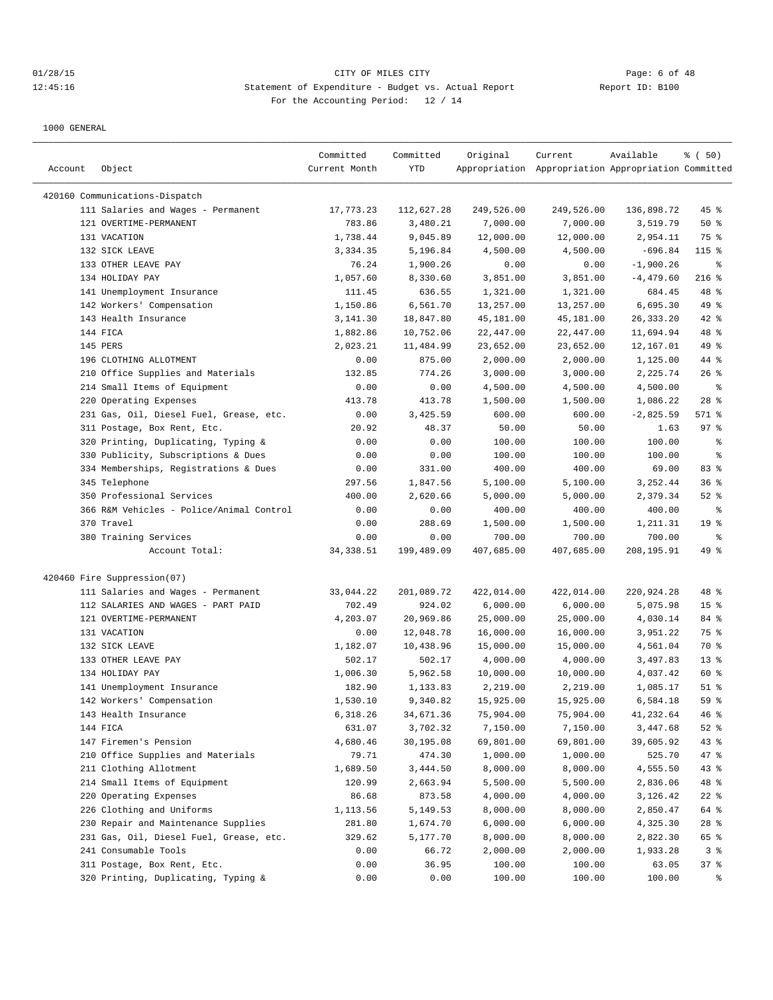| Account | Object                                                                 | Committed<br>Current Month | Committed<br>YTD     | Original              | Current<br>Appropriation Appropriation Appropriation Committed | Available            | % ( 50)         |
|---------|------------------------------------------------------------------------|----------------------------|----------------------|-----------------------|----------------------------------------------------------------|----------------------|-----------------|
|         |                                                                        |                            |                      |                       |                                                                |                      |                 |
|         | 420160 Communications-Dispatch                                         |                            |                      |                       |                                                                |                      |                 |
|         | 111 Salaries and Wages - Permanent                                     | 17,773.23                  | 112,627.28           | 249,526.00            | 249,526.00                                                     | 136,898.72           | $45$ %          |
|         | 121 OVERTIME-PERMANENT                                                 | 783.86                     | 3,480.21             | 7,000.00              | 7,000.00                                                       | 3,519.79             | 50%             |
|         | 131 VACATION                                                           | 1,738.44                   | 9,045.89             | 12,000.00             | 12,000.00                                                      | 2,954.11             | 75 %            |
|         | 132 SICK LEAVE                                                         | 3,334.35                   | 5,196.84             | 4,500.00              | 4,500.00                                                       | $-696.84$            | $115$ %         |
|         | 133 OTHER LEAVE PAY<br>134 HOLIDAY PAY                                 | 76.24                      | 1,900.26             | 0.00                  | 0.00                                                           | $-1,900.26$          | ႜ               |
|         |                                                                        | 1,057.60                   | 8,330.60<br>636.55   | 3,851.00              | 3,851.00                                                       | $-4, 479.60$         | $216$ %<br>48 % |
|         | 141 Unemployment Insurance                                             | 111.45<br>1,150.86         | 6,561.70             | 1,321.00<br>13,257.00 | 1,321.00                                                       | 684.45<br>6,695.30   | 49 %            |
|         | 142 Workers' Compensation<br>143 Health Insurance                      | 3, 141.30                  | 18,847.80            | 45,181.00             | 13,257.00<br>45,181.00                                         | 26, 333. 20          | $42$ %          |
|         | 144 FICA                                                               |                            | 10,752.06            | 22,447.00             | 22,447.00                                                      | 11,694.94            | 48 %            |
|         | 145 PERS                                                               | 1,882.86                   |                      |                       |                                                                |                      | 49 %            |
|         | 196 CLOTHING ALLOTMENT                                                 | 2,023.21<br>0.00           | 11,484.99<br>875.00  | 23,652.00<br>2,000.00 | 23,652.00                                                      | 12,167.01            | 44 %            |
|         | 210 Office Supplies and Materials                                      | 132.85                     | 774.26               | 3,000.00              | 2,000.00<br>3,000.00                                           | 1,125.00<br>2,225.74 | $26$ %          |
|         | 214 Small Items of Equipment                                           | 0.00                       | 0.00                 | 4,500.00              | 4,500.00                                                       | 4,500.00             | နွ              |
|         | 220 Operating Expenses                                                 | 413.78                     | 413.78               | 1,500.00              |                                                                | 1,086.22             | $28$ %          |
|         |                                                                        | 0.00                       | 3,425.59             | 600.00                | 1,500.00<br>600.00                                             | $-2,825.59$          | 571 %           |
|         | 231 Gas, Oil, Diesel Fuel, Grease, etc.<br>311 Postage, Box Rent, Etc. | 20.92                      | 48.37                | 50.00                 | 50.00                                                          | 1.63                 | 97%             |
|         | 320 Printing, Duplicating, Typing &                                    | 0.00                       | 0.00                 | 100.00                | 100.00                                                         | 100.00               | နွ              |
|         | 330 Publicity, Subscriptions & Dues                                    |                            |                      | 100.00                |                                                                |                      | နွ              |
|         |                                                                        | 0.00                       | 0.00                 |                       | 100.00                                                         | 100.00<br>69.00      | 83%             |
|         | 334 Memberships, Registrations & Dues                                  | 0.00                       | 331.00               | 400.00                | 400.00                                                         |                      | 36%             |
|         | 345 Telephone<br>350 Professional Services                             | 297.56<br>400.00           | 1,847.56<br>2,620.66 | 5,100.00<br>5,000.00  | 5,100.00                                                       | 3,252.44<br>2,379.34 | $52$ $%$        |
|         | 366 R&M Vehicles - Police/Animal Control                               | 0.00                       |                      | 400.00                | 5,000.00                                                       |                      | ႜ               |
|         | 370 Travel                                                             |                            | 0.00<br>288.69       | 1,500.00              | 400.00<br>1,500.00                                             | 400.00<br>1,211.31   | 19 <sup>°</sup> |
|         | 380 Training Services                                                  | 0.00<br>0.00               | 0.00                 | 700.00                | 700.00                                                         | 700.00               | ႜ               |
|         | Account Total:                                                         | 34, 338.51                 | 199,489.09           | 407,685.00            | 407,685.00                                                     | 208,195.91           | 49 %            |
|         | 420460 Fire Suppression(07)                                            |                            |                      |                       |                                                                |                      |                 |
|         | 111 Salaries and Wages - Permanent                                     | 33,044.22                  | 201,089.72           | 422,014.00            | 422,014.00                                                     | 220,924.28           | 48 %            |
|         | 112 SALARIES AND WAGES - PART PAID                                     | 702.49                     | 924.02               | 6,000.00              | 6,000.00                                                       | 5,075.98             | 15 <sup>°</sup> |
|         | 121 OVERTIME-PERMANENT                                                 | 4,203.07                   | 20,969.86            | 25,000.00             | 25,000.00                                                      | 4,030.14             | 84 %            |
|         | 131 VACATION                                                           | 0.00                       | 12,048.78            | 16,000.00             | 16,000.00                                                      | 3,951.22             | 75 %            |
|         | 132 SICK LEAVE                                                         | 1,182.07                   | 10,438.96            | 15,000.00             | 15,000.00                                                      | 4,561.04             | 70 %            |
|         | 133 OTHER LEAVE PAY                                                    | 502.17                     | 502.17               | 4,000.00              | 4,000.00                                                       | 3,497.83             | $13*$           |
|         | 134 HOLIDAY PAY                                                        | 1,006.30                   | 5,962.58             | 10,000.00             | 10,000.00                                                      | 4,037.42             | 60 %            |
|         | 141 Unemployment Insurance                                             | 182.90                     | 1,133.83             | 2,219.00              | 2,219.00                                                       | 1,085.17             | $51$ %          |
|         | 142 Workers' Compensation                                              | 1,530.10                   | 9,340.82             | 15,925.00             | 15,925.00                                                      | 6,584.18             | 59 %            |
|         | 143 Health Insurance                                                   | 6,318.26                   | 34,671.36            | 75,904.00             | 75,904.00                                                      | 41,232.64            | 46 %            |
|         | 144 FICA                                                               | 631.07                     | 3,702.32             | 7,150.00              | 7,150.00                                                       | 3,447.68             | $52$ $%$        |
|         | 147 Firemen's Pension                                                  | 4,680.46                   | 30,195.08            | 69,801.00             | 69,801.00                                                      | 39,605.92            | 43 %            |
|         | 210 Office Supplies and Materials                                      | 79.71                      | 474.30               | 1,000.00              | 1,000.00                                                       | 525.70               | $47$ %          |
|         | 211 Clothing Allotment                                                 | 1,689.50                   | 3,444.50             | 8,000.00              | 8,000.00                                                       | 4,555.50             | 43%             |
|         | 214 Small Items of Equipment                                           | 120.99                     | 2,663.94             | 5,500.00              | 5,500.00                                                       | 2,836.06             | 48 %            |
|         | 220 Operating Expenses                                                 | 86.68                      | 873.58               | 4,000.00              | 4,000.00                                                       | 3,126.42             | $22$ %          |
|         | 226 Clothing and Uniforms                                              | 1,113.56                   | 5,149.53             | 8,000.00              | 8,000.00                                                       | 2,850.47             | 64 %            |
|         | 230 Repair and Maintenance Supplies                                    | 281.80                     | 1,674.70             | 6,000.00              | 6,000.00                                                       | 4,325.30             | $28$ %          |
|         | 231 Gas, Oil, Diesel Fuel, Grease, etc.                                | 329.62                     | 5,177.70             | 8,000.00              | 8,000.00                                                       | 2,822.30             | 65 %            |
|         | 241 Consumable Tools                                                   | 0.00                       | 66.72                | 2,000.00              | 2,000.00                                                       | 1,933.28             | 3 <sup>8</sup>  |
|         | 311 Postage, Box Rent, Etc.                                            | 0.00                       | 36.95                | 100.00                | 100.00                                                         | 63.05                | 37%             |
|         | 320 Printing, Duplicating, Typing &                                    | 0.00                       | 0.00                 | 100.00                | 100.00                                                         | 100.00               | ွေ              |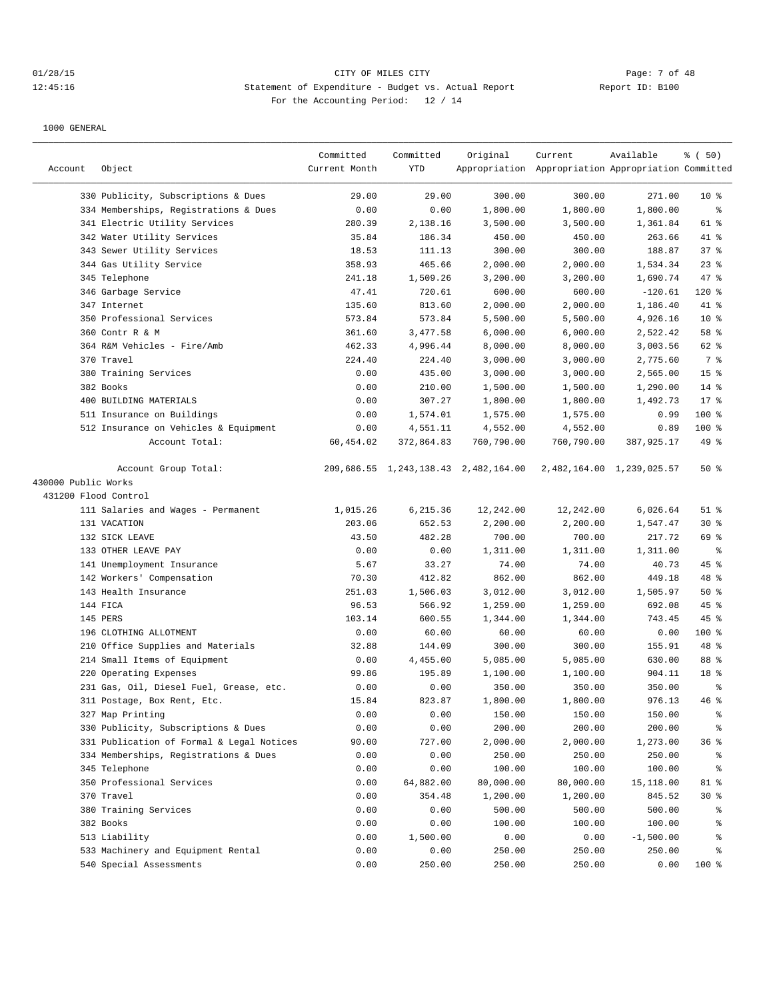## 01/28/15 CITY OF MILES CITY Page: 7 of 48 12:45:16 Statement of Expenditure - Budget vs. Actual Report Changer Report ID: B100 For the Accounting Period: 12 / 14

|                     |                                           | Committed     | Committed  | Original                             | Current                                             | Available                 | % (50)          |
|---------------------|-------------------------------------------|---------------|------------|--------------------------------------|-----------------------------------------------------|---------------------------|-----------------|
| Account             | Object                                    | Current Month | <b>YTD</b> |                                      | Appropriation Appropriation Appropriation Committed |                           |                 |
|                     | 330 Publicity, Subscriptions & Dues       | 29.00         | 29.00      | 300.00                               | 300.00                                              | 271.00                    | 10 <sup>8</sup> |
|                     | 334 Memberships, Registrations & Dues     | 0.00          | 0.00       | 1,800.00                             | 1,800.00                                            | 1,800.00                  | နွ              |
|                     | 341 Electric Utility Services             | 280.39        | 2,138.16   | 3,500.00                             | 3,500.00                                            | 1,361.84                  | 61 %            |
|                     | 342 Water Utility Services                | 35.84         | 186.34     | 450.00                               | 450.00                                              | 263.66                    | 41 %            |
|                     | 343 Sewer Utility Services                | 18.53         | 111.13     | 300.00                               | 300.00                                              | 188.87                    | 37%             |
|                     | 344 Gas Utility Service                   | 358.93        | 465.66     | 2,000.00                             | 2,000.00                                            | 1,534.34                  | 23%             |
|                     | 345 Telephone                             | 241.18        | 1,509.26   | 3,200.00                             | 3,200.00                                            | 1,690.74                  | 47 %            |
|                     | 346 Garbage Service                       | 47.41         | 720.61     | 600.00                               | 600.00                                              | $-120.61$                 | 120 %           |
|                     | 347 Internet                              | 135.60        | 813.60     | 2,000.00                             | 2,000.00                                            | 1,186.40                  | 41 %            |
|                     | 350 Professional Services                 | 573.84        | 573.84     | 5,500.00                             | 5,500.00                                            | 4,926.16                  | 10 <sup>8</sup> |
|                     | 360 Contr R & M                           | 361.60        | 3,477.58   | 6,000.00                             | 6,000.00                                            | 2,522.42                  | 58 %            |
|                     | 364 R&M Vehicles - Fire/Amb               | 462.33        | 4,996.44   | 8,000.00                             | 8,000.00                                            | 3,003.56                  | 62 %            |
|                     | 370 Travel                                | 224.40        | 224.40     | 3,000.00                             | 3,000.00                                            | 2,775.60                  | 7 %             |
|                     | 380 Training Services                     | 0.00          | 435.00     | 3,000.00                             | 3,000.00                                            | 2,565.00                  | 15 <sup>°</sup> |
|                     | 382 Books                                 | 0.00          | 210.00     | 1,500.00                             | 1,500.00                                            | 1,290.00                  | 14 %            |
|                     | 400 BUILDING MATERIALS                    | 0.00          | 307.27     | 1,800.00                             | 1,800.00                                            | 1,492.73                  | 17.8            |
|                     | 511 Insurance on Buildings                | 0.00          | 1,574.01   | 1,575.00                             | 1,575.00                                            | 0.99                      | 100 %           |
|                     | 512 Insurance on Vehicles & Equipment     | 0.00          | 4,551.11   | 4,552.00                             | 4,552.00                                            | 0.89                      | 100 %           |
|                     | Account Total:                            | 60,454.02     | 372,864.83 | 760,790.00                           | 760,790.00                                          | 387,925.17                | 49 %            |
|                     | Account Group Total:                      |               |            | 209,686.55 1,243,138.43 2,482,164.00 |                                                     | 2,482,164.00 1,239,025.57 | 50%             |
| 430000 Public Works |                                           |               |            |                                      |                                                     |                           |                 |
|                     | 431200 Flood Control                      |               |            |                                      |                                                     |                           |                 |
|                     | 111 Salaries and Wages - Permanent        | 1,015.26      | 6,215.36   | 12,242.00                            | 12,242.00                                           | 6,026.64                  | $51$ %          |
|                     | 131 VACATION                              | 203.06        | 652.53     | 2,200.00                             | 2,200.00                                            | 1,547.47                  | $30*$           |
|                     | 132 SICK LEAVE                            | 43.50         | 482.28     | 700.00                               | 700.00                                              | 217.72                    | 69 %            |
|                     | 133 OTHER LEAVE PAY                       | 0.00          | 0.00       | 1,311.00                             | 1,311.00                                            | 1,311.00                  | နွ              |
|                     | 141 Unemployment Insurance                | 5.67          | 33.27      | 74.00                                | 74.00                                               | 40.73                     | 45%             |
|                     | 142 Workers' Compensation                 | 70.30         | 412.82     | 862.00                               | 862.00                                              | 449.18                    | 48 %            |
|                     | 143 Health Insurance                      | 251.03        | 1,506.03   | 3,012.00                             | 3,012.00                                            | 1,505.97                  | 50%             |
|                     | 144 FICA                                  | 96.53         | 566.92     | 1,259.00                             | 1,259.00                                            | 692.08                    | $45$ %          |
|                     | 145 PERS                                  | 103.14        | 600.55     | 1,344.00                             | 1,344.00                                            | 743.45                    | 45 %            |
|                     | 196 CLOTHING ALLOTMENT                    | 0.00          | 60.00      | 60.00                                | 60.00                                               | 0.00                      | 100 %           |
|                     | 210 Office Supplies and Materials         | 32.88         | 144.09     | 300.00                               | 300.00                                              | 155.91                    | 48 %            |
|                     | 214 Small Items of Equipment              | 0.00          | 4,455.00   | 5,085.00                             | 5,085.00                                            | 630.00                    | 88 %            |
|                     | 220 Operating Expenses                    | 99.86         | 195.89     | 1,100.00                             | 1,100.00                                            | 904.11                    | 18 %            |
|                     | 231 Gas, Oil, Diesel Fuel, Grease, etc.   | 0.00          | 0.00       | 350.00                               | 350.00                                              | 350.00                    | ి               |
|                     | 311 Postage, Box Rent, Etc.               | 15.84         | 823.87     | 1,800.00                             | 1,800.00                                            | 976.13                    | 46%             |
|                     | 327 Map Printing                          | 0.00          | 0.00       | 150.00                               | 150.00                                              | 150.00                    | ိင              |
|                     | 330 Publicity, Subscriptions & Dues       | 0.00          | 0.00       | 200.00                               | 200.00                                              | 200.00                    | န္              |
|                     | 331 Publication of Formal & Legal Notices | 90.00         | 727.00     | 2,000.00                             | 2,000.00                                            | 1,273.00                  | 36%             |
|                     | 334 Memberships, Registrations & Dues     | 0.00          | 0.00       | 250.00                               | 250.00                                              | 250.00                    | ိင              |
|                     | 345 Telephone                             | 0.00          | 0.00       | 100.00                               | 100.00                                              | 100.00                    | ိင              |
|                     | 350 Professional Services                 | 0.00          | 64,882.00  | 80,000.00                            | 80,000.00                                           | 15,118.00                 | 81 %            |
|                     | 370 Travel                                | 0.00          | 354.48     | 1,200.00                             | 1,200.00                                            | 845.52                    | $30*$           |
|                     | 380 Training Services                     | 0.00          | 0.00       | 500.00                               | 500.00                                              | 500.00                    | ွေ              |
|                     | 382 Books                                 | 0.00          | 0.00       | 100.00                               | 100.00                                              | 100.00                    | ႜ               |
|                     | 513 Liability                             | 0.00          | 1,500.00   | 0.00                                 | 0.00                                                | $-1,500.00$               | ႜ               |
|                     | 533 Machinery and Equipment Rental        | 0.00          | 0.00       | 250.00                               | 250.00                                              | 250.00                    | ి               |
|                     | 540 Special Assessments                   | 0.00          | 250.00     | 250.00                               | 250.00                                              | 0.00                      | 100 %           |
|                     |                                           |               |            |                                      |                                                     |                           |                 |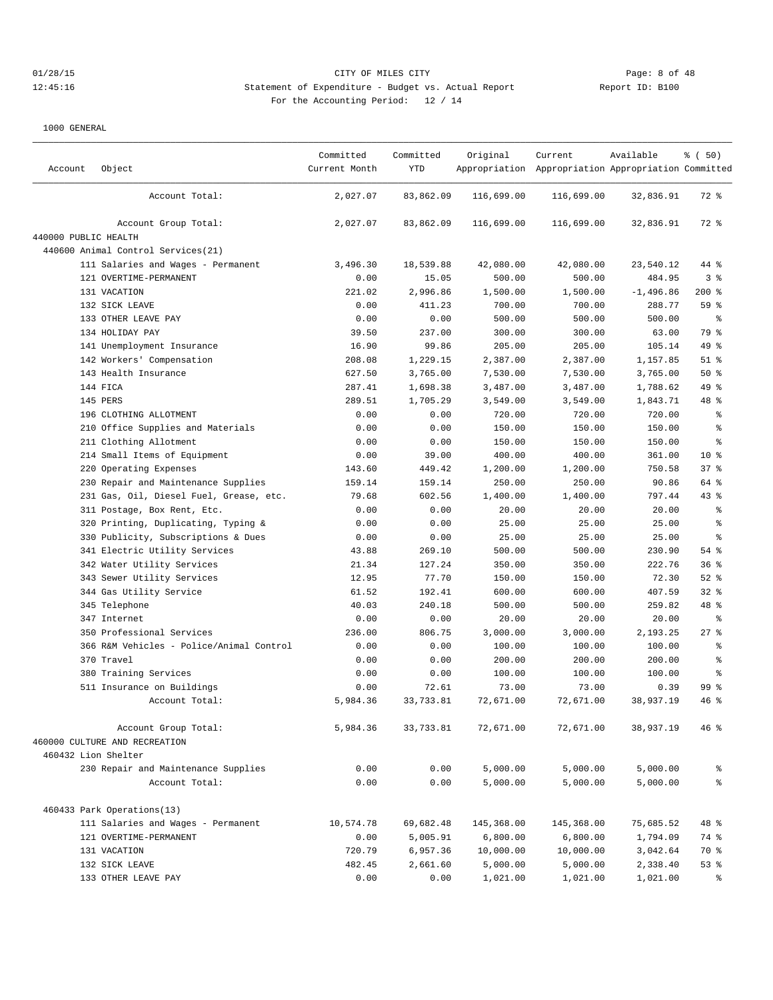# 01/28/15 CITY OF MILES CITY Page: 8 of 48 12:45:16 Statement of Expenditure - Budget vs. Actual Report Changery Report ID: B100 For the Accounting Period: 12 / 14

| Account              | Object                                   | Committed<br>Current Month | Committed<br><b>YTD</b> | Original   | Current<br>Appropriation Appropriation Appropriation Committed | Available   | % (50)          |
|----------------------|------------------------------------------|----------------------------|-------------------------|------------|----------------------------------------------------------------|-------------|-----------------|
|                      | Account Total:                           | 2,027.07                   | 83,862.09               | 116,699.00 | 116,699.00                                                     | 32,836.91   | 72 %            |
|                      | Account Group Total:                     | 2,027.07                   | 83,862.09               | 116,699.00 | 116,699.00                                                     | 32,836.91   | $72$ $%$        |
| 440000 PUBLIC HEALTH |                                          |                            |                         |            |                                                                |             |                 |
|                      | 440600 Animal Control Services (21)      |                            |                         |            |                                                                |             |                 |
|                      | 111 Salaries and Wages - Permanent       | 3,496.30                   | 18,539.88               | 42,080.00  | 42,080.00                                                      | 23,540.12   | 44 %            |
|                      | 121 OVERTIME-PERMANENT                   | 0.00                       | 15.05                   | 500.00     | 500.00                                                         | 484.95      | 3 <sup>8</sup>  |
|                      | 131 VACATION                             | 221.02                     | 2,996.86                | 1,500.00   | 1,500.00                                                       | $-1,496.86$ | $200$ %         |
|                      | 132 SICK LEAVE                           | 0.00                       | 411.23                  | 700.00     | 700.00                                                         | 288.77      | 59 %            |
|                      | 133 OTHER LEAVE PAY                      | 0.00                       | 0.00                    | 500.00     | 500.00                                                         | 500.00      | နွ              |
|                      | 134 HOLIDAY PAY                          | 39.50                      | 237.00                  | 300.00     | 300.00                                                         | 63.00       | 79 %            |
|                      | 141 Unemployment Insurance               | 16.90                      | 99.86                   | 205.00     | 205.00                                                         | 105.14      | 49 %            |
|                      | 142 Workers' Compensation                | 208.08                     | 1,229.15                | 2,387.00   | 2,387.00                                                       | 1,157.85    | $51$ %          |
|                      | 143 Health Insurance                     | 627.50                     | 3,765.00                | 7,530.00   | 7,530.00                                                       | 3,765.00    | 50%             |
|                      | 144 FICA                                 | 287.41                     | 1,698.38                | 3,487.00   | 3,487.00                                                       | 1,788.62    | 49 %            |
|                      | 145 PERS                                 | 289.51                     | 1,705.29                | 3,549.00   | 3,549.00                                                       | 1,843.71    | 48 %            |
|                      | 196 CLOTHING ALLOTMENT                   | 0.00                       | 0.00                    | 720.00     | 720.00                                                         | 720.00      | $\epsilon$      |
|                      | 210 Office Supplies and Materials        | 0.00                       | 0.00                    | 150.00     | 150.00                                                         | 150.00      | နွ              |
|                      | 211 Clothing Allotment                   | 0.00                       | 0.00                    | 150.00     | 150.00                                                         | 150.00      | $\epsilon$      |
|                      | 214 Small Items of Equipment             | 0.00                       | 39.00                   | 400.00     | 400.00                                                         | 361.00      | $10*$           |
|                      | 220 Operating Expenses                   | 143.60                     | 449.42                  | 1,200.00   | 1,200.00                                                       | 750.58      | 378             |
|                      | 230 Repair and Maintenance Supplies      | 159.14                     | 159.14                  | 250.00     | 250.00                                                         | 90.86       | 64 %            |
|                      | 231 Gas, Oil, Diesel Fuel, Grease, etc.  | 79.68                      | 602.56                  | 1,400.00   | 1,400.00                                                       | 797.44      | $43$ $%$        |
|                      | 311 Postage, Box Rent, Etc.              | 0.00                       | 0.00                    | 20.00      | 20.00                                                          | 20.00       | $\epsilon$      |
|                      | 320 Printing, Duplicating, Typing &      | 0.00                       | 0.00                    | 25.00      | 25.00                                                          | 25.00       | $\,$ $\,$ $\,$  |
|                      | 330 Publicity, Subscriptions & Dues      | 0.00                       | 0.00                    | 25.00      | 25.00                                                          | 25.00       | န္              |
|                      | 341 Electric Utility Services            | 43.88                      | 269.10                  | 500.00     | 500.00                                                         | 230.90      | 54 %            |
|                      | 342 Water Utility Services               | 21.34                      | 127.24                  | 350.00     | 350.00                                                         | 222.76      | 36 <sup>8</sup> |
|                      | 343 Sewer Utility Services               | 12.95                      | 77.70                   | 150.00     | 150.00                                                         | 72.30       | $52$ $%$        |
|                      | 344 Gas Utility Service                  | 61.52                      | 192.41                  | 600.00     | 600.00                                                         | 407.59      | $32$ $%$        |
|                      | 345 Telephone                            | 40.03                      | 240.18                  | 500.00     | 500.00                                                         | 259.82      | 48 %            |
|                      | 347 Internet                             | 0.00                       | 0.00                    | 20.00      | 20.00                                                          | 20.00       | ႜ               |
|                      | 350 Professional Services                | 236.00                     | 806.75                  | 3,000.00   | 3,000.00                                                       | 2,193.25    | 27%             |
|                      | 366 R&M Vehicles - Police/Animal Control | 0.00                       | 0.00                    | 100.00     | 100.00                                                         | 100.00      | $\epsilon$      |
|                      | 370 Travel                               | 0.00                       | 0.00                    | 200.00     | 200.00                                                         | 200.00      | $\epsilon$      |
|                      | 380 Training Services                    | 0.00                       | 0.00                    | 100.00     | 100.00                                                         | 100.00      | န္              |
|                      | 511 Insurance on Buildings               | 0.00                       | 72.61                   | 73.00      | 73.00                                                          | 0.39        | 99 %            |
|                      | Account Total:                           | 5,984.36                   | 33,733.81               | 72,671.00  | 72,671.00                                                      | 38,937.19   | 46%             |
|                      | Account Group Total:                     | 5,984.36                   | 33,733.81               | 72,671.00  | 72,671.00                                                      | 38,937.19   | 46%             |
|                      | 460000 CULTURE AND RECREATION            |                            |                         |            |                                                                |             |                 |
|                      | 460432 Lion Shelter                      |                            |                         |            |                                                                |             |                 |
|                      | 230 Repair and Maintenance Supplies      | 0.00                       | 0.00                    | 5,000.00   | 5,000.00                                                       | 5,000.00    | နွ              |
|                      | Account Total:                           | 0.00                       | 0.00                    | 5,000.00   | 5,000.00                                                       | 5,000.00    | ್ಠಿ             |
|                      | 460433 Park Operations(13)               |                            |                         |            |                                                                |             |                 |
|                      | 111 Salaries and Wages - Permanent       | 10,574.78                  | 69,682.48               | 145,368.00 | 145,368.00                                                     | 75,685.52   | 48 %            |
|                      | 121 OVERTIME-PERMANENT                   | 0.00                       | 5,005.91                | 6,800.00   | 6,800.00                                                       | 1,794.09    | 74 %            |
|                      | 131 VACATION                             | 720.79                     | 6,957.36                | 10,000.00  | 10,000.00                                                      | 3,042.64    | 70 %            |
|                      | 132 SICK LEAVE                           | 482.45                     | 2,661.60                | 5,000.00   | 5,000.00                                                       | 2,338.40    | 53%             |
|                      | 133 OTHER LEAVE PAY                      | 0.00                       | 0.00                    | 1,021.00   | 1,021.00                                                       | 1,021.00    | ွေ              |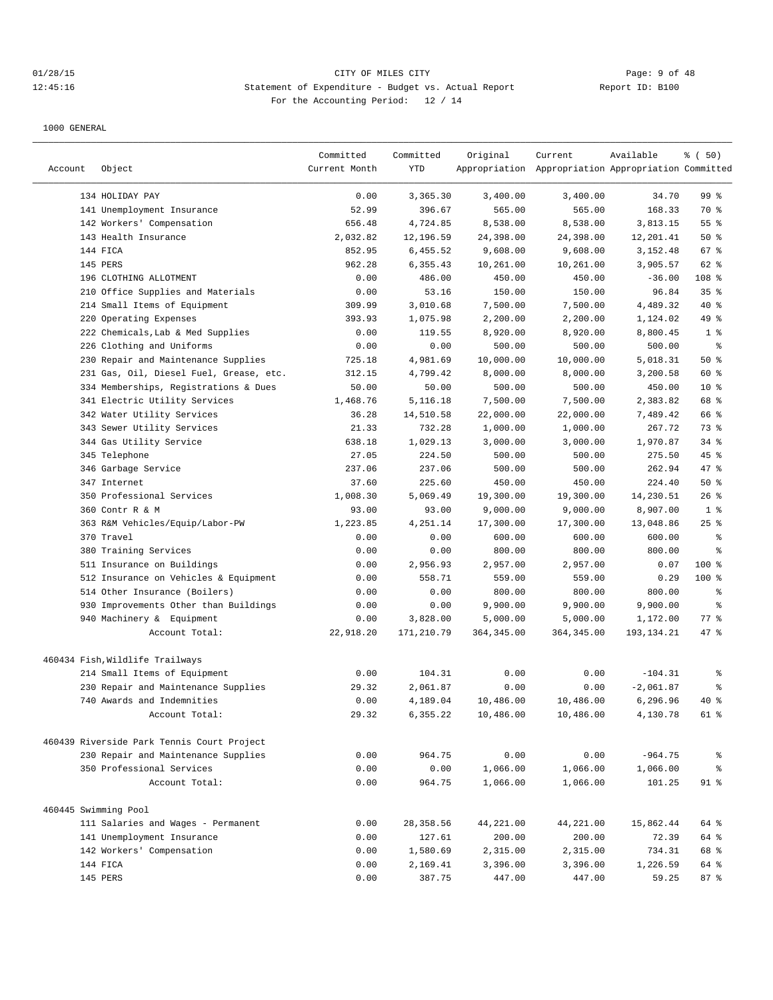## 01/28/15 CITY OF MILES CITY Page: 9 of 48 12:45:16 Statement of Expenditure - Budget vs. Actual Report Changer Report ID: B100 For the Accounting Period: 12 / 14

| Account              | Object                                     | Committed<br>Current Month | Committed<br>YTD | Original    | Current<br>Appropriation Appropriation Appropriation Committed | Available    | % (50)          |
|----------------------|--------------------------------------------|----------------------------|------------------|-------------|----------------------------------------------------------------|--------------|-----------------|
|                      | 134 HOLIDAY PAY                            | 0.00                       | 3,365.30         | 3,400.00    | 3,400.00                                                       | 34.70        | 99 %            |
|                      | 141 Unemployment Insurance                 | 52.99                      | 396.67           | 565.00      | 565.00                                                         | 168.33       | 70 %            |
|                      | 142 Workers' Compensation                  | 656.48                     | 4,724.85         | 8,538.00    | 8,538.00                                                       | 3,813.15     | 55%             |
|                      | 143 Health Insurance                       | 2,032.82                   | 12,196.59        | 24,398.00   | 24,398.00                                                      | 12,201.41    | 50%             |
|                      | 144 FICA                                   | 852.95                     | 6,455.52         | 9,608.00    | 9,608.00                                                       | 3,152.48     | 67 %            |
|                      | 145 PERS                                   | 962.28                     | 6,355.43         | 10,261.00   | 10,261.00                                                      | 3,905.57     | 62 %            |
|                      | 196 CLOTHING ALLOTMENT                     | 0.00                       | 486.00           | 450.00      | 450.00                                                         | $-36.00$     | 108 %           |
|                      | 210 Office Supplies and Materials          | 0.00                       | 53.16            | 150.00      | 150.00                                                         | 96.84        | 35%             |
|                      | 214 Small Items of Equipment               | 309.99                     | 3,010.68         | 7,500.00    | 7,500.00                                                       | 4,489.32     | 40 %            |
| 220                  | Operating Expenses                         | 393.93                     | 1,075.98         | 2,200.00    | 2,200.00                                                       | 1,124.02     | 49 %            |
|                      | 222 Chemicals, Lab & Med Supplies          | 0.00                       | 119.55           | 8,920.00    | 8,920.00                                                       | 8,800.45     | 1 <sup>8</sup>  |
|                      | 226 Clothing and Uniforms                  | 0.00                       | 0.00             | 500.00      | 500.00                                                         | 500.00       | $\epsilon$      |
|                      | 230 Repair and Maintenance Supplies        | 725.18                     | 4,981.69         | 10,000.00   | 10,000.00                                                      | 5,018.31     | 50%             |
|                      | 231 Gas, Oil, Diesel Fuel, Grease, etc.    | 312.15                     | 4,799.42         | 8,000.00    | 8,000.00                                                       | 3,200.58     | 60 %            |
|                      | 334 Memberships, Registrations & Dues      | 50.00                      | 50.00            | 500.00      | 500.00                                                         | 450.00       | 10 <sup>8</sup> |
|                      | 341 Electric Utility Services              | 1,468.76                   | 5,116.18         | 7,500.00    | 7,500.00                                                       | 2,383.82     | 68 %            |
|                      | 342 Water Utility Services                 | 36.28                      | 14,510.58        | 22,000.00   | 22,000.00                                                      | 7,489.42     | 66 %            |
|                      | 343 Sewer Utility Services                 | 21.33                      | 732.28           | 1,000.00    | 1,000.00                                                       | 267.72       | 73 %            |
|                      | 344 Gas Utility Service                    | 638.18                     | 1,029.13         | 3,000.00    | 3,000.00                                                       | 1,970.87     | $34$ $%$        |
|                      | 345 Telephone                              | 27.05                      | 224.50           | 500.00      | 500.00                                                         | 275.50       | 45 %            |
|                      | 346 Garbage Service                        | 237.06                     | 237.06           | 500.00      | 500.00                                                         | 262.94       | 47 %            |
|                      | 347 Internet                               | 37.60                      | 225.60           | 450.00      | 450.00                                                         | 224.40       | 50%             |
|                      | 350 Professional Services                  | 1,008.30                   | 5,069.49         | 19,300.00   | 19,300.00                                                      | 14,230.51    | $26$ %          |
|                      | 360 Contr R & M                            | 93.00                      | 93.00            | 9,000.00    | 9,000.00                                                       | 8,907.00     | 1 <sup>°</sup>  |
|                      | 363 R&M Vehicles/Equip/Labor-PW            | 1,223.85                   | 4,251.14         | 17,300.00   | 17,300.00                                                      | 13,048.86    | 25%             |
|                      | 370 Travel                                 | 0.00                       | 0.00             | 600.00      | 600.00                                                         | 600.00       | န္              |
|                      | 380 Training Services                      | 0.00                       | 0.00             | 800.00      | 800.00                                                         | 800.00       | န္              |
|                      | 511 Insurance on Buildings                 | 0.00                       | 2,956.93         | 2,957.00    | 2,957.00                                                       | 0.07         | $100$ %         |
|                      | 512 Insurance on Vehicles & Equipment      | 0.00                       | 558.71           | 559.00      | 559.00                                                         | 0.29         | $100$ %         |
|                      | 514 Other Insurance (Boilers)              | 0.00                       | 0.00             | 800.00      | 800.00                                                         | 800.00       | န့              |
|                      | 930 Improvements Other than Buildings      | 0.00                       | 0.00             | 9,900.00    | 9,900.00                                                       | 9,900.00     | ႜ               |
|                      | 940 Machinery & Equipment                  | 0.00                       | 3,828.00         | 5,000.00    | 5,000.00                                                       | 1,172.00     | $77$ $%$        |
|                      | Account Total:                             | 22,918.20                  | 171,210.79       | 364, 345.00 | 364, 345.00                                                    | 193, 134. 21 | $47$ %          |
|                      | 460434 Fish, Wildlife Trailways            |                            |                  |             |                                                                |              |                 |
|                      | 214 Small Items of Equipment               | 0.00                       | 104.31           | 0.00        | 0.00                                                           | $-104.31$    | ႜ               |
|                      | 230 Repair and Maintenance Supplies        | 29.32                      | 2,061.87         | 0.00        | 0.00                                                           | $-2,061.87$  | န္              |
|                      | 740 Awards and Indemnities                 | 0.00                       | 4,189.04         | 10,486.00   | 10,486.00                                                      | 6,296.96     | $40*$           |
|                      | Account Total:                             | 29.32                      | 6,355.22         | 10,486.00   | 10,486.00                                                      | 4,130.78     | 61 %            |
|                      | 460439 Riverside Park Tennis Court Project |                            |                  |             |                                                                |              |                 |
|                      | 230 Repair and Maintenance Supplies        | 0.00                       | 964.75           | 0.00        | 0.00                                                           | $-964.75$    | န့              |
|                      | 350 Professional Services                  | 0.00                       | 0.00             | 1,066.00    | 1,066.00                                                       | 1,066.00     | ႜ               |
|                      | Account Total:                             | 0.00                       | 964.75           | 1,066.00    | 1,066.00                                                       | 101.25       | $91$ %          |
| 460445 Swimming Pool |                                            |                            |                  |             |                                                                |              |                 |
|                      | 111 Salaries and Wages - Permanent         | 0.00                       | 28,358.56        | 44,221.00   | 44,221.00                                                      | 15,862.44    | 64 %            |
|                      | 141 Unemployment Insurance                 | 0.00                       | 127.61           | 200.00      | 200.00                                                         | 72.39        | 64 %            |
|                      | 142 Workers' Compensation                  | 0.00                       | 1,580.69         | 2,315.00    | 2,315.00                                                       | 734.31       | 68 %            |
|                      | 144 FICA                                   | 0.00                       | 2,169.41         | 3,396.00    | 3,396.00                                                       | 1,226.59     | 64 %            |
|                      | 145 PERS                                   | 0.00                       | 387.75           | 447.00      | 447.00                                                         | 59.25        | 87%             |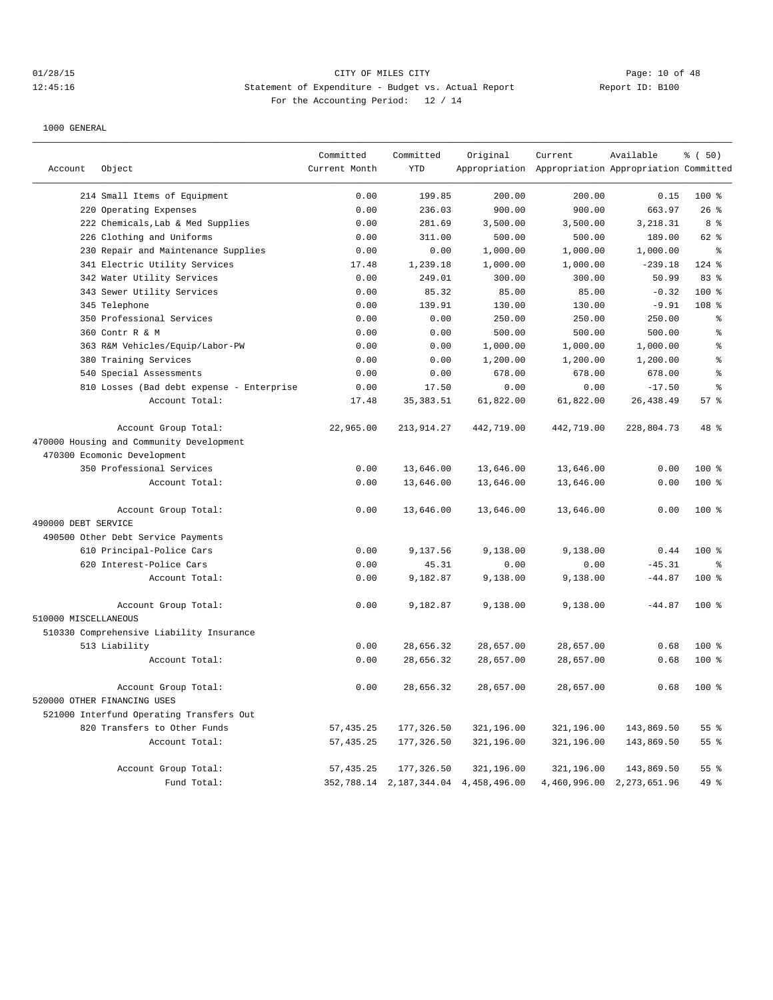## 01/28/15 Page: 10 of 48 12:45:16 Statement of Expenditure - Budget vs. Actual Report Changer Report ID: B100 For the Accounting Period: 12 / 14

|                      |                                           | Committed     | Committed    | Original                             | Current                                             | Available      | % (50)          |
|----------------------|-------------------------------------------|---------------|--------------|--------------------------------------|-----------------------------------------------------|----------------|-----------------|
| Account              | Object                                    | Current Month | <b>YTD</b>   |                                      | Appropriation Appropriation Appropriation Committed |                |                 |
|                      | 214 Small Items of Equipment              | 0.00          | 199.85       | 200.00                               | 200.00                                              | 0.15           | 100 %           |
|                      | 220 Operating Expenses                    | 0.00          | 236.03       | 900.00                               | 900.00                                              | 663.97         | 26%             |
|                      | 222 Chemicals, Lab & Med Supplies         | 0.00          | 281.69       | 3,500.00                             | 3,500.00                                            | 3,218.31       | 8 %             |
|                      | 226 Clothing and Uniforms                 | 0.00          | 311.00       | 500.00                               | 500.00                                              | 189.00         | 62 %            |
|                      | 230 Repair and Maintenance Supplies       | 0.00          | 0.00         | 1,000.00                             | 1,000.00                                            | 1,000.00       | ៖               |
|                      | 341 Electric Utility Services             | 17.48         | 1,239.18     | 1,000.00                             | 1,000.00                                            | $-239.18$      | 124 %           |
|                      | 342 Water Utility Services                | 0.00          | 249.01       | 300.00                               | 300.00                                              | 50.99          | 83%             |
|                      | 343 Sewer Utility Services                | 0.00          | 85.32        | 85.00                                | 85.00                                               | $-0.32$        | $100$ %         |
|                      | 345 Telephone                             | 0.00          | 139.91       | 130.00                               | 130.00                                              | $-9.91$        | 108 %           |
|                      | 350 Professional Services                 | 0.00          | 0.00         | 250.00                               | 250.00                                              | 250.00         | ి               |
|                      | 360 Contr R & M                           | 0.00          | 0.00         | 500.00                               | 500.00                                              | 500.00         | န္              |
|                      | 363 R&M Vehicles/Equip/Labor-PW           | 0.00          | 0.00         | 1,000.00                             | 1,000.00                                            | 1,000.00       | န္              |
|                      | 380 Training Services                     | 0.00          | 0.00         | 1,200.00                             | 1,200.00                                            | 1,200.00       | ÷.              |
|                      | 540 Special Assessments                   | 0.00          | 0.00         | 678.00                               | 678.00                                              | 678.00         | န္              |
|                      | 810 Losses (Bad debt expense - Enterprise | 0.00          | 17.50        | 0.00                                 | 0.00                                                | $-17.50$       | $\approx$       |
|                      | Account Total:                            | 17.48         | 35, 383.51   | 61,822.00                            | 61,822.00                                           | 26, 438.49     | 57%             |
|                      | Account Group Total:                      | 22,965.00     | 213, 914. 27 | 442,719.00                           | 442,719.00                                          | 228,804.73     | 48 %            |
|                      | 470000 Housing and Community Development  |               |              |                                      |                                                     |                |                 |
|                      | 470300 Ecomonic Development               |               |              |                                      |                                                     |                |                 |
|                      | 350 Professional Services                 | 0.00          | 13,646.00    | 13,646.00                            | 13,646.00                                           | 0.00           | $100*$          |
|                      | Account Total:                            | 0.00          | 13,646.00    | 13,646.00                            | 13,646.00                                           | 0.00           | 100 %           |
|                      | Account Group Total:                      | 0.00          | 13,646.00    | 13,646.00                            | 13,646.00                                           | 0.00           | 100 %           |
| 490000 DEBT SERVICE  |                                           |               |              |                                      |                                                     |                |                 |
|                      | 490500 Other Debt Service Payments        |               |              |                                      |                                                     |                |                 |
|                      | 610 Principal-Police Cars                 | 0.00          | 9,137.56     | 9,138.00                             | 9,138.00                                            | 0.44           | 100 %           |
|                      | 620 Interest-Police Cars                  | 0.00          | 45.31        | 0.00                                 | 0.00                                                | $-45.31$       | °               |
|                      | Account Total:                            | 0.00          | 9,182.87     | 9,138.00                             | 9,138.00                                            | $-44.87$       | $100*$          |
|                      | Account Group Total:                      | 0.00          | 9,182.87     | 9,138.00                             | 9,138.00                                            | $-44.87$       | $100*$          |
| 510000 MISCELLANEOUS |                                           |               |              |                                      |                                                     |                |                 |
|                      | 510330 Comprehensive Liability Insurance  |               |              |                                      |                                                     |                |                 |
|                      | 513 Liability                             | 0.00          | 28,656.32    | 28,657.00                            | 28,657.00                                           | 0.68           | 100 %           |
|                      | Account Total:                            | 0.00          | 28,656.32    | 28,657.00                            | 28,657.00                                           | 0.68           | 100 %           |
|                      |                                           |               |              |                                      |                                                     |                |                 |
|                      | Account Group Total:                      | 0.00          | 28,656.32    | 28,657.00                            | 28,657.00                                           | 0.68           | 100 %           |
|                      | 520000 OTHER FINANCING USES               |               |              |                                      |                                                     |                |                 |
|                      | 521000 Interfund Operating Transfers Out  |               |              |                                      |                                                     |                |                 |
|                      | 820 Transfers to Other Funds              | 57, 435.25    | 177,326.50   | 321,196.00                           | 321,196.00                                          | 143,869.50     | 55 %            |
|                      | Account Total:                            | 57, 435.25    | 177,326.50   | 321,196.00                           | 321,196.00                                          | 143,869.50     | 55 <sup>8</sup> |
|                      | Account Group Total:                      | 57, 435.25    | 177,326.50   | 321,196.00                           | 321,196.00                                          | 143,869.50     | 55%             |
|                      | Fund Total:                               |               |              | 352,788.14 2,187,344.04 4,458,496.00 | 4,460,996.00                                        | 2, 273, 651.96 | 49 %            |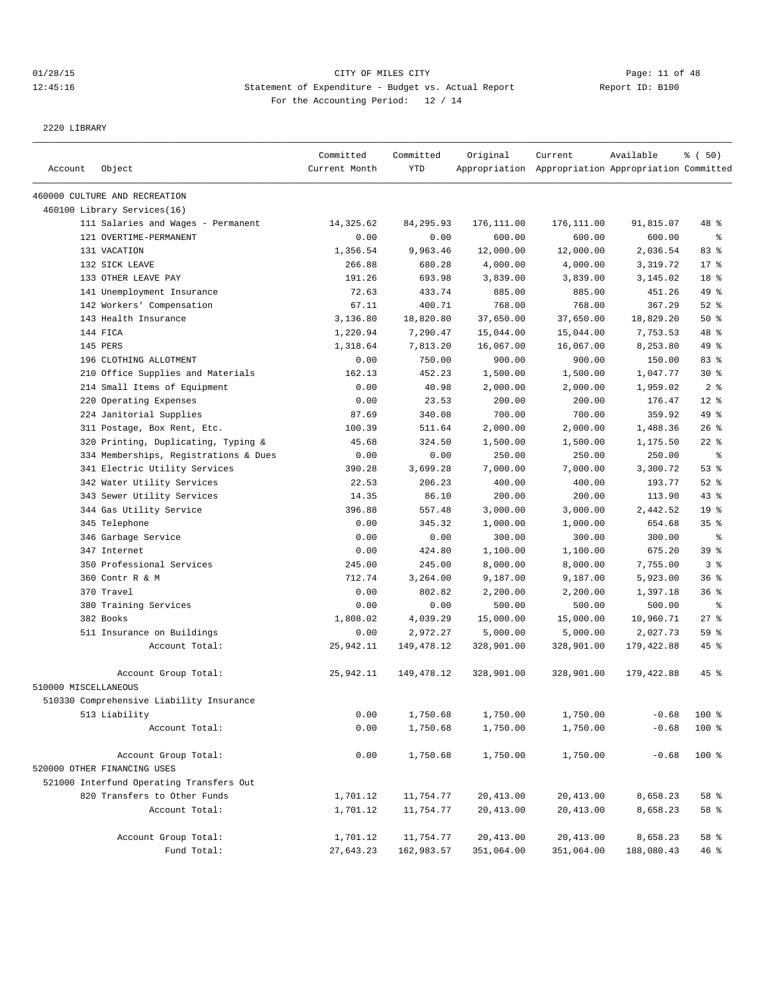## 01/28/15 Page: 11 of 48 12:45:16 Statement of Expenditure - Budget vs. Actual Report Changery Report ID: B100 For the Accounting Period: 12 / 14

2220 LIBRARY

| Account              | Object                                   | Committed<br>Current Month | Committed<br><b>YTD</b> | Original    | Current<br>Appropriation Appropriation Appropriation Committed | Available  | % (50)          |
|----------------------|------------------------------------------|----------------------------|-------------------------|-------------|----------------------------------------------------------------|------------|-----------------|
|                      |                                          |                            |                         |             |                                                                |            |                 |
|                      | 460000 CULTURE AND RECREATION            |                            |                         |             |                                                                |            |                 |
|                      | 460100 Library Services(16)              |                            |                         |             |                                                                |            |                 |
|                      | 111 Salaries and Wages - Permanent       | 14,325.62                  | 84, 295.93              | 176, 111.00 | 176,111.00                                                     | 91,815.07  | 48 %            |
|                      | 121 OVERTIME-PERMANENT                   | 0.00                       | 0.00                    | 600.00      | 600.00                                                         | 600.00     | $\epsilon$      |
|                      | 131 VACATION                             | 1,356.54                   | 9,963.46                | 12,000.00   | 12,000.00                                                      | 2,036.54   | 83 %            |
|                      | 132 SICK LEAVE                           | 266.88                     | 680.28                  | 4,000.00    | 4,000.00                                                       | 3,319.72   | $17$ %          |
|                      | 133 OTHER LEAVE PAY                      | 191.26                     | 693.98                  | 3,839.00    | 3,839.00                                                       | 3,145.02   | 18 %            |
|                      | 141 Unemployment Insurance               | 72.63                      | 433.74                  | 885.00      | 885.00                                                         | 451.26     | 49 %            |
|                      | 142 Workers' Compensation                | 67.11                      | 400.71                  | 768.00      | 768.00                                                         | 367.29     | $52$ $%$        |
|                      | 143 Health Insurance                     | 3,136.80                   | 18,820.80               | 37,650.00   | 37,650.00                                                      | 18,829.20  | 50%             |
|                      | 144 FICA                                 | 1,220.94                   | 7,290.47                | 15,044.00   | 15,044.00                                                      | 7,753.53   | 48 %            |
|                      | 145 PERS                                 | 1,318.64                   | 7,813.20                | 16,067.00   | 16,067.00                                                      | 8,253.80   | 49 %            |
|                      | 196 CLOTHING ALLOTMENT                   | 0.00                       | 750.00                  | 900.00      | 900.00                                                         | 150.00     | 83%             |
|                      | 210 Office Supplies and Materials        | 162.13                     | 452.23                  | 1,500.00    | 1,500.00                                                       | 1,047.77   | $30*$           |
|                      | 214 Small Items of Equipment             | 0.00                       | 40.98                   | 2,000.00    | 2,000.00                                                       | 1,959.02   | 2 <sup>8</sup>  |
|                      | 220 Operating Expenses                   | 0.00                       | 23.53                   | 200.00      | 200.00                                                         | 176.47     | $12$ %          |
|                      | 224 Janitorial Supplies                  | 87.69                      | 340.08                  | 700.00      | 700.00                                                         | 359.92     | 49 %            |
|                      | 311 Postage, Box Rent, Etc.              | 100.39                     | 511.64                  | 2,000.00    | 2,000.00                                                       | 1,488.36   | $26$ %          |
|                      | 320 Printing, Duplicating, Typing &      | 45.68                      | 324.50                  | 1,500.00    | 1,500.00                                                       | 1,175.50   | $22$ %          |
|                      | 334 Memberships, Registrations & Dues    | 0.00                       | 0.00                    | 250.00      | 250.00                                                         | 250.00     | $\epsilon$      |
|                      | 341 Electric Utility Services            | 390.28                     | 3,699.28                | 7,000.00    | 7,000.00                                                       | 3,300.72   | 53%             |
|                      | 342 Water Utility Services               | 22.53                      | 206.23                  | 400.00      | 400.00                                                         | 193.77     | $52$ $%$        |
|                      | 343 Sewer Utility Services               | 14.35                      | 86.10                   | 200.00      | 200.00                                                         | 113.90     | $43$ %          |
|                      | 344 Gas Utility Service                  | 396.88                     | 557.48                  | 3,000.00    | 3,000.00                                                       | 2,442.52   | 19 <sup>°</sup> |
|                      | 345 Telephone                            | 0.00                       | 345.32                  | 1,000.00    | 1,000.00                                                       | 654.68     | 35%             |
|                      | 346 Garbage Service                      | 0.00                       | 0.00                    | 300.00      | 300.00                                                         | 300.00     | နွ              |
|                      | 347 Internet                             | 0.00                       | 424.80                  | 1,100.00    | 1,100.00                                                       | 675.20     | 39 %            |
|                      | 350 Professional Services                | 245.00                     | 245.00                  | 8,000.00    | 8,000.00                                                       | 7,755.00   | 3 <sup>°</sup>  |
|                      | 360 Contr R & M                          | 712.74                     | 3,264.00                | 9,187.00    | 9,187.00                                                       | 5,923.00   | 36%             |
|                      | 370 Travel                               | 0.00                       | 802.82                  | 2,200.00    | 2,200.00                                                       | 1,397.18   | 36%             |
|                      | 380 Training Services                    | 0.00                       | 0.00                    | 500.00      | 500.00                                                         | 500.00     | ႜ               |
|                      | 382 Books                                | 1,808.02                   | 4,039.29                | 15,000.00   | 15,000.00                                                      | 10,960.71  | $27$ %          |
|                      | 511 Insurance on Buildings               | 0.00                       | 2,972.27                | 5,000.00    | 5,000.00                                                       | 2,027.73   | 59%             |
|                      | Account Total:                           | 25,942.11                  | 149,478.12              | 328,901.00  | 328,901.00                                                     | 179,422.88 | $45$ %          |
|                      | Account Group Total:                     | 25,942.11                  | 149,478.12              | 328,901.00  | 328,901.00                                                     | 179,422.88 | $45$ %          |
| 510000 MISCELLANEOUS |                                          |                            |                         |             |                                                                |            |                 |
|                      | 510330 Comprehensive Liability Insurance |                            |                         |             |                                                                |            |                 |
|                      | 513 Liability                            | 0.00                       | 1,750.68                | 1,750.00    | 1,750.00                                                       | $-0.68$    | 100 %           |
|                      | Account Total:                           | 0.00                       | 1,750.68                | 1,750.00    | 1,750.00                                                       | $-0.68$    | 100 %           |
|                      | Account Group Total:                     | 0.00                       | 1,750.68                | 1,750.00    | 1,750.00                                                       | $-0.68$    | 100 %           |
|                      | 520000 OTHER FINANCING USES              |                            |                         |             |                                                                |            |                 |
|                      | 521000 Interfund Operating Transfers Out |                            |                         |             |                                                                |            |                 |
|                      | 820 Transfers to Other Funds             | 1,701.12                   | 11,754.77               | 20,413.00   | 20,413.00                                                      | 8,658.23   | 58 %            |
|                      | Account Total:                           | 1,701.12                   | 11,754.77               | 20,413.00   | 20,413.00                                                      | 8,658.23   | 58 %            |
|                      | Account Group Total:                     | 1,701.12                   | 11,754.77               | 20, 413.00  | 20, 413.00                                                     | 8,658.23   | 58 %            |
|                      | Fund Total:                              | 27,643.23                  | 162,983.57              | 351,064.00  | 351,064.00                                                     | 188,080.43 | 46%             |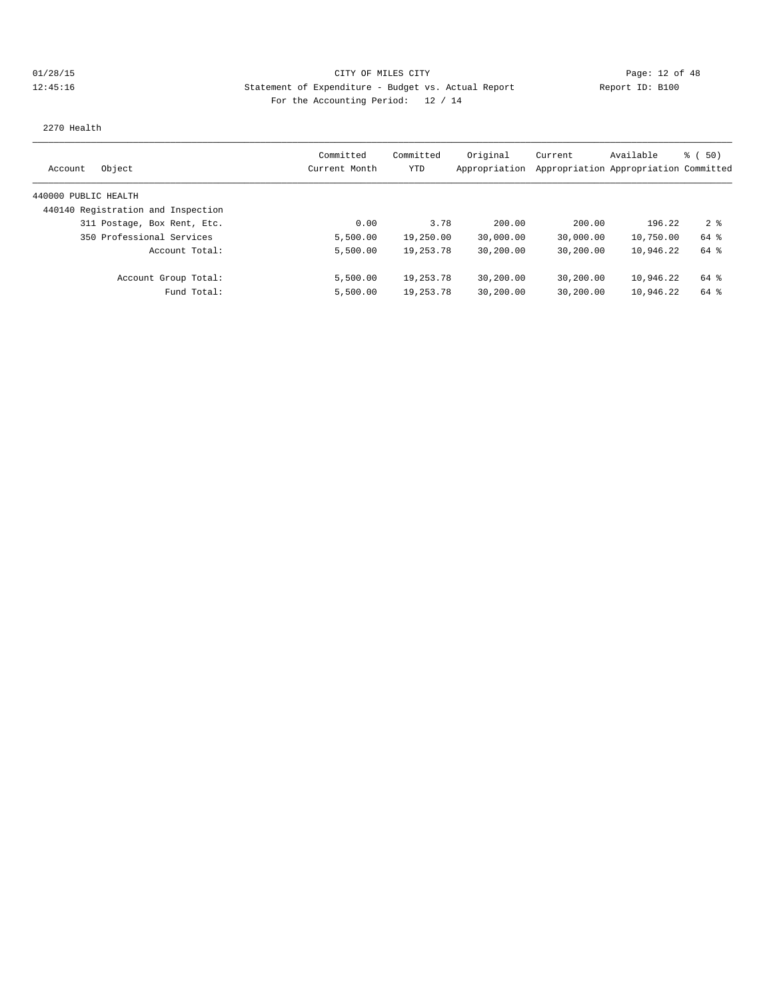# 01/28/15 Page: 12 of 48 12:45:16 Statement of Expenditure - Budget vs. Actual Report Changery Report ID: B100 For the Accounting Period: 12 / 14

2270 Health

| Object<br>Account                  | Committed<br>Current Month | Committed<br>YTD | Original<br>Appropriation | Current   | Available<br>Appropriation Appropriation Committed | ៖ (50) |
|------------------------------------|----------------------------|------------------|---------------------------|-----------|----------------------------------------------------|--------|
| 440000 PUBLIC HEALTH               |                            |                  |                           |           |                                                    |        |
|                                    |                            |                  |                           |           |                                                    |        |
| 440140 Registration and Inspection |                            |                  |                           |           |                                                    |        |
| 311 Postage, Box Rent, Etc.        | 0.00                       | 3.78             | 200.00                    | 200.00    | 196.22                                             | 28     |
| 350 Professional Services          | 5,500.00                   | 19,250.00        | 30,000.00                 | 30,000.00 | 10,750.00                                          | 64 %   |
| Account Total:                     | 5,500.00                   | 19, 253, 78      | 30,200.00                 | 30,200.00 | 10,946.22                                          | 64 %   |
| Account Group Total:               | 5,500.00                   | 19,253.78        | 30,200.00                 | 30,200.00 | 10,946.22                                          | 64 %   |
| Fund Total:                        | 5,500.00                   | 19,253.78        | 30,200.00                 | 30,200.00 | 10,946.22                                          | 64 %   |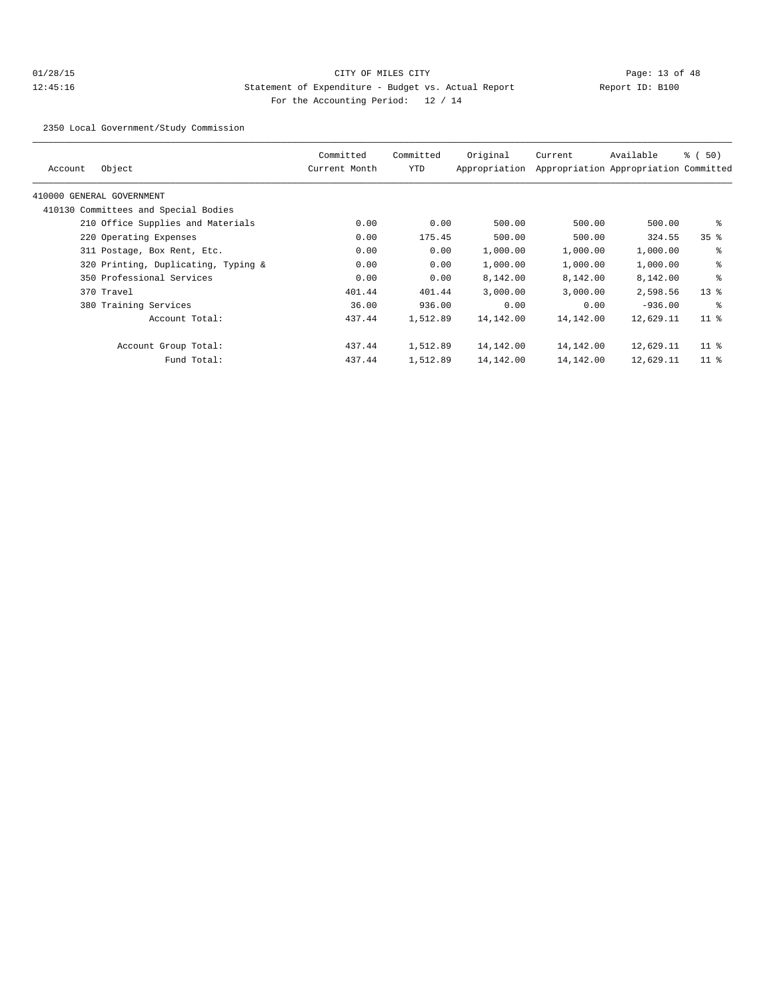## 01/28/15 Page: 13 of 48 12:45:16 Statement of Expenditure - Budget vs. Actual Report Changer Report ID: B100 For the Accounting Period: 12 / 14

2350 Local Government/Study Commission

| Object<br>Account                    | Committed<br>Current Month | Committed<br>YTD | Original<br>Appropriation | Current   | Available<br>Appropriation Appropriation Committed | $\frac{1}{6}$ (50) |
|--------------------------------------|----------------------------|------------------|---------------------------|-----------|----------------------------------------------------|--------------------|
| 410000 GENERAL GOVERNMENT            |                            |                  |                           |           |                                                    |                    |
| 410130 Committees and Special Bodies |                            |                  |                           |           |                                                    |                    |
| 210 Office Supplies and Materials    | 0.00                       | 0.00             | 500.00                    | 500.00    | 500.00                                             | နွ                 |
| 220 Operating Expenses               | 0.00                       | 175.45           | 500.00                    | 500.00    | 324.55                                             | 35 <sup>8</sup>    |
| 311 Postage, Box Rent, Etc.          | 0.00                       | 0.00             | 1,000.00                  | 1,000.00  | 1,000.00                                           | နွ                 |
| 320 Printing, Duplicating, Typing &  | 0.00                       | 0.00             | 1,000.00                  | 1,000.00  | 1,000.00                                           | နွ                 |
| 350 Professional Services            | 0.00                       | 0.00             | 8,142.00                  | 8,142.00  | 8,142.00                                           | နွ                 |
| 370 Travel                           | 401.44                     | 401.44           | 3,000.00                  | 3,000.00  | 2,598.56                                           | $13*$              |
| 380 Training Services                | 36.00                      | 936.00           | 0.00                      | 0.00      | $-936.00$                                          | ႜ                  |
| Account Total:                       | 437.44                     | 1,512.89         | 14,142.00                 | 14,142.00 | 12,629.11                                          | 11 <sup>8</sup>    |
| Account Group Total:                 | 437.44                     | 1,512.89         | 14,142.00                 | 14,142.00 | 12,629.11                                          | $11$ %             |
| Fund Total:                          | 437.44                     | 1,512.89         | 14,142.00                 | 14,142.00 | 12,629.11                                          | $11$ %             |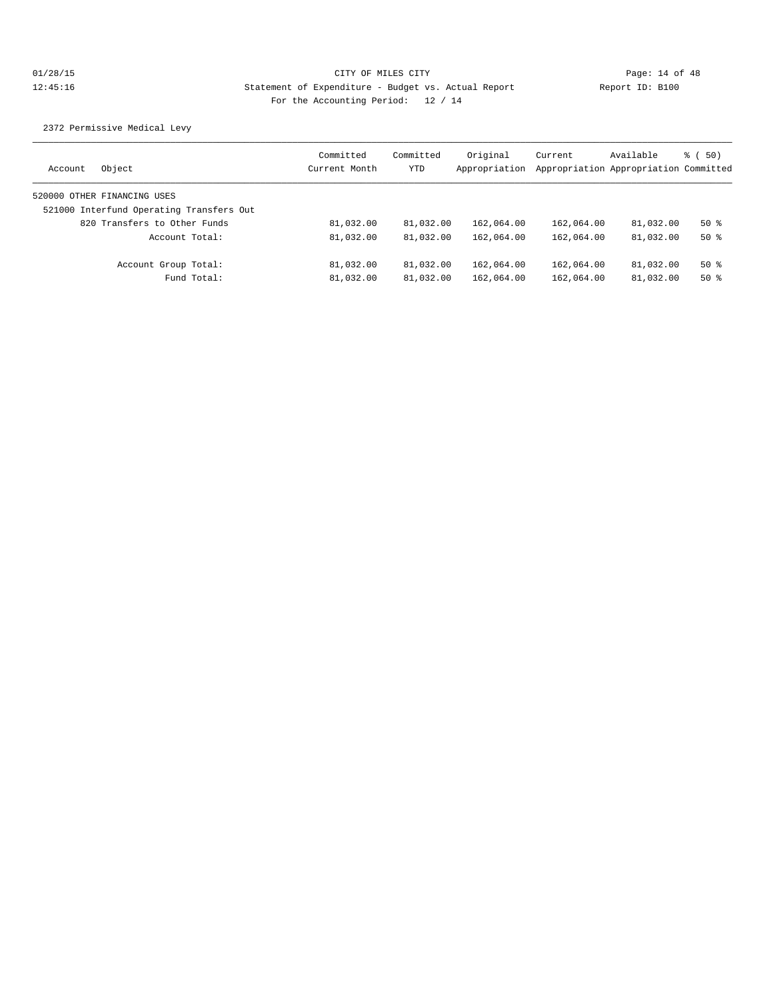2372 Permissive Medical Levy

| Object<br>Account                        | Committed<br>Current Month | Committed<br>YTD | Original<br>Appropriation | Current    | Available<br>Appropriation Appropriation Committed | <sub>ී</sub> (50) |
|------------------------------------------|----------------------------|------------------|---------------------------|------------|----------------------------------------------------|-------------------|
| 520000 OTHER FINANCING USES              |                            |                  |                           |            |                                                    |                   |
| 521000 Interfund Operating Transfers Out |                            |                  |                           |            |                                                    |                   |
| 820 Transfers to Other Funds             | 81,032.00                  | 81,032.00        | 162,064.00                | 162,064.00 | 81,032.00                                          | $50*$             |
| Account Total:                           | 81,032.00                  | 81,032.00        | 162,064.00                | 162,064.00 | 81,032.00                                          | $50*$             |
| Account Group Total:                     | 81,032.00                  | 81,032.00        | 162,064.00                | 162,064.00 | 81,032.00                                          | 50 %              |
| Fund Total:                              | 81,032.00                  | 81,032.00        | 162,064.00                | 162,064.00 | 81,032.00                                          | $50*$             |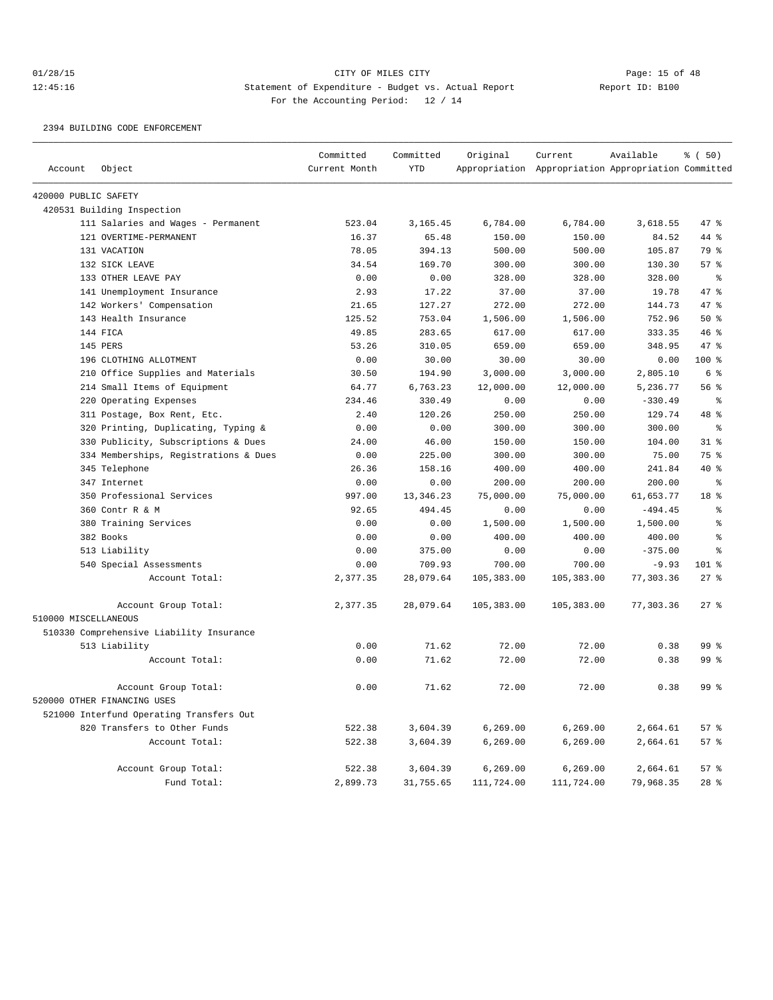## 01/28/15 Page: 15 of 48 12:45:16 Statement of Expenditure - Budget vs. Actual Report Changer Report ID: B100 For the Accounting Period: 12 / 14

#### 2394 BUILDING CODE ENFORCEMENT

|                      |                                          | Committed     | Committed  | Original   | Current                                             | Available | % (50)          |
|----------------------|------------------------------------------|---------------|------------|------------|-----------------------------------------------------|-----------|-----------------|
| Account              | Object                                   | Current Month | <b>YTD</b> |            | Appropriation Appropriation Appropriation Committed |           |                 |
| 420000 PUBLIC SAFETY |                                          |               |            |            |                                                     |           |                 |
|                      | 420531 Building Inspection               |               |            |            |                                                     |           |                 |
|                      | 111 Salaries and Wages - Permanent       | 523.04        | 3,165.45   | 6,784.00   | 6,784.00                                            | 3,618.55  | 47 %            |
|                      | 121 OVERTIME-PERMANENT                   | 16.37         | 65.48      | 150.00     | 150.00                                              | 84.52     | 44 %            |
|                      | 131 VACATION                             | 78.05         | 394.13     | 500.00     | 500.00                                              | 105.87    | 79 %            |
|                      | 132 SICK LEAVE                           | 34.54         | 169.70     | 300.00     | 300.00                                              | 130.30    | 57%             |
|                      | 133 OTHER LEAVE PAY                      | 0.00          | 0.00       | 328.00     | 328.00                                              | 328.00    | နွ              |
|                      | 141 Unemployment Insurance               | 2.93          | 17.22      | 37.00      | 37.00                                               | 19.78     | 47 %            |
|                      | 142 Workers' Compensation                | 21.65         | 127.27     | 272.00     | 272.00                                              | 144.73    | 47 %            |
|                      | 143 Health Insurance                     | 125.52        | 753.04     | 1,506.00   | 1,506.00                                            | 752.96    | 50%             |
|                      | 144 FICA                                 | 49.85         | 283.65     | 617.00     | 617.00                                              | 333.35    | 46%             |
|                      | 145 PERS                                 | 53.26         | 310.05     | 659.00     | 659.00                                              | 348.95    | 47.8            |
|                      | 196 CLOTHING ALLOTMENT                   | 0.00          | 30.00      | 30.00      | 30.00                                               | 0.00      | $100*$          |
|                      | 210 Office Supplies and Materials        | 30.50         | 194.90     | 3,000.00   | 3,000.00                                            | 2,805.10  | 6 <sup>8</sup>  |
|                      | 214 Small Items of Equipment             | 64.77         | 6,763.23   | 12,000.00  | 12,000.00                                           | 5,236.77  | 56 <sup>8</sup> |
|                      | 220 Operating Expenses                   | 234.46        | 330.49     | 0.00       | 0.00                                                | $-330.49$ | $\epsilon$      |
|                      | 311 Postage, Box Rent, Etc.              | 2.40          | 120.26     | 250.00     | 250.00                                              | 129.74    | 48 %            |
|                      | 320 Printing, Duplicating, Typing &      | 0.00          | 0.00       | 300.00     | 300.00                                              | 300.00    | နွ              |
|                      | 330 Publicity, Subscriptions & Dues      | 24.00         | 46.00      | 150.00     | 150.00                                              | 104.00    | 31.8            |
|                      | 334 Memberships, Registrations & Dues    | 0.00          | 225.00     | 300.00     | 300.00                                              | 75.00     | 75 %            |
|                      | 345 Telephone                            | 26.36         | 158.16     | 400.00     | 400.00                                              | 241.84    | $40*$           |
|                      | 347 Internet                             | 0.00          | 0.00       | 200.00     | 200.00                                              | 200.00    | ៖               |
|                      | 350 Professional Services                | 997.00        | 13, 346.23 | 75,000.00  | 75,000.00                                           | 61,653.77 | 18 %            |
|                      | 360 Contr R & M                          | 92.65         | 494.45     | 0.00       | 0.00                                                | $-494.45$ | š               |
|                      | 380 Training Services                    | 0.00          | 0.00       | 1,500.00   | 1,500.00                                            | 1,500.00  | š               |
|                      | 382 Books                                | 0.00          | 0.00       | 400.00     | 400.00                                              | 400.00    | š               |
|                      | 513 Liability                            | 0.00          | 375.00     | 0.00       | 0.00                                                | $-375.00$ | ٥Ŗ              |
|                      | 540 Special Assessments                  | 0.00          | 709.93     | 700.00     | 700.00                                              | $-9.93$   | 101 %           |
|                      | Account Total:                           | 2,377.35      | 28,079.64  | 105,383.00 | 105,383.00                                          | 77,303.36 | 27%             |
| 510000 MISCELLANEOUS | Account Group Total:                     | 2,377.35      | 28,079.64  | 105,383.00 | 105,383.00                                          | 77,303.36 | 27%             |
|                      | 510330 Comprehensive Liability Insurance |               |            |            |                                                     |           |                 |
|                      | 513 Liability                            | 0.00          | 71.62      | 72.00      | 72.00                                               | 0.38      | 99 <sup>8</sup> |
|                      | Account Total:                           | 0.00          | 71.62      | 72.00      | 72.00                                               | 0.38      | 99 <sup>°</sup> |
|                      | Account Group Total:                     | 0.00          | 71.62      | 72.00      | 72.00                                               | 0.38      | 99 <sup>°</sup> |
|                      | 520000 OTHER FINANCING USES              |               |            |            |                                                     |           |                 |
|                      | 521000 Interfund Operating Transfers Out |               |            |            |                                                     |           |                 |
|                      | 820 Transfers to Other Funds             | 522.38        | 3,604.39   | 6,269.00   | 6,269.00                                            | 2,664.61  | 57%             |
|                      | Account Total:                           | 522.38        | 3,604.39   | 6, 269.00  | 6, 269.00                                           | 2,664.61  | 57%             |
|                      |                                          |               |            |            |                                                     |           |                 |
|                      | Account Group Total:                     | 522.38        | 3,604.39   | 6, 269.00  | 6, 269.00                                           | 2,664.61  | 57%             |
|                      | Fund Total:                              | 2,899.73      | 31,755.65  | 111,724.00 | 111,724.00                                          | 79,968.35 | 28 <sup>8</sup> |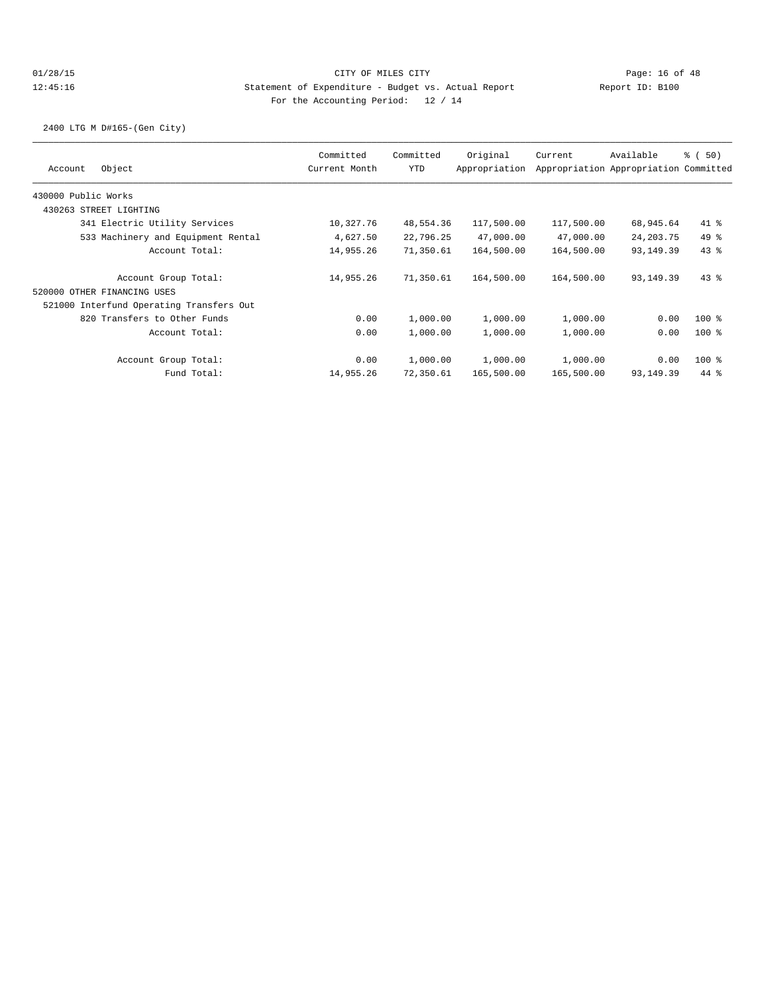2400 LTG M D#165-(Gen City)

| Committed<br>Current Month | Committed<br><b>YTD</b> | Original<br>Appropriation | Current                                                                                           | Available   | % (50)                                                                                                                             |
|----------------------------|-------------------------|---------------------------|---------------------------------------------------------------------------------------------------|-------------|------------------------------------------------------------------------------------------------------------------------------------|
|                            |                         |                           |                                                                                                   |             |                                                                                                                                    |
|                            |                         |                           |                                                                                                   |             |                                                                                                                                    |
| 10,327.76                  |                         | 117,500.00                |                                                                                                   | 68,945.64   | $41$ %                                                                                                                             |
| 4,627.50                   |                         | 47,000.00                 |                                                                                                   | 24, 203. 75 | $49*$                                                                                                                              |
| 14,955.26                  |                         | 164,500.00                |                                                                                                   | 93,149.39   | 43.8                                                                                                                               |
| 14,955.26                  |                         | 164,500.00                |                                                                                                   | 93,149.39   | $43$ %                                                                                                                             |
|                            |                         |                           |                                                                                                   |             |                                                                                                                                    |
|                            |                         |                           |                                                                                                   |             |                                                                                                                                    |
| 0.00                       |                         | 1,000.00                  |                                                                                                   | 0.00        | $100$ %                                                                                                                            |
| 0.00                       |                         | 1,000.00                  |                                                                                                   | 0.00        | $100$ %                                                                                                                            |
| 0.00                       |                         | 1,000.00                  |                                                                                                   | 0.00        | $100$ %                                                                                                                            |
| 14,955.26                  |                         | 165,500.00                |                                                                                                   | 93,149.39   | 44 %                                                                                                                               |
|                            |                         |                           | 48,554.36<br>22,796.25<br>71,350.61<br>71,350.61<br>1,000.00<br>1,000.00<br>1,000.00<br>72,350.61 | 1,000.00    | Appropriation Appropriation Committed<br>117,500.00<br>47,000.00<br>164,500.00<br>164,500.00<br>1,000.00<br>1,000.00<br>165,500.00 |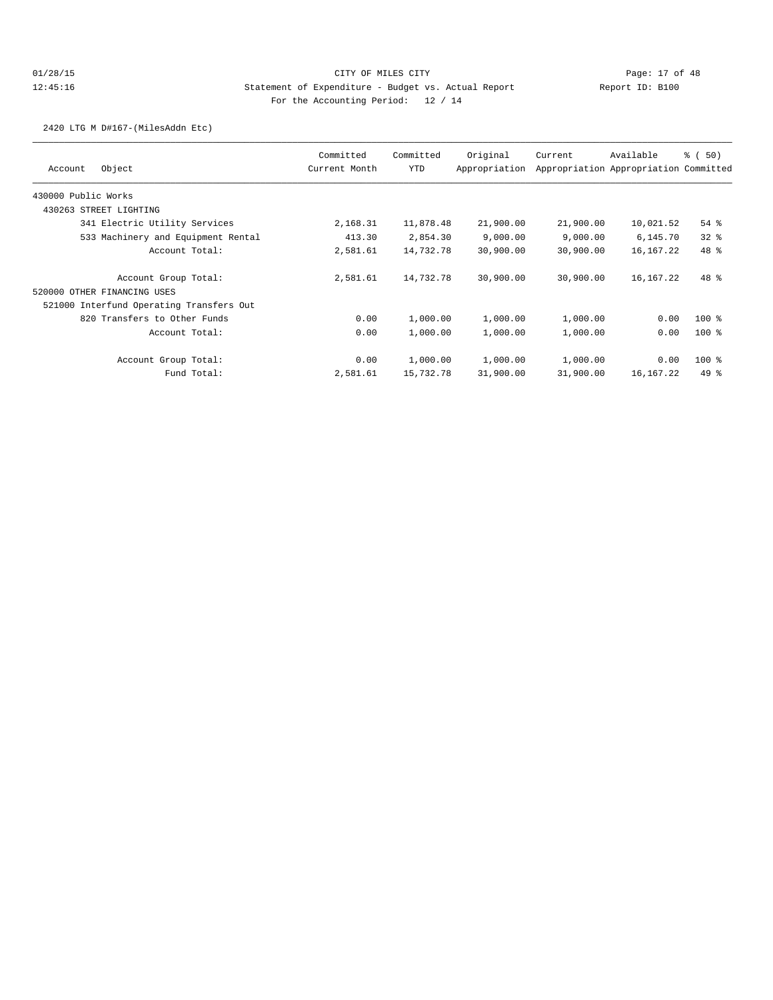2420 LTG M D#167-(MilesAddn Etc)

| Object<br>Account                        | Committed<br>Current Month | Committed<br><b>YTD</b> | Original<br>Appropriation | Current   | Available<br>Appropriation Appropriation Committed | % (50)   |
|------------------------------------------|----------------------------|-------------------------|---------------------------|-----------|----------------------------------------------------|----------|
|                                          |                            |                         |                           |           |                                                    |          |
| 430000 Public Works                      |                            |                         |                           |           |                                                    |          |
| 430263 STREET LIGHTING                   |                            |                         |                           |           |                                                    |          |
| 341 Electric Utility Services            | 2,168.31                   | 11,878.48               | 21,900.00                 | 21,900.00 | 10,021.52                                          | $54$ $%$ |
| 533 Machinery and Equipment Rental       | 413.30                     | 2,854.30                | 9,000.00                  | 9,000.00  | 6,145.70                                           | $32$ $%$ |
| Account Total:                           | 2,581.61                   | 14,732.78               | 30,900.00                 | 30,900.00 | 16,167.22                                          | 48 %     |
| Account Group Total:                     | 2,581.61                   | 14,732.78               | 30,900.00                 | 30,900.00 | 16,167.22                                          | 48 %     |
| 520000 OTHER FINANCING USES              |                            |                         |                           |           |                                                    |          |
| 521000 Interfund Operating Transfers Out |                            |                         |                           |           |                                                    |          |
| 820 Transfers to Other Funds             | 0.00                       | 1,000.00                | 1,000.00                  | 1,000.00  | 0.00                                               | $100$ %  |
| Account Total:                           | 0.00                       | 1,000.00                | 1,000.00                  | 1,000.00  | 0.00                                               | $100$ %  |
| Account Group Total:                     | 0.00                       | 1,000.00                | 1,000.00                  | 1,000.00  | 0.00                                               | $100$ %  |
| Fund Total:                              | 2,581.61                   | 15,732.78               | 31,900.00                 | 31,900.00 | 16,167.22                                          | $49*$    |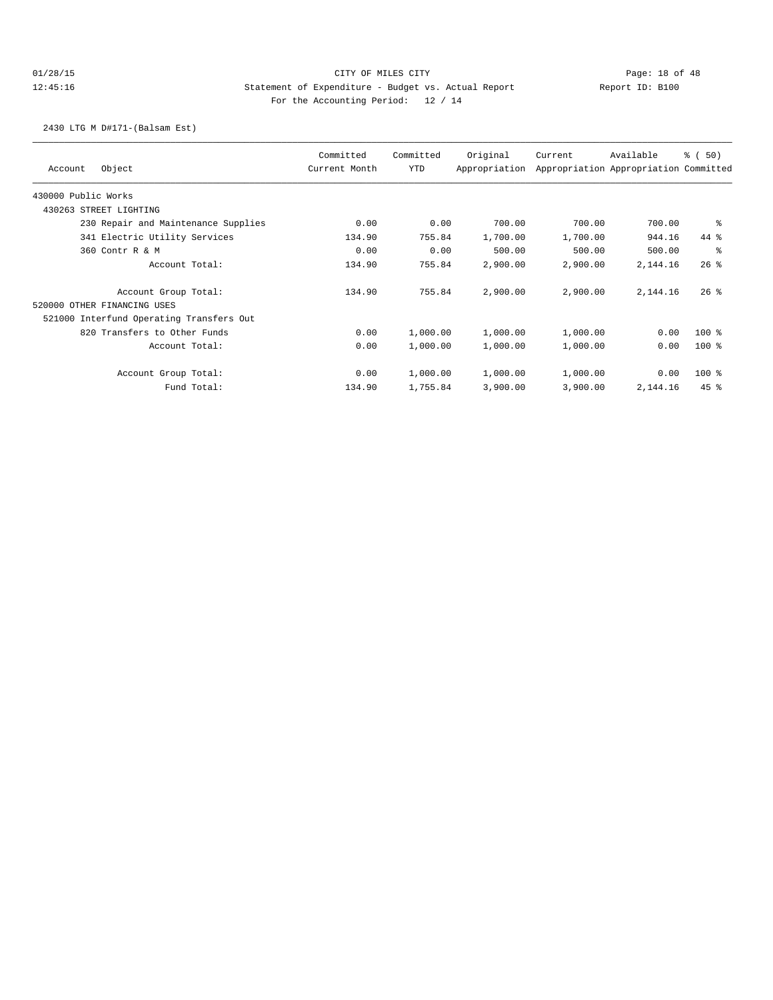## 01/28/15 Page: 18 of 48 12:45:16 Statement of Expenditure - Budget vs. Actual Report Changery Report ID: B100 For the Accounting Period: 12 / 14

2430 LTG M D#171-(Balsam Est)

| Account             | Object                                   | Committed<br>Current Month | Committed<br>YTD | Original<br>Appropriation | Current  | Available<br>Appropriation Appropriation Committed | % (50)  |
|---------------------|------------------------------------------|----------------------------|------------------|---------------------------|----------|----------------------------------------------------|---------|
| 430000 Public Works |                                          |                            |                  |                           |          |                                                    |         |
|                     | 430263 STREET LIGHTING                   |                            |                  |                           |          |                                                    |         |
|                     | 230 Repair and Maintenance Supplies      | 0.00                       | 0.00             | 700.00                    | 700.00   | 700.00                                             | နွ      |
|                     | 341 Electric Utility Services            | 134.90                     | 755.84           | 1,700.00                  | 1,700.00 | 944.16                                             | 44 %    |
|                     | 360 Contr R & M                          | 0.00                       | 0.00             | 500.00                    | 500.00   | 500.00                                             | ి       |
|                     | Account Total:                           | 134.90                     | 755.84           | 2,900.00                  | 2,900.00 | 2,144.16                                           | $26$ %  |
|                     | Account Group Total:                     | 134.90                     | 755.84           | 2,900.00                  | 2,900.00 | 2,144.16                                           | $26$ %  |
|                     | 520000 OTHER FINANCING USES              |                            |                  |                           |          |                                                    |         |
|                     | 521000 Interfund Operating Transfers Out |                            |                  |                           |          |                                                    |         |
|                     | 820 Transfers to Other Funds             | 0.00                       | 1,000.00         | 1,000.00                  | 1,000.00 | 0.00                                               | $100$ % |
|                     | Account Total:                           | 0.00                       | 1,000.00         | 1,000.00                  | 1,000.00 | 0.00                                               | $100$ % |
|                     | Account Group Total:                     | 0.00                       | 1,000.00         | 1,000.00                  | 1,000.00 | 0.00                                               | $100$ % |
|                     | Fund Total:                              | 134.90                     | 1,755.84         | 3,900.00                  | 3,900.00 | 2,144.16                                           | $45$ %  |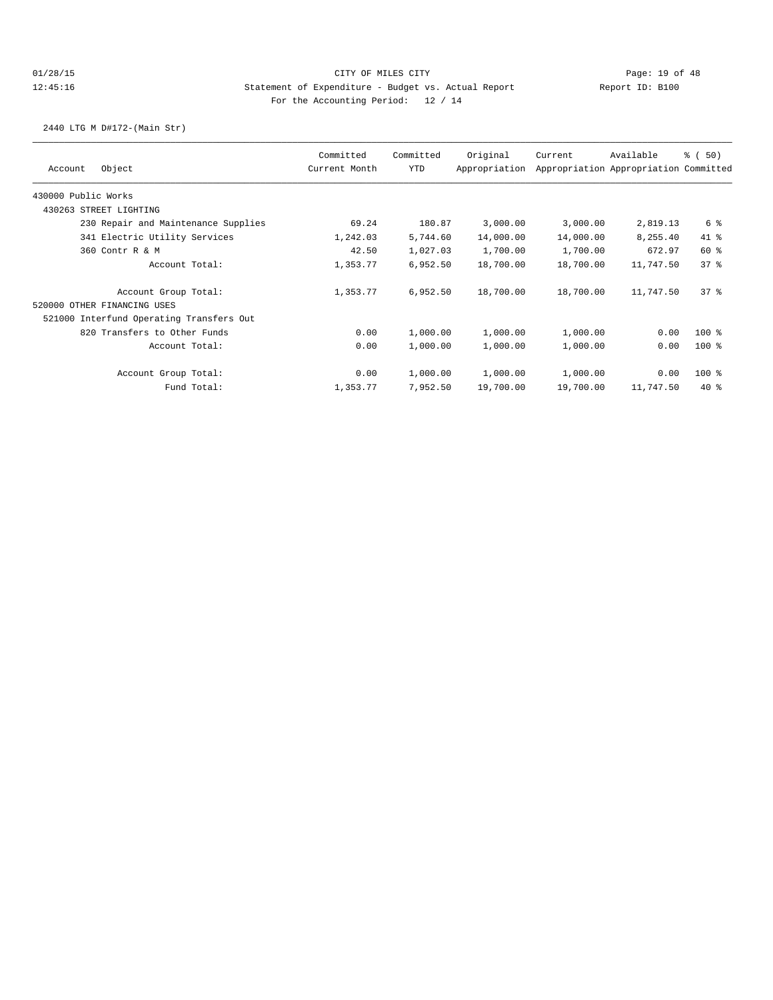2440 LTG M D#172-(Main Str)

| Object<br>Account                        | Committed<br>Current Month | Committed<br>YTD | Original<br>Appropriation | Current   | Available<br>Appropriation Appropriation Committed | % (50)  |
|------------------------------------------|----------------------------|------------------|---------------------------|-----------|----------------------------------------------------|---------|
|                                          |                            |                  |                           |           |                                                    |         |
| 430000 Public Works                      |                            |                  |                           |           |                                                    |         |
| 430263 STREET LIGHTING                   |                            |                  |                           |           |                                                    |         |
| 230 Repair and Maintenance Supplies      | 69.24                      | 180.87           | 3,000.00                  | 3,000.00  | 2,819.13                                           | 6 %     |
| 341 Electric Utility Services            | 1,242.03                   | 5,744.60         | 14,000.00                 | 14,000.00 | 8,255.40                                           | $41*$   |
| 360 Contr R & M                          | 42.50                      | 1,027.03         | 1,700.00                  | 1,700.00  | 672.97                                             | 60 %    |
| Account Total:                           | 1,353.77                   | 6,952.50         | 18,700.00                 | 18,700.00 | 11,747.50                                          | 378     |
| Account Group Total:                     | 1,353.77                   | 6,952.50         | 18,700.00                 | 18,700.00 | 11,747.50                                          | 378     |
| 520000 OTHER FINANCING USES              |                            |                  |                           |           |                                                    |         |
| 521000 Interfund Operating Transfers Out |                            |                  |                           |           |                                                    |         |
| 820 Transfers to Other Funds             | 0.00                       | 1,000.00         | 1,000.00                  | 1,000.00  | 0.00                                               | $100$ % |
| Account Total:                           | 0.00                       | 1,000.00         | 1,000.00                  | 1,000.00  | 0.00                                               | $100$ % |
| Account Group Total:                     | 0.00                       | 1,000.00         | 1,000.00                  | 1,000.00  | 0.00                                               | $100$ % |
| Fund Total:                              | 1,353.77                   | 7,952.50         | 19,700.00                 | 19,700.00 | 11,747.50                                          | $40*$   |
|                                          |                            |                  |                           |           |                                                    |         |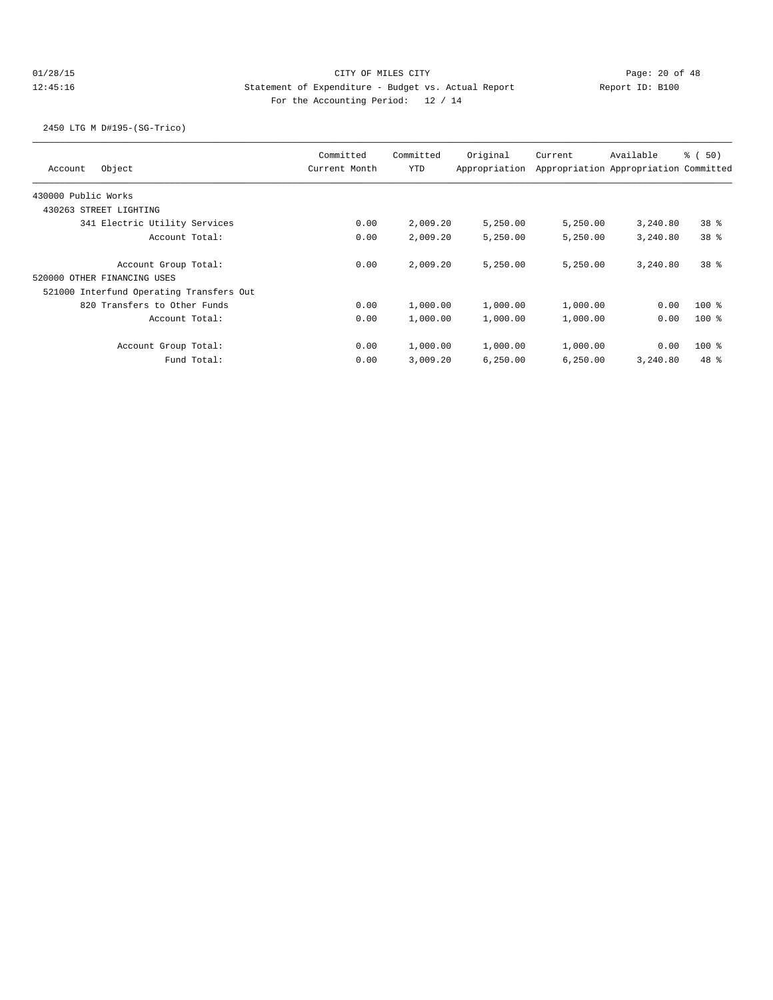## 01/28/15 Page: 20 of 48 12:45:16 Statement of Expenditure - Budget vs. Actual Report 11: Report ID: B100 For the Accounting Period: 12 / 14

2450 LTG M D#195-(SG-Trico)

| Object<br>Account                        | Committed<br>Current Month | Committed<br><b>YTD</b> | Original<br>Appropriation | Current  | Available<br>Appropriation Appropriation Committed | 8 ( 50)         |
|------------------------------------------|----------------------------|-------------------------|---------------------------|----------|----------------------------------------------------|-----------------|
| 430000 Public Works                      |                            |                         |                           |          |                                                    |                 |
| 430263 STREET LIGHTING                   |                            |                         |                           |          |                                                    |                 |
| 341 Electric Utility Services            | 0.00                       | 2,009.20                | 5,250.00                  | 5,250.00 | 3,240.80                                           | 38 <sup>8</sup> |
| Account Total:                           | 0.00                       | 2,009.20                | 5,250.00                  | 5,250.00 | 3,240.80                                           | 38 <sup>8</sup> |
| Account Group Total:                     | 0.00                       | 2,009.20                | 5,250.00                  | 5,250.00 | 3,240.80                                           | 38 <sup>8</sup> |
| 520000 OTHER FINANCING USES              |                            |                         |                           |          |                                                    |                 |
| 521000 Interfund Operating Transfers Out |                            |                         |                           |          |                                                    |                 |
| 820 Transfers to Other Funds             | 0.00                       | 1,000.00                | 1,000.00                  | 1,000.00 | 0.00                                               | $100*$          |
| Account Total:                           | 0.00                       | 1,000.00                | 1,000.00                  | 1,000.00 | 0.00                                               | $100$ %         |
| Account Group Total:                     | 0.00                       | 1,000.00                | 1,000.00                  | 1,000.00 | 0.00                                               | $100$ %         |
| Fund Total:                              | 0.00                       | 3,009.20                | 6,250.00                  | 6,250.00 | 3,240.80                                           | $48*$           |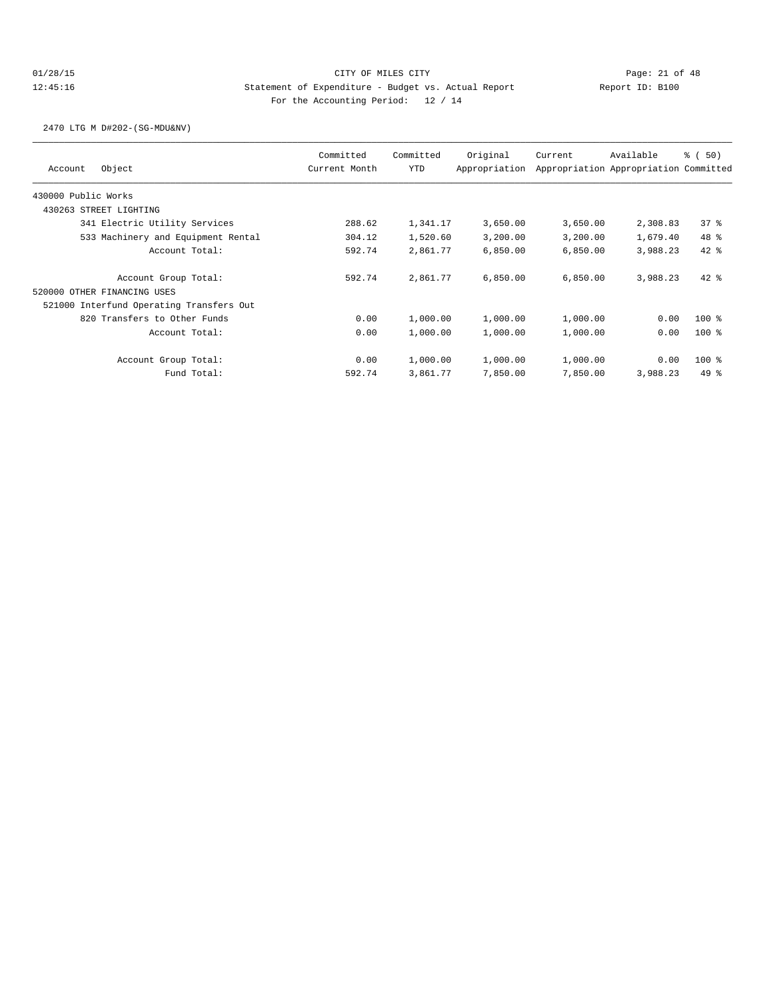2470 LTG M D#202-(SG-MDU&NV)

| Object<br>Account                        | Committed<br>Current Month | Committed<br><b>YTD</b> | Original<br>Appropriation | Current  | Available<br>Appropriation Appropriation Committed | % (50)  |
|------------------------------------------|----------------------------|-------------------------|---------------------------|----------|----------------------------------------------------|---------|
|                                          |                            |                         |                           |          |                                                    |         |
| 430000 Public Works                      |                            |                         |                           |          |                                                    |         |
| 430263 STREET LIGHTING                   |                            |                         |                           |          |                                                    |         |
| 341 Electric Utility Services            | 288.62                     | 1,341.17                | 3,650.00                  | 3,650.00 | 2,308.83                                           | 378     |
| 533 Machinery and Equipment Rental       | 304.12                     | 1,520.60                | 3,200.00                  | 3,200.00 | 1,679.40                                           | 48 %    |
| Account Total:                           | 592.74                     | 2,861.77                | 6,850.00                  | 6,850.00 | 3,988.23                                           | $42*$   |
| Account Group Total:                     | 592.74                     | 2,861.77                | 6,850.00                  | 6,850.00 | 3,988.23                                           | $42$ %  |
| 520000 OTHER FINANCING USES              |                            |                         |                           |          |                                                    |         |
| 521000 Interfund Operating Transfers Out |                            |                         |                           |          |                                                    |         |
| 820 Transfers to Other Funds             | 0.00                       | 1,000.00                | 1,000.00                  | 1,000.00 | 0.00                                               | $100$ % |
| Account Total:                           | 0.00                       | 1,000.00                | 1,000.00                  | 1,000.00 | 0.00                                               | $100$ % |
| Account Group Total:                     | 0.00                       | 1,000.00                | 1,000.00                  | 1,000.00 | 0.00                                               | $100$ % |
| Fund Total:                              | 592.74                     | 3,861.77                | 7,850.00                  | 7,850.00 | 3,988.23                                           | $49*$   |
|                                          |                            |                         |                           |          |                                                    |         |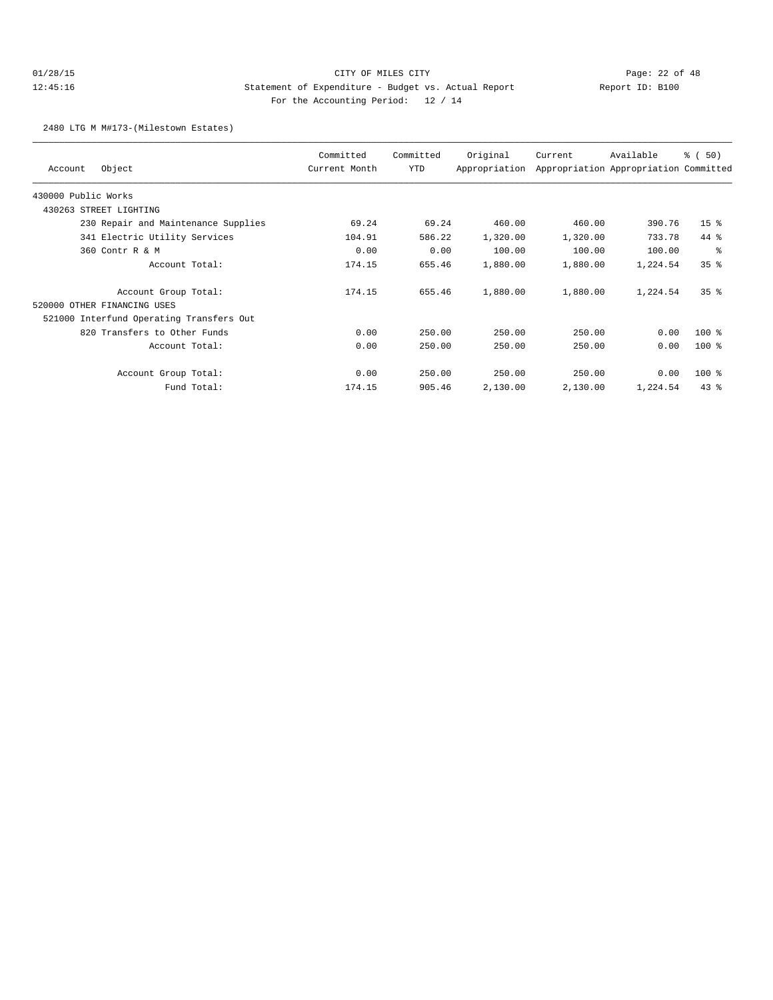## 01/28/15 Page: 22 of 48 12:45:16 Statement of Expenditure - Budget vs. Actual Report Changery Report ID: B100 For the Accounting Period: 12 / 14

2480 LTG M M#173-(Milestown Estates)

| Object<br>Account                        | Committed<br>Current Month | Committed<br>YTD | Original<br>Appropriation | Current  | Available<br>Appropriation Appropriation Committed | % (50)          |
|------------------------------------------|----------------------------|------------------|---------------------------|----------|----------------------------------------------------|-----------------|
| 430000 Public Works                      |                            |                  |                           |          |                                                    |                 |
| 430263<br>STREET LIGHTING                |                            |                  |                           |          |                                                    |                 |
| 230 Repair and Maintenance Supplies      | 69.24                      | 69.24            | 460.00                    | 460.00   | 390.76                                             | 15 <sup>8</sup> |
| 341 Electric Utility Services            | 104.91                     | 586.22           | 1,320.00                  | 1,320.00 | 733.78                                             | $44*$           |
| 360 Contr R & M                          | 0.00                       | 0.00             | 100.00                    | 100.00   | 100.00                                             | နွ              |
| Account Total:                           | 174.15                     | 655.46           | 1,880.00                  | 1,880.00 | 1,224.54                                           | 35 <sup>8</sup> |
| Account Group Total:                     | 174.15                     | 655.46           | 1,880.00                  | 1,880.00 | 1,224.54                                           | 35 <sup>8</sup> |
| 520000 OTHER FINANCING USES              |                            |                  |                           |          |                                                    |                 |
| 521000 Interfund Operating Transfers Out |                            |                  |                           |          |                                                    |                 |
| 820 Transfers to Other Funds             | 0.00                       | 250.00           | 250.00                    | 250.00   | 0.00                                               | 100 %           |
| Account Total:                           | 0.00                       | 250.00           | 250.00                    | 250.00   | 0.00                                               | $100$ %         |
| Account Group Total:                     | 0.00                       | 250.00           | 250.00                    | 250.00   | 0.00                                               | $100$ %         |
| Fund Total:                              | 174.15                     | 905.46           | 2,130.00                  | 2,130.00 | 1,224.54                                           | $43*$           |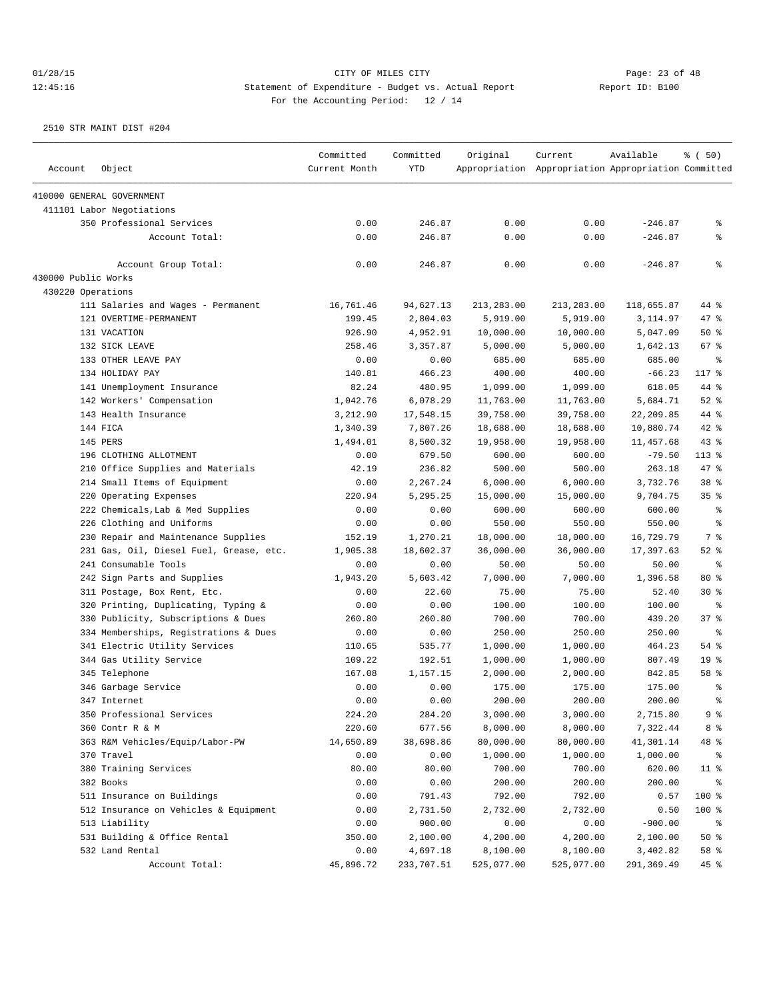|                     |                                                 | Committed         | Committed  | Original   | Current                                             | Available         | % (50)          |
|---------------------|-------------------------------------------------|-------------------|------------|------------|-----------------------------------------------------|-------------------|-----------------|
| Account             | Object                                          | Current Month     | <b>YTD</b> |            | Appropriation Appropriation Appropriation Committed |                   |                 |
|                     | 410000 GENERAL GOVERNMENT                       |                   |            |            |                                                     |                   |                 |
|                     | 411101 Labor Negotiations                       |                   |            |            |                                                     |                   |                 |
|                     | 350 Professional Services                       | 0.00              | 246.87     | 0.00       | 0.00                                                | $-246.87$         | နွ              |
|                     | Account Total:                                  | 0.00              | 246.87     | 0.00       | 0.00                                                | $-246.87$         | နွ              |
|                     | Account Group Total:                            | 0.00              | 246.87     | 0.00       | 0.00                                                | $-246.87$         | ి               |
| 430000 Public Works |                                                 |                   |            |            |                                                     |                   |                 |
| 430220 Operations   |                                                 |                   |            |            |                                                     |                   |                 |
|                     | 111 Salaries and Wages - Permanent              | 16,761.46         | 94,627.13  | 213,283.00 | 213,283.00                                          | 118,655.87        | 44 %            |
|                     | 121 OVERTIME-PERMANENT                          | 199.45            | 2,804.03   | 5,919.00   | 5,919.00                                            | 3,114.97          | $47$ %          |
|                     | 131 VACATION                                    | 926.90            | 4,952.91   | 10,000.00  | 10,000.00                                           | 5,047.09          | $50*$           |
|                     | 132 SICK LEAVE                                  | 258.46            | 3,357.87   | 5,000.00   | 5,000.00                                            | 1,642.13          | 67 %            |
|                     | 133 OTHER LEAVE PAY                             | 0.00              | 0.00       | 685.00     | 685.00                                              | 685.00            | ႜ               |
|                     | 134 HOLIDAY PAY                                 | 140.81            | 466.23     | 400.00     | 400.00                                              | $-66.23$          | 117 %           |
|                     | 141 Unemployment Insurance                      | 82.24             | 480.95     | 1,099.00   | 1,099.00                                            | 618.05            | 44 %            |
|                     | 142 Workers' Compensation                       | 1,042.76          | 6,078.29   | 11,763.00  | 11,763.00                                           | 5,684.71          | $52$ $%$        |
|                     | 143 Health Insurance                            | 3,212.90          | 17,548.15  | 39,758.00  | 39,758.00                                           | 22,209.85         | 44 %            |
|                     | 144 FICA                                        | 1,340.39          | 7,807.26   | 18,688.00  | 18,688.00                                           | 10,880.74         | $42$ %          |
|                     | 145 PERS                                        | 1,494.01          | 8,500.32   | 19,958.00  | 19,958.00                                           | 11,457.68         | 43%             |
|                     | 196 CLOTHING ALLOTMENT                          | 0.00              | 679.50     | 600.00     | 600.00                                              | $-79.50$          | $113$ %         |
|                     | 210 Office Supplies and Materials               | 42.19             | 236.82     | 500.00     | 500.00                                              | 263.18            | 47 %            |
|                     | 214 Small Items of Equipment                    | 0.00              | 2,267.24   | 6,000.00   | 6,000.00                                            | 3,732.76          | 38 <sup>8</sup> |
|                     | 220 Operating Expenses                          | 220.94            | 5,295.25   | 15,000.00  | 15,000.00                                           | 9,704.75          | 35%             |
|                     | 222 Chemicals, Lab & Med Supplies               | 0.00              | 0.00       | 600.00     | 600.00                                              | 600.00            | $\epsilon$      |
|                     | 226 Clothing and Uniforms                       | 0.00              | 0.00       | 550.00     | 550.00                                              | 550.00            | ి               |
|                     | 230 Repair and Maintenance Supplies             | 152.19            | 1,270.21   | 18,000.00  | 18,000.00                                           | 16,729.79         | 7 %             |
|                     | 231 Gas, Oil, Diesel Fuel, Grease, etc.         | 1,905.38          | 18,602.37  | 36,000.00  | 36,000.00                                           | 17,397.63         | $52$ $%$        |
|                     | 241 Consumable Tools                            | 0.00              | 0.00       | 50.00      | 50.00                                               | 50.00             | ႜ               |
|                     | 242 Sign Parts and Supplies                     | 1,943.20          | 5,603.42   | 7,000.00   | 7,000.00                                            | 1,396.58          | 80%             |
|                     | 311 Postage, Box Rent, Etc.                     | 0.00              | 22.60      | 75.00      | 75.00                                               | 52.40             | $30*$           |
|                     | 320 Printing, Duplicating, Typing &             | 0.00              | 0.00       | 100.00     | 100.00                                              | 100.00            | ႜ               |
|                     | 330 Publicity, Subscriptions & Dues             | 260.80            | 260.80     | 700.00     | 700.00                                              | 439.20            | 37%             |
|                     | 334 Memberships, Registrations & Dues           | 0.00              | 0.00       | 250.00     | 250.00                                              | 250.00            | ႜ               |
|                     | 341 Electric Utility Services                   | 110.65            | 535.77     | 1,000.00   | 1,000.00                                            | 464.23            | 54 %            |
|                     | 344 Gas Utility Service                         | 109.22            | 192.51     | 1,000.00   | 1,000.00                                            | 807.49            | 19 <sup>°</sup> |
|                     | 345 Telephone                                   | 167.08            | 1,157.15   | 2,000.00   | 2,000.00                                            | 842.85            | 58 %            |
|                     | 346 Garbage Service                             | 0.00              | 0.00       | 175.00     | 175.00                                              | 175.00            | နွ              |
|                     | 347 Internet                                    | 0.00              | 0.00       | 200.00     | 200.00                                              | 200.00            | ៖               |
|                     | 350 Professional Services                       | 224.20            | 284.20     | 3,000.00   | 3,000.00                                            | 2,715.80          | 9 %             |
|                     | 360 Contr R & M                                 | 220.60            | 677.56     | 8,000.00   | 8,000.00                                            | 7,322.44          | 8 %             |
|                     | 363 R&M Vehicles/Equip/Labor-PW                 | 14,650.89         | 38,698.86  | 80,000.00  | 80,000.00                                           | 41,301.14         | 48 %            |
|                     | 370 Travel                                      | 0.00              | 0.00       | 1,000.00   | 1,000.00                                            | 1,000.00          | ိ               |
|                     | 380 Training Services                           | 80.00             | 80.00      | 700.00     |                                                     |                   | $11$ %          |
|                     | 382 Books                                       | 0.00              | 0.00       | 200.00     | 700.00<br>200.00                                    | 620.00<br>200.00  | နွ              |
|                     | 511 Insurance on Buildings                      | 0.00              |            | 792.00     | 792.00                                              |                   | 100 %           |
|                     | 512 Insurance on Vehicles & Equipment           |                   | 791.43     |            |                                                     | 0.57              |                 |
|                     | 513 Liability                                   | 0.00              | 2,731.50   | 2,732.00   | 2,732.00                                            | 0.50<br>$-900.00$ | 100 %           |
|                     |                                                 | 0.00              | 900.00     | 0.00       | 0.00                                                |                   | နွ<br>50%       |
|                     | 531 Building & Office Rental<br>532 Land Rental | 350.00            | 2,100.00   | 4,200.00   | 4,200.00                                            | 2,100.00          |                 |
|                     |                                                 | 0.00<br>45,896.72 | 4,697.18   | 8,100.00   | 8,100.00                                            | 3,402.82          | 58 %            |
|                     | Account Total:                                  |                   | 233,707.51 | 525,077.00 | 525,077.00                                          | 291,369.49        | 45 %            |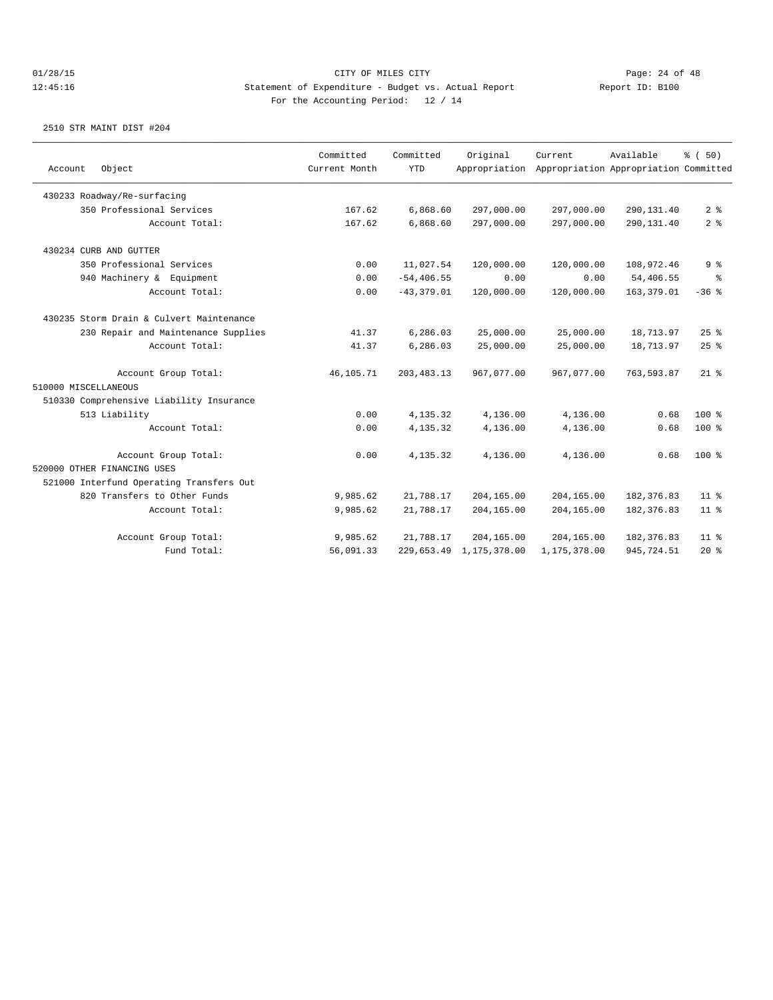| Object<br>Account                        | Committed<br>Current Month | Committed<br><b>YTD</b> | Original<br>Appropriation | Current      | Available<br>Appropriation Appropriation Committed | % (50)          |
|------------------------------------------|----------------------------|-------------------------|---------------------------|--------------|----------------------------------------------------|-----------------|
| 430233 Roadway/Re-surfacing              |                            |                         |                           |              |                                                    |                 |
| 350 Professional Services                | 167.62                     | 6,868.60                | 297,000.00                | 297,000.00   | 290,131.40                                         | 2 <sup>8</sup>  |
| Account Total:                           | 167.62                     | 6,868.60                | 297,000.00                | 297,000.00   | 290,131.40                                         | 2 <sup>°</sup>  |
| 430234 CURB AND GUTTER                   |                            |                         |                           |              |                                                    |                 |
| 350 Professional Services                | 0.00                       | 11,027.54               | 120,000.00                | 120,000.00   | 108,972.46                                         | 9 <sup>8</sup>  |
| 940 Machinery & Equipment                | 0.00                       | $-54, 406.55$           | 0.00                      | 0.00         | 54,406.55                                          | ွေ              |
| Account Total:                           | 0.00                       | $-43,379.01$            | 120,000.00                | 120,000.00   | 163, 379.01                                        | $-36$ %         |
| 430235 Storm Drain & Culvert Maintenance |                            |                         |                           |              |                                                    |                 |
| 230 Repair and Maintenance Supplies      | 41.37                      | 6,286.03                | 25,000.00                 | 25,000.00    | 18,713.97                                          | 25%             |
| Account Total:                           | 41.37                      | 6,286.03                | 25,000.00                 | 25,000.00    | 18,713.97                                          | 25%             |
| Account Group Total:                     | 46,105.71                  | 203, 483. 13            | 967,077.00                | 967,077.00   | 763,593.87                                         | $21$ %          |
| 510000 MISCELLANEOUS                     |                            |                         |                           |              |                                                    |                 |
| 510330 Comprehensive Liability Insurance |                            |                         |                           |              |                                                    |                 |
| 513 Liability                            | 0.00                       | 4,135.32                | 4,136.00                  | 4,136.00     | 0.68                                               | $100*$          |
| Account Total:                           | 0.00                       | 4,135.32                | 4,136.00                  | 4,136.00     | 0.68                                               | $100$ %         |
| Account Group Total:                     | 0.00                       | 4,135.32                | 4,136.00                  | 4,136.00     | 0.68                                               | $100*$          |
| 520000 OTHER FINANCING USES              |                            |                         |                           |              |                                                    |                 |
| 521000 Interfund Operating Transfers Out |                            |                         |                           |              |                                                    |                 |
| 820 Transfers to Other Funds             | 9,985.62                   | 21,788.17               | 204,165.00                | 204,165.00   | 182, 376.83                                        | 11 <sup>8</sup> |
| Account Total:                           | 9,985.62                   | 21,788.17               | 204,165.00                | 204,165.00   | 182, 376.83                                        | $11$ %          |
| Account Group Total:                     | 9,985.62                   | 21,788.17               | 204,165.00                | 204,165.00   | 182,376.83                                         | $11$ %          |
| Fund Total:                              | 56,091.33                  |                         | 229,653.49 1,175,378.00   | 1,175,378.00 | 945,724.51                                         | 20%             |
|                                          |                            |                         |                           |              |                                                    |                 |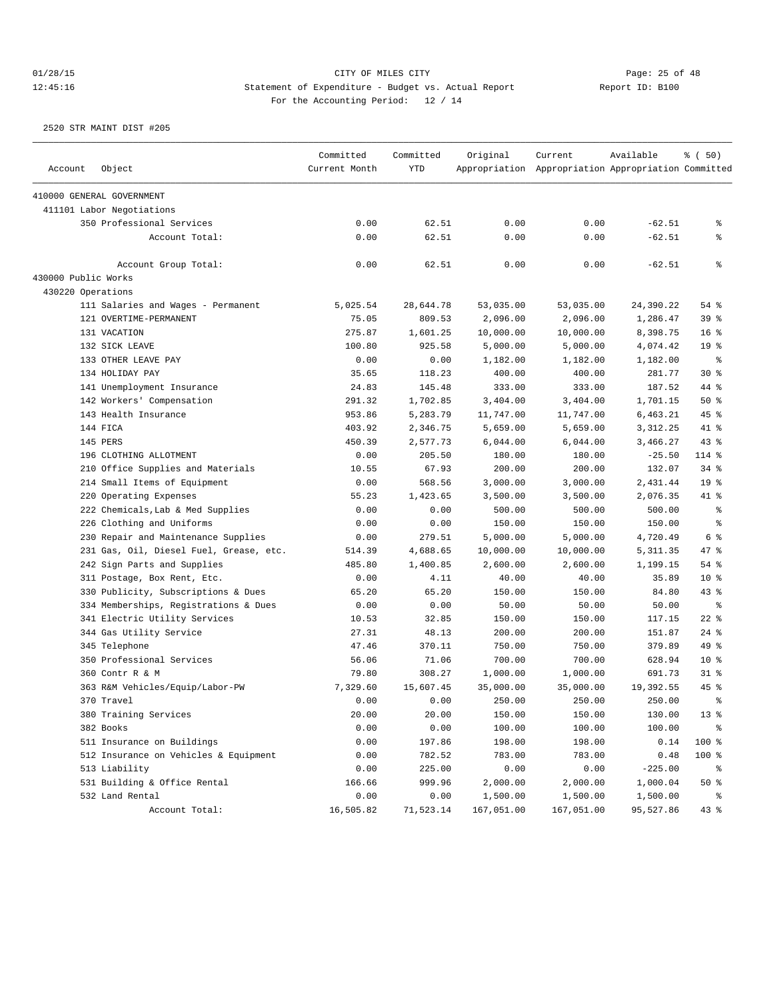| Account             | Object                                  | Committed<br>Current Month | Committed<br><b>YTD</b> | Original   | Current<br>Appropriation Appropriation Appropriation Committed | Available | % (50)          |
|---------------------|-----------------------------------------|----------------------------|-------------------------|------------|----------------------------------------------------------------|-----------|-----------------|
|                     |                                         |                            |                         |            |                                                                |           |                 |
|                     | 410000 GENERAL GOVERNMENT               |                            |                         |            |                                                                |           |                 |
|                     | 411101 Labor Negotiations               |                            |                         |            |                                                                |           |                 |
|                     | 350 Professional Services               | 0.00                       | 62.51                   | 0.00       | 0.00                                                           | $-62.51$  | ి               |
|                     | Account Total:                          | 0.00                       | 62.51                   | 0.00       | 0.00                                                           | $-62.51$  | နွ              |
|                     | Account Group Total:                    | 0.00                       | 62.51                   | 0.00       | 0.00                                                           | $-62.51$  | နွ              |
| 430000 Public Works |                                         |                            |                         |            |                                                                |           |                 |
| 430220 Operations   |                                         |                            |                         |            |                                                                |           |                 |
|                     | 111 Salaries and Wages - Permanent      | 5,025.54                   | 28,644.78               | 53,035.00  | 53,035.00                                                      | 24,390.22 | 54 %            |
|                     | 121 OVERTIME-PERMANENT                  | 75.05                      | 809.53                  | 2,096.00   | 2,096.00                                                       | 1,286.47  | 39 %            |
|                     | 131 VACATION                            | 275.87                     | 1,601.25                | 10,000.00  | 10,000.00                                                      | 8,398.75  | 16 <sup>8</sup> |
|                     | 132 SICK LEAVE                          | 100.80                     | 925.58                  | 5,000.00   | 5,000.00                                                       | 4,074.42  | 19 <sup>°</sup> |
|                     | 133 OTHER LEAVE PAY                     | 0.00                       | 0.00                    | 1,182.00   | 1,182.00                                                       | 1,182.00  | ႜ               |
|                     | 134 HOLIDAY PAY                         | 35.65                      | 118.23                  | 400.00     | 400.00                                                         | 281.77    | $30*$           |
|                     | 141 Unemployment Insurance              | 24.83                      | 145.48                  | 333.00     | 333.00                                                         | 187.52    | 44 %            |
|                     | 142 Workers' Compensation               | 291.32                     | 1,702.85                | 3,404.00   | 3,404.00                                                       | 1,701.15  | 50%             |
|                     | 143 Health Insurance                    | 953.86                     | 5,283.79                | 11,747.00  | 11,747.00                                                      | 6,463.21  | 45 %            |
|                     | 144 FICA                                | 403.92                     | 2,346.75                | 5,659.00   | 5,659.00                                                       | 3,312.25  | 41 %            |
|                     | 145 PERS                                | 450.39                     | 2,577.73                | 6,044.00   | 6,044.00                                                       | 3,466.27  | 43%             |
|                     | 196 CLOTHING ALLOTMENT                  | 0.00                       | 205.50                  | 180.00     | 180.00                                                         | $-25.50$  | 114 %           |
|                     | 210 Office Supplies and Materials       | 10.55                      | 67.93                   | 200.00     | 200.00                                                         | 132.07    | $34$ $%$        |
|                     | 214 Small Items of Equipment            | 0.00                       | 568.56                  | 3,000.00   | 3,000.00                                                       | 2,431.44  | 19 <sup>°</sup> |
|                     | 220 Operating Expenses                  | 55.23                      | 1,423.65                | 3,500.00   | 3,500.00                                                       | 2,076.35  | 41 %            |
|                     | 222 Chemicals, Lab & Med Supplies       | 0.00                       | 0.00                    | 500.00     | 500.00                                                         | 500.00    | $\epsilon$      |
|                     | 226 Clothing and Uniforms               | 0.00                       | 0.00                    | 150.00     | 150.00                                                         | 150.00    | $\epsilon$      |
|                     | 230 Repair and Maintenance Supplies     | 0.00                       | 279.51                  | 5,000.00   | 5,000.00                                                       | 4,720.49  | 6 %             |
|                     | 231 Gas, Oil, Diesel Fuel, Grease, etc. | 514.39                     | 4,688.65                | 10,000.00  | 10,000.00                                                      | 5, 311.35 | 47 %            |
|                     | 242 Sign Parts and Supplies             | 485.80                     | 1,400.85                | 2,600.00   | 2,600.00                                                       | 1,199.15  | 54 %            |
|                     | 311 Postage, Box Rent, Etc.             | 0.00                       | 4.11                    | 40.00      | 40.00                                                          | 35.89     | $10*$           |
|                     | 330 Publicity, Subscriptions & Dues     | 65.20                      | 65.20                   | 150.00     | 150.00                                                         | 84.80     | $43$ %          |
|                     | 334 Memberships, Registrations & Dues   | 0.00                       | 0.00                    | 50.00      | 50.00                                                          | 50.00     | နွ              |
|                     | 341 Electric Utility Services           | 10.53                      | 32.85                   | 150.00     | 150.00                                                         | 117.15    | $22$ %          |
|                     | 344 Gas Utility Service                 | 27.31                      | 48.13                   | 200.00     | 200.00                                                         | 151.87    | $24$ %          |
|                     | 345 Telephone                           | 47.46                      | 370.11                  | 750.00     | 750.00                                                         | 379.89    | 49 %            |
|                     | 350 Professional Services               | 56.06                      | 71.06                   | 700.00     | 700.00                                                         | 628.94    | 10 <sup>8</sup> |
|                     | 360 Contr R & M                         | 79.80                      | 308.27                  | 1,000.00   | 1,000.00                                                       | 691.73    | $31$ %          |
|                     | 363 R&M Vehicles/Equip/Labor-PW         | 7.329.60                   | 15,607.45               | 35,000.00  | 35,000.00                                                      | 19,392.55 | 45 %            |
|                     | 370 Travel                              | 0.00                       | 0.00                    | 250.00     | 250.00                                                         | 250.00    | ៖               |
|                     | 380 Training Services                   | 20.00                      | 20.00                   | 150.00     | 150.00                                                         | 130.00    | 13 <sup>°</sup> |
|                     | 382 Books                               | 0.00                       | 0.00                    | 100.00     | 100.00                                                         | 100.00    | ိ               |
|                     | 511 Insurance on Buildings              | 0.00                       | 197.86                  | 198.00     | 198.00                                                         | 0.14      | 100 %           |
|                     | 512 Insurance on Vehicles & Equipment   | 0.00                       | 782.52                  | 783.00     | 783.00                                                         | 0.48      | 100 %           |
|                     | 513 Liability                           | 0.00                       | 225.00                  | 0.00       | 0.00                                                           | $-225.00$ | ိ               |
|                     | 531 Building & Office Rental            | 166.66                     | 999.96                  | 2,000.00   | 2,000.00                                                       | 1,000.04  | 50%             |
|                     | 532 Land Rental                         | 0.00                       | 0.00                    | 1,500.00   | 1,500.00                                                       | 1,500.00  | ိ               |
|                     | Account Total:                          | 16,505.82                  | 71,523.14               | 167,051.00 | 167,051.00                                                     | 95,527.86 | $43*$           |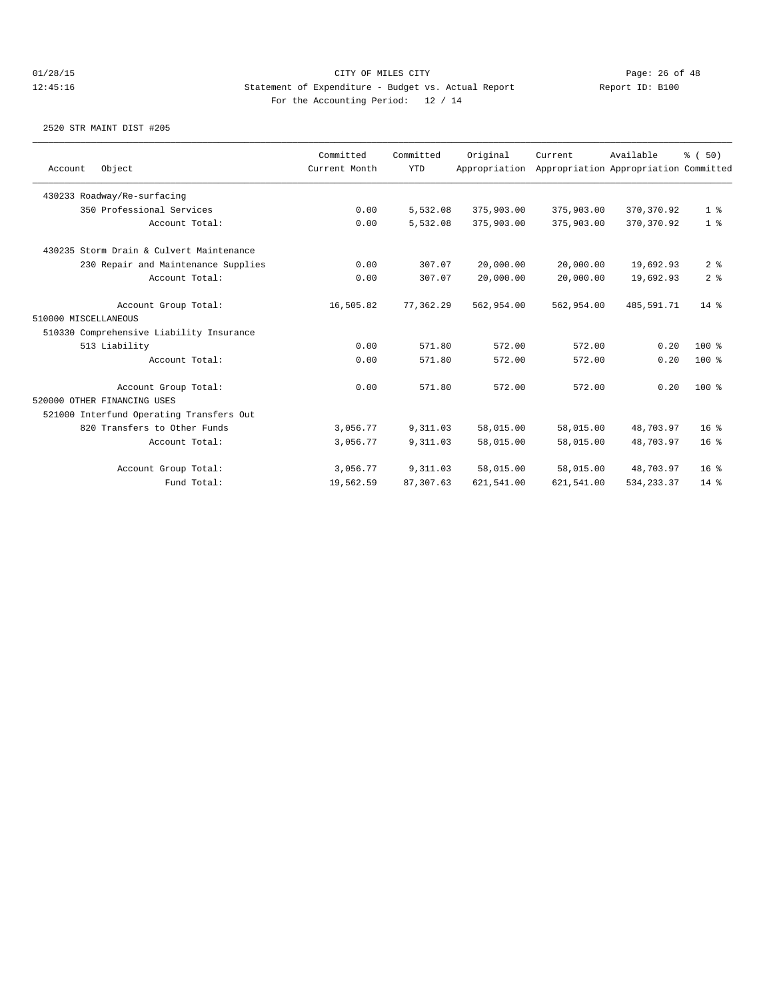|                      |                                          | Committed     | Committed  | Original      | Current    | Available                             | % (50)          |
|----------------------|------------------------------------------|---------------|------------|---------------|------------|---------------------------------------|-----------------|
| Account              | Object                                   | Current Month | <b>YTD</b> | Appropriation |            | Appropriation Appropriation Committed |                 |
|                      | 430233 Roadway/Re-surfacing              |               |            |               |            |                                       |                 |
|                      | 350 Professional Services                | 0.00          | 5,532.08   | 375,903.00    | 375,903.00 | 370, 370.92                           | 1 <sup>8</sup>  |
|                      | Account Total:                           | 0.00          | 5,532.08   | 375,903.00    | 375,903.00 | 370, 370.92                           | 1 <sup>8</sup>  |
|                      | 430235 Storm Drain & Culvert Maintenance |               |            |               |            |                                       |                 |
|                      | 230 Repair and Maintenance Supplies      | 0.00          | 307.07     | 20,000.00     | 20,000.00  | 19,692.93                             | 2 <sup>8</sup>  |
|                      | Account Total:                           | 0.00          | 307.07     | 20,000.00     | 20,000.00  | 19,692.93                             | 2 <sup>8</sup>  |
|                      | Account Group Total:                     | 16,505.82     | 77,362.29  | 562,954.00    | 562,954.00 | 485,591.71                            | $14*$           |
| 510000 MISCELLANEOUS |                                          |               |            |               |            |                                       |                 |
|                      | 510330 Comprehensive Liability Insurance |               |            |               |            |                                       |                 |
|                      | 513 Liability                            | 0.00          | 571.80     | 572.00        | 572.00     | 0.20                                  | $100*$          |
|                      | Account Total:                           | 0.00          | 571.80     | 572.00        | 572.00     | 0.20                                  | $100*$          |
|                      | Account Group Total:                     | 0.00          | 571.80     | 572.00        | 572.00     | 0.20                                  | $100*$          |
|                      | 520000 OTHER FINANCING USES              |               |            |               |            |                                       |                 |
|                      | 521000 Interfund Operating Transfers Out |               |            |               |            |                                       |                 |
|                      | 820 Transfers to Other Funds             | 3,056.77      | 9,311.03   | 58,015.00     | 58,015.00  | 48,703.97                             | 16 <sup>°</sup> |
|                      | Account Total:                           | 3,056.77      | 9,311.03   | 58,015.00     | 58,015.00  | 48,703.97                             | 16 <sup>°</sup> |
|                      | Account Group Total:                     | 3,056.77      | 9,311.03   | 58,015.00     | 58,015.00  | 48,703.97                             | 16 <sup>°</sup> |
|                      | Fund Total:                              | 19,562.59     | 87, 307.63 | 621,541.00    | 621,541.00 | 534, 233.37                           | $14*$           |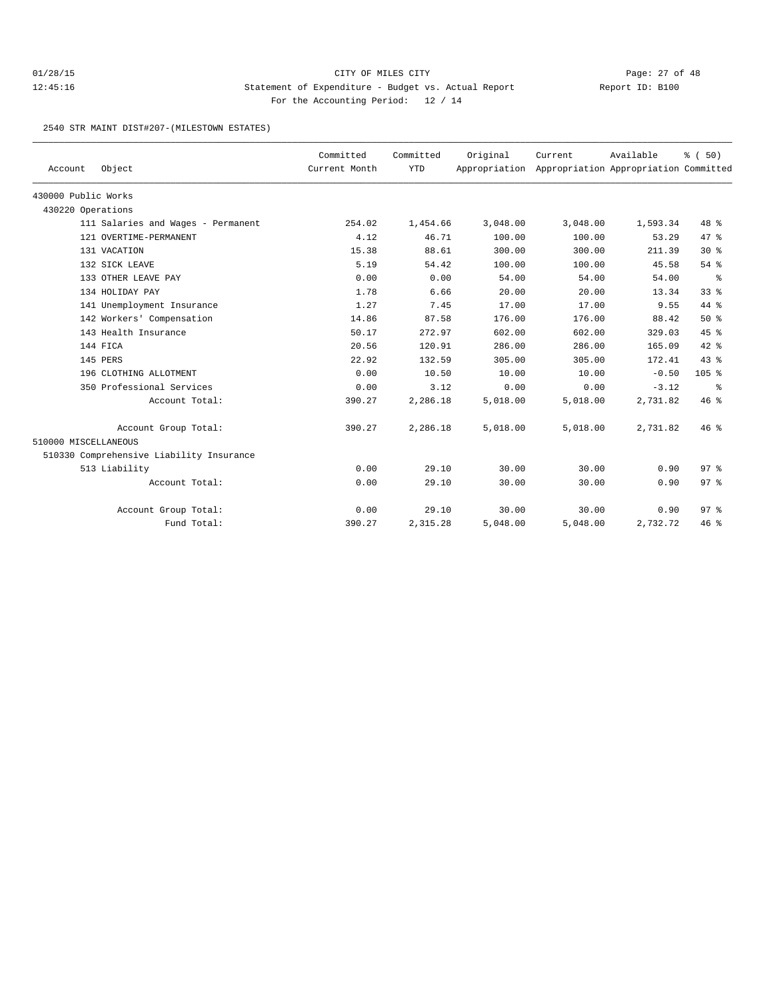## 01/28/15 Page: 27 of 48 12:45:16 Statement of Expenditure - Budget vs. Actual Report Changery Report ID: B100 For the Accounting Period: 12 / 14

2540 STR MAINT DIST#207-(MILESTOWN ESTATES)

| Account              | Object                                   | Committed<br>Current Month | Committed<br><b>YTD</b> | Original | Current<br>Appropriation Appropriation Appropriation Committed | Available | % (50)          |
|----------------------|------------------------------------------|----------------------------|-------------------------|----------|----------------------------------------------------------------|-----------|-----------------|
| 430000 Public Works  |                                          |                            |                         |          |                                                                |           |                 |
| 430220 Operations    |                                          |                            |                         |          |                                                                |           |                 |
|                      | 111 Salaries and Wages - Permanent       | 254.02                     | 1,454.66                | 3,048.00 | 3,048.00                                                       | 1,593.34  | $48*$           |
|                      | 121 OVERTIME-PERMANENT                   | 4.12                       | 46.71                   | 100.00   | 100.00                                                         | 53.29     | 47.8            |
|                      | 131 VACATION                             | 15.38                      | 88.61                   | 300.00   | 300.00                                                         | 211.39    | $30*$           |
|                      | 132 SICK LEAVE                           | 5.19                       | 54.42                   | 100.00   | 100.00                                                         | 45.58     | 54%             |
|                      | 133 OTHER LEAVE PAY                      | 0.00                       | 0.00                    | 54.00    | 54.00                                                          | 54.00     | ႜ               |
|                      | 134 HOLIDAY PAY                          | 1.78                       | 6.66                    | 20.00    | 20.00                                                          | 13.34     | 338             |
|                      | 141 Unemployment Insurance               | 1.27                       | 7.45                    | 17.00    | 17.00                                                          | 9.55      | 44 %            |
|                      | 142 Workers' Compensation                | 14.86                      | 87.58                   | 176.00   | 176.00                                                         | 88.42     | 50%             |
|                      | 143 Health Insurance                     | 50.17                      | 272.97                  | 602.00   | 602.00                                                         | 329.03    | 45 %            |
|                      | 144 FICA                                 | 20.56                      | 120.91                  | 286.00   | 286.00                                                         | 165.09    | $42*$           |
|                      | 145 PERS                                 | 22.92                      | 132.59                  | 305.00   | 305.00                                                         | 172.41    | $43*$           |
|                      | 196 CLOTHING ALLOTMENT                   | 0.00                       | 10.50                   | 10.00    | 10.00                                                          | $-0.50$   | $105$ %         |
|                      | 350 Professional Services                | 0.00                       | 3.12                    | 0.00     | 0.00                                                           | $-3.12$   | နွ              |
|                      | Account Total:                           | 390.27                     | 2,286.18                | 5,018.00 | 5,018.00                                                       | 2,731.82  | 46%             |
|                      | Account Group Total:                     | 390.27                     | 2,286.18                | 5,018.00 | 5,018.00                                                       | 2,731.82  | 46%             |
| 510000 MISCELLANEOUS |                                          |                            |                         |          |                                                                |           |                 |
|                      | 510330 Comprehensive Liability Insurance |                            |                         |          |                                                                |           |                 |
|                      | 513 Liability                            | 0.00                       | 29.10                   | 30.00    | 30.00                                                          | 0.90      | 97 <sup>°</sup> |
|                      | Account Total:                           | 0.00                       | 29.10                   | 30.00    | 30.00                                                          | 0.90      | 97 <sub>8</sub> |
|                      | Account Group Total:                     | 0.00                       | 29.10                   | 30.00    | 30.00                                                          | 0.90      | 97 <sub>8</sub> |
|                      | Fund Total:                              | 390.27                     | 2,315.28                | 5,048.00 | 5,048.00                                                       | 2,732.72  | 46 %            |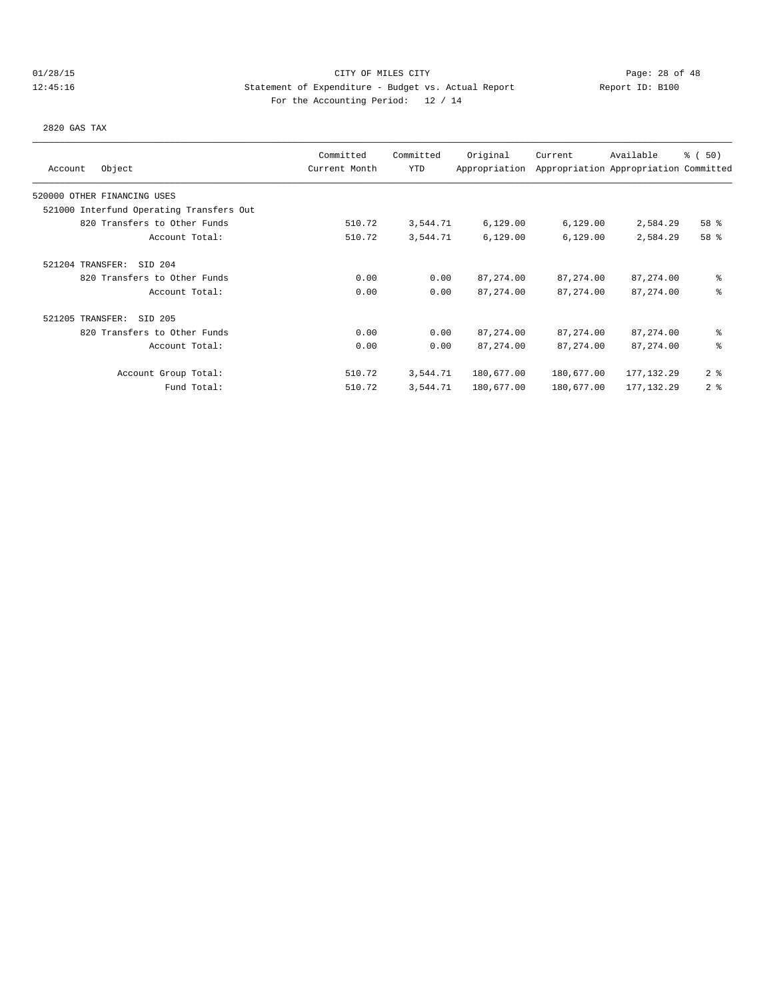# 01/28/15 Page: 28 of 48 12:45:16 Statement of Expenditure - Budget vs. Actual Report Changery Report ID: B100 For the Accounting Period: 12 / 14

2820 GAS TAX

| Object<br>Account                        | Committed<br>Current Month | Committed<br>YTD | Original<br>Appropriation | Current    | Available<br>Appropriation Appropriation Committed | % (50)         |
|------------------------------------------|----------------------------|------------------|---------------------------|------------|----------------------------------------------------|----------------|
| 520000 OTHER FINANCING USES              |                            |                  |                           |            |                                                    |                |
| 521000 Interfund Operating Transfers Out |                            |                  |                           |            |                                                    |                |
| 820 Transfers to Other Funds             | 510.72                     | 3,544.71         | 6,129.00                  | 6,129.00   | 2,584.29                                           | 58 %           |
| Account Total:                           | 510.72                     | 3,544.71         | 6, 129.00                 | 6,129.00   | 2,584.29                                           | 58 %           |
| SID 204<br>521204 TRANSFER:              |                            |                  |                           |            |                                                    |                |
| 820 Transfers to Other Funds             | 0.00                       | 0.00             | 87, 274.00                | 87, 274.00 | 87, 274.00                                         | ៖              |
| Account Total:                           | 0.00                       | 0.00             | 87, 274, 00               | 87, 274.00 | 87, 274.00                                         | ి              |
| SID 205<br>521205 TRANSFER:              |                            |                  |                           |            |                                                    |                |
| 820 Transfers to Other Funds             | 0.00                       | 0.00             | 87, 274.00                | 87,274.00  | 87,274.00                                          | ៖              |
| Account Total:                           | 0.00                       | 0.00             | 87, 274.00                | 87, 274.00 | 87, 274.00                                         | ి              |
| Account Group Total:                     | 510.72                     | 3,544.71         | 180,677.00                | 180,677.00 | 177, 132.29                                        | 2 <sup>8</sup> |
| Fund Total:                              | 510.72                     | 3,544.71         | 180,677.00                | 180,677.00 | 177, 132.29                                        | 2 <sup>8</sup> |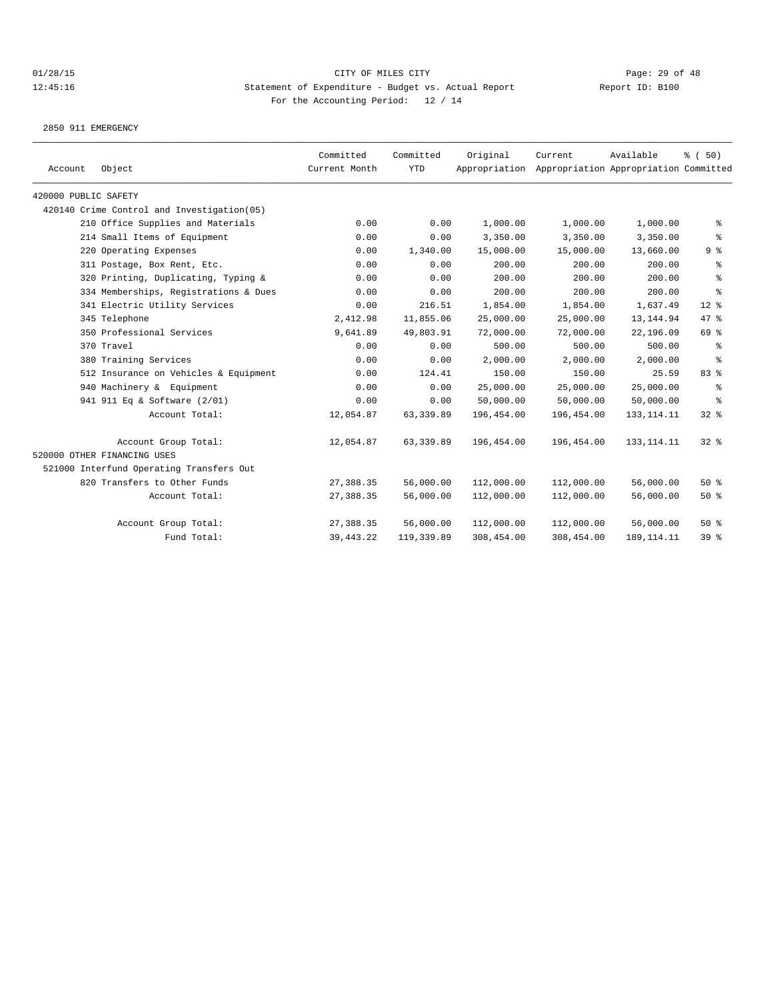2850 911 EMERGENCY

| Account              | Object                                      | Committed<br>Current Month | Committed<br><b>YTD</b> | Original   | Current<br>Appropriation Appropriation Appropriation Committed | Available    | % (50)           |
|----------------------|---------------------------------------------|----------------------------|-------------------------|------------|----------------------------------------------------------------|--------------|------------------|
| 420000 PUBLIC SAFETY |                                             |                            |                         |            |                                                                |              |                  |
|                      | 420140 Crime Control and Investigation (05) |                            |                         |            |                                                                |              |                  |
|                      | 210 Office Supplies and Materials           | 0.00                       | 0.00                    | 1,000.00   | 1,000.00                                                       | 1,000.00     | ႜ                |
|                      | 214 Small Items of Equipment                | 0.00                       | 0.00                    | 3,350.00   | 3,350.00                                                       | 3,350.00     | $\epsilon$       |
|                      | 220 Operating Expenses                      | 0.00                       | 1,340.00                | 15,000.00  | 15,000.00                                                      | 13,660.00    | 9 <sup>°</sup>   |
|                      | 311 Postage, Box Rent, Etc.                 | 0.00                       | 0.00                    | 200.00     | 200.00                                                         | 200.00       | ႜ                |
|                      | 320 Printing, Duplicating, Typing &         | 0.00                       | 0.00                    | 200.00     | 200.00                                                         | 200.00       | ి                |
|                      | 334 Memberships, Registrations & Dues       | 0.00                       | 0.00                    | 200.00     | 200.00                                                         | 200.00       | $\,{}^{\circ}\!$ |
|                      | 341 Electric Utility Services               | 0.00                       | 216.51                  | 1,854.00   | 1,854.00                                                       | 1,637.49     | $12*$            |
|                      | 345 Telephone                               | 2,412.98                   | 11,855.06               | 25,000.00  | 25,000.00                                                      | 13, 144.94   | 47 %             |
|                      | 350 Professional Services                   | 9,641.89                   | 49,803.91               | 72,000.00  | 72,000.00                                                      | 22,196.09    | 69 %             |
|                      | 370 Travel                                  | 0.00                       | 0.00                    | 500.00     | 500.00                                                         | 500.00       | နွ               |
|                      | 380 Training Services                       | 0.00                       | 0.00                    | 2,000.00   | 2,000.00                                                       | 2,000.00     | ႜ                |
|                      | 512 Insurance on Vehicles & Equipment       | 0.00                       | 124.41                  | 150.00     | 150.00                                                         | 25.59        | 83 %             |
|                      | 940 Machinery & Equipment                   | 0.00                       | 0.00                    | 25,000.00  | 25,000.00                                                      | 25,000.00    | ి                |
|                      | 941 911 Eq & Software (2/01)                | 0.00                       | 0.00                    | 50,000.00  | 50,000.00                                                      | 50,000.00    | နွ               |
|                      | Account Total:                              | 12,054.87                  | 63, 339.89              | 196,454.00 | 196,454.00                                                     | 133, 114. 11 | 32%              |
|                      | Account Group Total:                        | 12,054.87                  | 63,339.89               | 196,454.00 | 196,454.00                                                     | 133, 114. 11 | $32$ $%$         |
|                      | 520000 OTHER FINANCING USES                 |                            |                         |            |                                                                |              |                  |
|                      | 521000 Interfund Operating Transfers Out    |                            |                         |            |                                                                |              |                  |
|                      | 820 Transfers to Other Funds                | 27, 388.35                 | 56,000.00               | 112,000.00 | 112,000.00                                                     | 56,000.00    | 50%              |
|                      | Account Total:                              | 27,388.35                  | 56,000.00               | 112,000.00 | 112,000.00                                                     | 56,000.00    | 50%              |
|                      | Account Group Total:                        | 27, 388.35                 | 56,000.00               | 112,000.00 | 112,000.00                                                     | 56,000.00    | 50%              |
|                      | Fund Total:                                 | 39, 443. 22                | 119,339.89              | 308,454.00 | 308,454.00                                                     | 189, 114. 11 | 39 %             |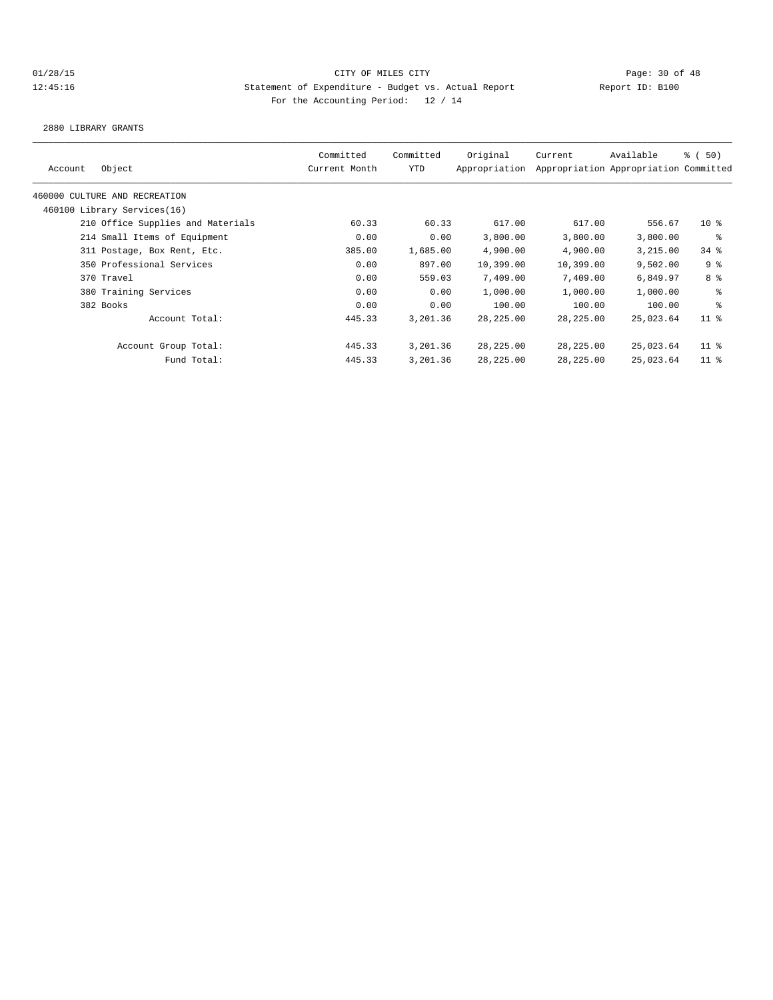2880 LIBRARY GRANTS

| Account | Object                            | Committed<br>Current Month | Committed<br>YTD | Original<br>Appropriation | Current    | Available<br>Appropriation Appropriation Committed | 8 ( 50)         |
|---------|-----------------------------------|----------------------------|------------------|---------------------------|------------|----------------------------------------------------|-----------------|
|         | 460000 CULTURE AND RECREATION     |                            |                  |                           |            |                                                    |                 |
|         | 460100 Library Services(16)       |                            |                  |                           |            |                                                    |                 |
|         | 210 Office Supplies and Materials | 60.33                      | 60.33            | 617.00                    | 617.00     | 556.67                                             | $10*$           |
|         | 214 Small Items of Equipment      | 0.00                       | 0.00             | 3,800.00                  | 3,800.00   | 3,800.00                                           | နွ              |
|         | 311 Postage, Box Rent, Etc.       | 385.00                     | 1,685.00         | 4,900.00                  | 4,900.00   | 3,215.00                                           | $34$ $%$        |
|         | 350 Professional Services         | 0.00                       | 897.00           | 10,399.00                 | 10,399.00  | 9,502.00                                           | 9 <sup>8</sup>  |
|         | 370 Travel                        | 0.00                       | 559.03           | 7,409.00                  | 7,409.00   | 6,849.97                                           | 8 %             |
|         | 380 Training Services             | 0.00                       | 0.00             | 1,000.00                  | 1,000.00   | 1,000.00                                           | နွ              |
|         | 382 Books                         | 0.00                       | 0.00             | 100.00                    | 100.00     | 100.00                                             | နွ              |
|         | Account Total:                    | 445.33                     | 3,201.36         | 28, 225.00                | 28, 225.00 | 25,023.64                                          | 11 <sup>8</sup> |
|         | Account Group Total:              | 445.33                     | 3,201.36         | 28, 225.00                | 28,225.00  | 25,023.64                                          | $11$ %          |
|         | Fund Total:                       | 445.33                     | 3,201.36         | 28, 225.00                | 28,225.00  | 25,023.64                                          | 11 <sup>8</sup> |
|         |                                   |                            |                  |                           |            |                                                    |                 |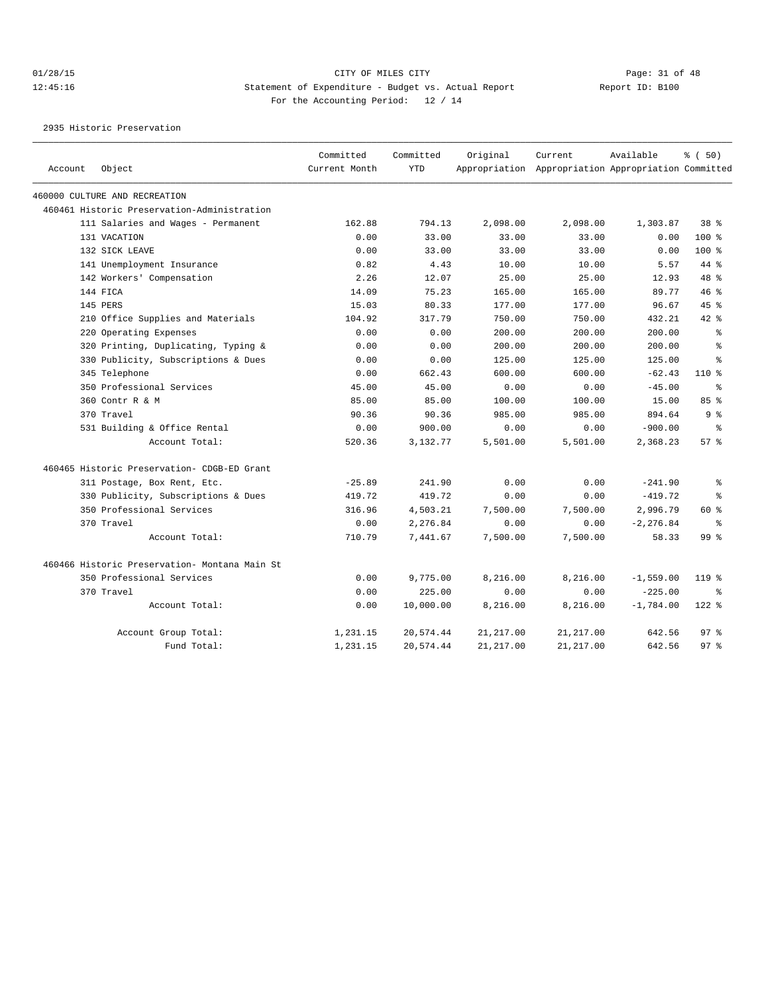2935 Historic Preservation

| Account | Object                                         | Committed<br>Current Month | Committed<br><b>YTD</b> | Original   | Current<br>Appropriation Appropriation Appropriation Committed | Available    | % (50)          |
|---------|------------------------------------------------|----------------------------|-------------------------|------------|----------------------------------------------------------------|--------------|-----------------|
|         | 460000 CULTURE AND RECREATION                  |                            |                         |            |                                                                |              |                 |
|         | 460461 Historic Preservation-Administration    |                            |                         |            |                                                                |              |                 |
|         | 111 Salaries and Wages - Permanent             | 162.88                     | 794.13                  | 2,098.00   | 2,098.00                                                       | 1,303.87     | 38 <sup>8</sup> |
|         | 131 VACATION                                   | 0.00                       | 33.00                   | 33.00      | 33.00                                                          | 0.00         | $100$ %         |
|         | 132 SICK LEAVE                                 | 0.00                       | 33.00                   | 33.00      | 33.00                                                          | 0.00         | $100$ %         |
|         | 141 Unemployment Insurance                     | 0.82                       | 4.43                    | 10.00      | 10.00                                                          | 5.57         | 44 %            |
|         | 142 Workers' Compensation                      | 2.26                       | 12.07                   | 25.00      | 25.00                                                          | 12.93        | 48 %            |
|         | 144 FICA                                       | 14.09                      | 75.23                   | 165.00     | 165.00                                                         | 89.77        | 46 %            |
|         | 145 PERS                                       | 15.03                      | 80.33                   | 177.00     | 177.00                                                         | 96.67        | 45%             |
|         | 210 Office Supplies and Materials              | 104.92                     | 317.79                  | 750.00     | 750.00                                                         | 432.21       | $42$ $%$        |
|         | 220 Operating Expenses                         | 0.00                       | 0.00                    | 200.00     | 200.00                                                         | 200.00       | ⊱               |
|         | 320 Printing, Duplicating, Typing &            | 0.00                       | 0.00                    | 200.00     | 200.00                                                         | 200.00       | ៖               |
|         | 330 Publicity, Subscriptions & Dues            | 0.00                       | 0.00                    | 125.00     | 125.00                                                         | 125.00       | နွ              |
|         | 345 Telephone                                  | 0.00                       | 662.43                  | 600.00     | 600.00                                                         | $-62.43$     | $110*$          |
|         | 350 Professional Services                      | 45.00                      | 45.00                   | 0.00       | 0.00                                                           | $-45.00$     | ႜ               |
|         | 360 Contr R & M                                | 85.00                      | 85.00                   | 100.00     | 100.00                                                         | 15.00        | 85%             |
|         | 370 Travel                                     | 90.36                      | 90.36                   | 985.00     | 985.00                                                         | 894.64       | 9 <sup>°</sup>  |
|         | 531 Building & Office Rental                   | 0.00                       | 900.00                  | 0.00       | 0.00                                                           | $-900.00$    | နွ              |
|         | Account Total:                                 | 520.36                     | 3,132.77                | 5,501.00   | 5,501.00                                                       | 2,368.23     | 57%             |
|         | 460465 Historic Preservation- CDGB-ED Grant    |                            |                         |            |                                                                |              |                 |
|         | 311 Postage, Box Rent, Etc.                    | $-25.89$                   | 241.90                  | 0.00       | 0.00                                                           | $-241.90$    | နွ              |
|         | 330 Publicity, Subscriptions & Dues            | 419.72                     | 419.72                  | 0.00       | 0.00                                                           | $-419.72$    | ి               |
|         | 350 Professional Services                      | 316.96                     | 4,503.21                | 7,500.00   | 7,500.00                                                       | 2,996.79     | 60%             |
|         | 370 Travel                                     | 0.00                       | 2,276.84                | 0.00       | 0.00                                                           | $-2, 276.84$ | နွ              |
|         | Account Total:                                 | 710.79                     | 7,441.67                | 7,500.00   | 7,500.00                                                       | 58.33        | 99 <sup>°</sup> |
|         | 460466 Historic Preservation- Montana Main St. |                            |                         |            |                                                                |              |                 |
|         | 350 Professional Services                      | 0.00                       | 9,775.00                | 8,216.00   | 8,216.00                                                       | $-1,559.00$  | $119$ %         |
|         | 370 Travel                                     | 0.00                       | 225.00                  | 0.00       | 0.00                                                           | $-225.00$    | ႜ               |
|         | Account Total:                                 | 0.00                       | 10,000.00               | 8,216.00   | 8,216.00                                                       | $-1,784.00$  | $122$ %         |
|         | Account Group Total:                           | 1,231.15                   | 20,574.44               | 21, 217.00 | 21, 217.00                                                     | 642.56       | 97.8            |
|         | Fund Total:                                    | 1,231.15                   | 20,574.44               | 21, 217.00 | 21, 217.00                                                     | 642.56       | 97 <sub>8</sub> |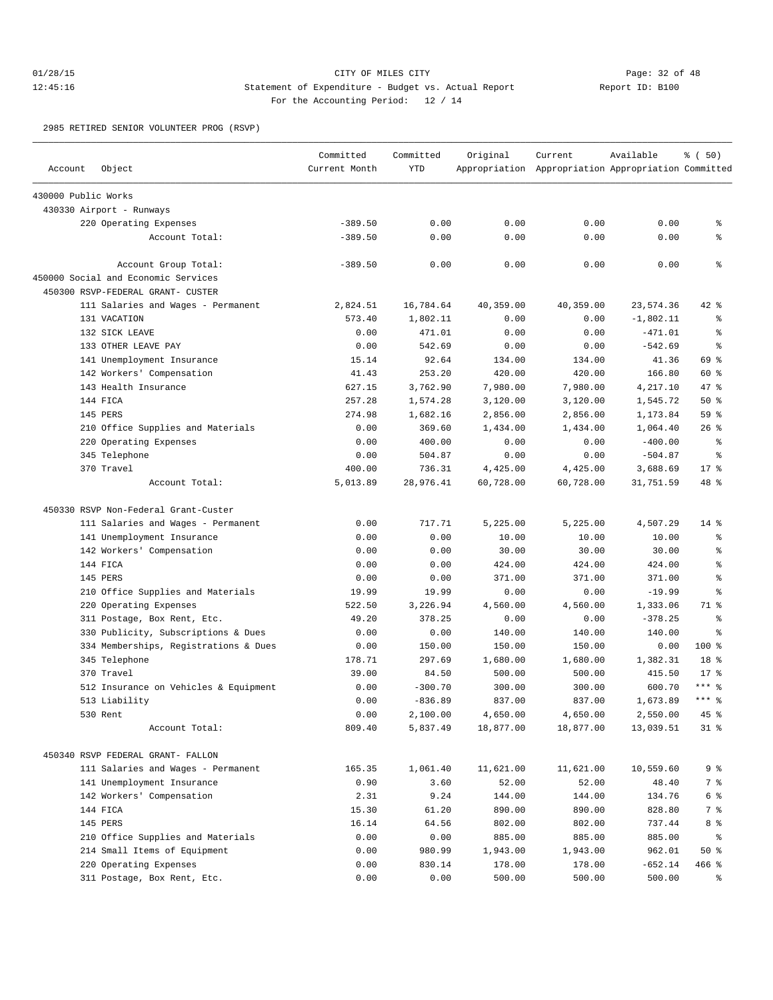## 01/28/15 Page: 32 of 48 12:45:16 Statement of Expenditure - Budget vs. Actual Report 11: Report ID: B100 For the Accounting Period: 12 / 14

2985 RETIRED SENIOR VOLUNTEER PROG (RSVP)

| Account             | Object                                                                   | Committed<br>Current Month | Committed<br><b>YTD</b> | Original  | Current<br>Appropriation Appropriation Appropriation Committed | Available   | % (50)     |
|---------------------|--------------------------------------------------------------------------|----------------------------|-------------------------|-----------|----------------------------------------------------------------|-------------|------------|
| 430000 Public Works |                                                                          |                            |                         |           |                                                                |             |            |
|                     | 430330 Airport - Runways                                                 |                            |                         |           |                                                                |             |            |
|                     | 220 Operating Expenses                                                   | $-389.50$                  | 0.00                    | 0.00      | 0.00                                                           | 0.00        | နွ         |
|                     | Account Total:                                                           | $-389.50$                  | 0.00                    | 0.00      | 0.00                                                           | 0.00        | နွ         |
|                     | Account Group Total:                                                     | $-389.50$                  | 0.00                    | 0.00      | 0.00                                                           | 0.00        | န္         |
|                     | 450000 Social and Economic Services<br>450300 RSVP-FEDERAL GRANT- CUSTER |                            |                         |           |                                                                |             |            |
|                     | 111 Salaries and Wages - Permanent                                       | 2,824.51                   | 16,784.64               | 40,359.00 | 40,359.00                                                      | 23,574.36   | $42$ %     |
|                     | 131 VACATION                                                             | 573.40                     | 1,802.11                | 0.00      | 0.00                                                           | $-1,802.11$ | $\epsilon$ |
|                     | 132 SICK LEAVE                                                           | 0.00                       | 471.01                  | 0.00      | 0.00                                                           | $-471.01$   | ႜ          |
|                     | 133 OTHER LEAVE PAY                                                      | 0.00                       | 542.69                  | 0.00      | 0.00                                                           | $-542.69$   | နွ         |
|                     | 141 Unemployment Insurance                                               | 15.14                      | 92.64                   | 134.00    | 134.00                                                         | 41.36       | 69 %       |
|                     | 142 Workers' Compensation                                                | 41.43                      | 253.20                  | 420.00    | 420.00                                                         | 166.80      | 60 %       |
|                     | 143 Health Insurance                                                     | 627.15                     | 3,762.90                | 7,980.00  | 7,980.00                                                       | 4,217.10    | 47 %       |
|                     | 144 FICA                                                                 | 257.28                     | 1,574.28                | 3,120.00  | 3,120.00                                                       | 1,545.72    | 50%        |
|                     | 145 PERS                                                                 | 274.98                     | 1,682.16                | 2,856.00  | 2,856.00                                                       | 1,173.84    | 59 %       |
|                     | 210 Office Supplies and Materials                                        | 0.00                       | 369.60                  | 1,434.00  | 1,434.00                                                       | 1,064.40    | $26$ %     |
|                     | 220 Operating Expenses                                                   | 0.00                       | 400.00                  | 0.00      | 0.00                                                           | $-400.00$   | န္         |
|                     | 345 Telephone                                                            | 0.00                       | 504.87                  | 0.00      | 0.00                                                           | $-504.87$   | နွ         |
|                     | 370 Travel                                                               | 400.00                     | 736.31                  | 4,425.00  | 4,425.00                                                       | 3,688.69    | $17*$      |
|                     | Account Total:                                                           | 5,013.89                   | 28,976.41               | 60,728.00 | 60,728.00                                                      | 31,751.59   | 48 %       |
|                     | 450330 RSVP Non-Federal Grant-Custer                                     |                            |                         |           |                                                                |             |            |
|                     | 111 Salaries and Wages - Permanent                                       | 0.00                       | 717.71                  | 5,225.00  | 5,225.00                                                       | 4,507.29    | $14*$      |
|                     | 141 Unemployment Insurance                                               | 0.00                       | 0.00                    | 10.00     | 10.00                                                          | 10.00       | ႜ          |
|                     | 142 Workers' Compensation                                                | 0.00                       | 0.00                    | 30.00     | 30.00                                                          | 30.00       | š          |
|                     | 144 FICA                                                                 | 0.00                       | 0.00                    | 424.00    | 424.00                                                         | 424.00      | န္         |
|                     | 145 PERS                                                                 | 0.00                       | 0.00                    | 371.00    | 371.00                                                         | 371.00      | န္         |
|                     | 210 Office Supplies and Materials                                        | 19.99                      | 19.99                   | 0.00      | 0.00                                                           | $-19.99$    | š          |
|                     | 220 Operating Expenses                                                   | 522.50                     | 3,226.94                | 4,560.00  | 4,560.00                                                       | 1,333.06    | 71 %       |
|                     | 311 Postage, Box Rent, Etc.                                              | 49.20                      | 378.25                  | 0.00      | 0.00                                                           | $-378.25$   | နွ         |
|                     | 330 Publicity, Subscriptions & Dues                                      | 0.00                       | 0.00                    | 140.00    | 140.00                                                         | 140.00      | g          |
|                     | 334 Memberships, Registrations & Dues                                    | 0.00                       | 150.00                  | 150.00    | 150.00                                                         | 0.00        | 100 %      |
|                     | 345 Telephone                                                            | 178.71                     | 297.69                  | 1,680.00  | 1,680.00                                                       | 1,382.31    | 18 %       |
|                     | 370 Travel                                                               | 39.00                      | 84.50                   | 500.00    | 500.00                                                         | 415.50      | $17*$      |
|                     | 512 Insurance on Vehicles & Equipment                                    | 0.00                       | $-300.70$               | 300.00    | 300.00                                                         | 600.70      | $***$ $%$  |
|                     | 513 Liability                                                            | 0.00                       | $-836.89$               | 837.00    | 837.00                                                         | 1,673.89    | $***$ $%$  |
|                     | 530 Rent                                                                 | 0.00                       | 2,100.00                | 4,650.00  | 4,650.00                                                       | 2,550.00    | 45 %       |
|                     | Account Total:                                                           | 809.40                     | 5,837.49                | 18,877.00 | 18,877.00                                                      | 13,039.51   | $31$ %     |
|                     | 450340 RSVP FEDERAL GRANT- FALLON                                        |                            |                         |           |                                                                |             |            |
|                     | 111 Salaries and Wages - Permanent                                       | 165.35                     | 1,061.40                | 11,621.00 | 11,621.00                                                      | 10,559.60   | 9%         |
|                     | 141 Unemployment Insurance                                               | 0.90                       | 3.60                    | 52.00     | 52.00                                                          | 48.40       | 7 %        |
|                     | 142 Workers' Compensation                                                | 2.31                       | 9.24                    | 144.00    | 144.00                                                         | 134.76      | 6 %        |
|                     | 144 FICA                                                                 | 15.30                      | 61.20                   | 890.00    | 890.00                                                         | 828.80      | 7 %        |
|                     | 145 PERS                                                                 | 16.14                      | 64.56                   | 802.00    | 802.00                                                         | 737.44      | 8 %        |
|                     | 210 Office Supplies and Materials                                        | 0.00                       | 0.00                    | 885.00    | 885.00                                                         | 885.00      | ိ          |
|                     | 214 Small Items of Equipment                                             | 0.00                       | 980.99                  | 1,943.00  | 1,943.00                                                       | 962.01      | 50%        |
|                     | 220 Operating Expenses                                                   | 0.00                       | 830.14                  | 178.00    | 178.00                                                         | $-652.14$   | $466$ %    |
|                     | 311 Postage, Box Rent, Etc.                                              | 0.00                       | 0.00                    | 500.00    | 500.00                                                         | 500.00      | ್ಠಿ        |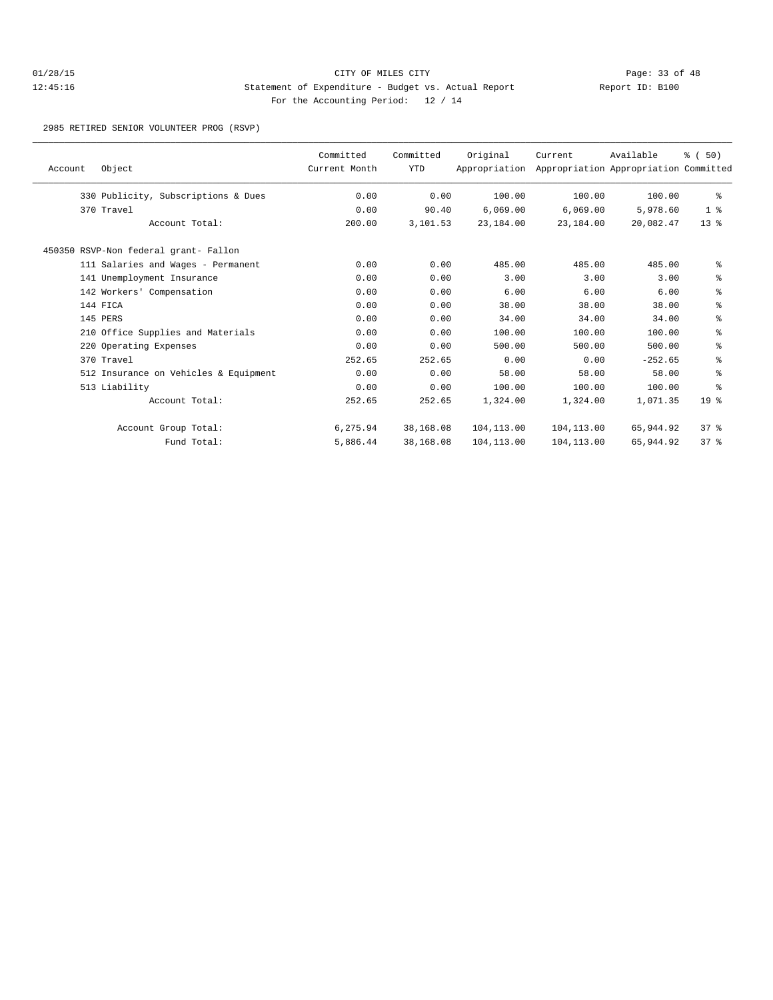## 01/28/15 Page: 33 of 48 12:45:16 Statement of Expenditure - Budget vs. Actual Report Changery Report ID: B100 For the Accounting Period: 12 / 14

2985 RETIRED SENIOR VOLUNTEER PROG (RSVP)

| Object<br>Account                     | Committed<br>Current Month | Committed<br><b>YTD</b> | Original<br>Appropriation | Current     | Available<br>Appropriation Appropriation Committed | % (50)          |
|---------------------------------------|----------------------------|-------------------------|---------------------------|-------------|----------------------------------------------------|-----------------|
| 330 Publicity, Subscriptions & Dues   | 0.00                       | 0.00                    | 100.00                    | 100.00      | 100.00                                             | ႜ               |
| 370 Travel                            | 0.00                       | 90.40                   | 6,069.00                  | 6,069.00    | 5,978.60                                           | 1 <sup>8</sup>  |
| Account Total:                        | 200.00                     | 3,101.53                | 23,184.00                 | 23,184.00   | 20,082.47                                          | $13*$           |
| 450350 RSVP-Non federal grant- Fallon |                            |                         |                           |             |                                                    |                 |
| 111 Salaries and Wages - Permanent    | 0.00                       | 0.00                    | 485.00                    | 485.00      | 485.00                                             | နွ              |
| 141 Unemployment Insurance            | 0.00                       | 0.00                    | 3.00                      | 3.00        | 3.00                                               | နွ              |
| 142 Workers' Compensation             | 0.00                       | 0.00                    | 6.00                      | 6.00        | 6.00                                               | နွ              |
| 144 FICA                              | 0.00                       | 0.00                    | 38.00                     | 38.00       | 38.00                                              | နွ              |
| 145 PERS                              | 0.00                       | 0.00                    | 34.00                     | 34.00       | 34.00                                              | နွ              |
| 210 Office Supplies and Materials     | 0.00                       | 0.00                    | 100.00                    | 100.00      | 100.00                                             | နွ              |
| 220 Operating Expenses                | 0.00                       | 0.00                    | 500.00                    | 500.00      | 500.00                                             | နွ              |
| 370 Travel                            | 252.65                     | 252.65                  | 0.00                      | 0.00        | $-252.65$                                          | နွ              |
| 512 Insurance on Vehicles & Equipment | 0.00                       | 0.00                    | 58.00                     | 58.00       | 58.00                                              | နွ              |
| 513 Liability                         | 0.00                       | 0.00                    | 100.00                    | 100.00      | 100.00                                             | ి               |
| Account Total:                        | 252.65                     | 252.65                  | 1,324.00                  | 1,324.00    | 1,071.35                                           | 19 <sup>°</sup> |
| Account Group Total:                  | 6,275.94                   | 38,168.08               | 104,113.00                | 104,113.00  | 65,944.92                                          | 378             |
| Fund Total:                           | 5,886.44                   | 38,168.08               | 104, 113.00               | 104, 113.00 | 65,944.92                                          | 37 <sup>8</sup> |
|                                       |                            |                         |                           |             |                                                    |                 |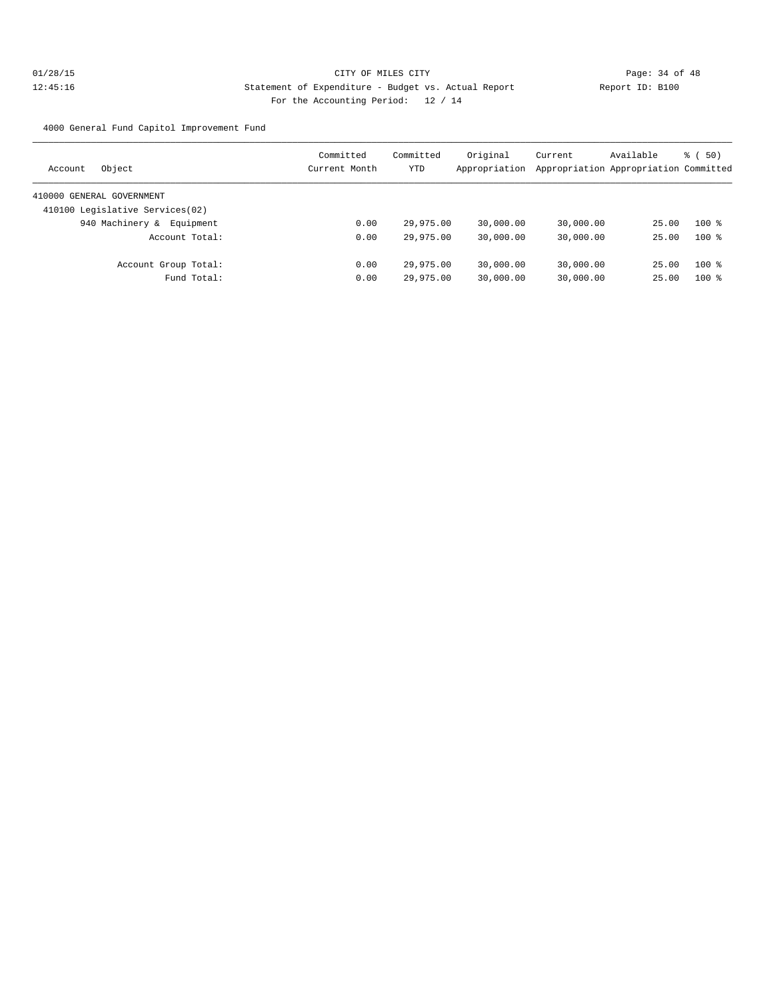4000 General Fund Capitol Improvement Fund

| Object<br>Account               | Committed<br>Current Month | Committed<br>YTD | Original<br>Appropriation | Current   | Available<br>Appropriation Appropriation Committed | $\frac{1}{6}$ (50) |
|---------------------------------|----------------------------|------------------|---------------------------|-----------|----------------------------------------------------|--------------------|
| 410000 GENERAL GOVERNMENT       |                            |                  |                           |           |                                                    |                    |
| 410100 Legislative Services(02) |                            |                  |                           |           |                                                    |                    |
| 940 Machinery &<br>Equipment    | 0.00                       | 29,975.00        | 30,000.00                 | 30,000.00 | 25.00                                              | $100*$             |
| Account Total:                  | 0.00                       | 29,975.00        | 30,000.00                 | 30,000.00 | 25.00                                              | $100*$             |
| Account Group Total:            | 0.00                       | 29,975.00        | 30,000.00                 | 30,000.00 | 25.00                                              | $100*$             |
| Fund Total:                     | 0.00                       | 29,975.00        | 30,000.00                 | 30,000.00 | 25.00                                              | $100*$             |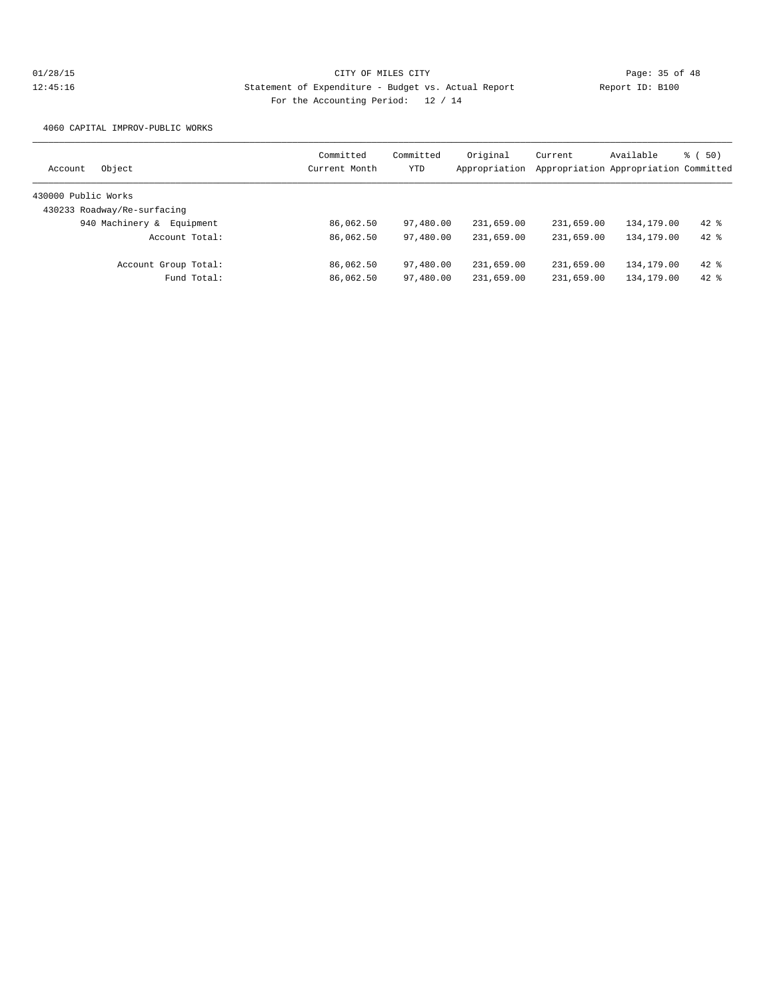4060 CAPITAL IMPROV-PUBLIC WORKS

| Object<br>Account            | Committed<br>Current Month | Committed<br>YTD | Original<br>Appropriation | Current    | Available<br>Appropriation Appropriation Committed | (50)<br>る ( |
|------------------------------|----------------------------|------------------|---------------------------|------------|----------------------------------------------------|-------------|
|                              |                            |                  |                           |            |                                                    |             |
| 430000 Public Works          |                            |                  |                           |            |                                                    |             |
| 430233 Roadway/Re-surfacing  |                            |                  |                           |            |                                                    |             |
| 940 Machinery &<br>Equipment | 86,062.50                  | 97,480.00        | 231,659.00                | 231,659.00 | 134,179.00                                         | $42*$       |
| Account Total:               | 86,062.50                  | 97,480.00        | 231,659.00                | 231,659.00 | 134, 179.00                                        | $42*$       |
| Account Group Total:         | 86,062.50                  | 97,480.00        | 231,659.00                | 231,659.00 | 134,179.00                                         | $42*$       |
| Fund Total:                  | 86,062.50                  | 97,480.00        | 231,659.00                | 231,659.00 | 134,179.00                                         | $42$ $%$    |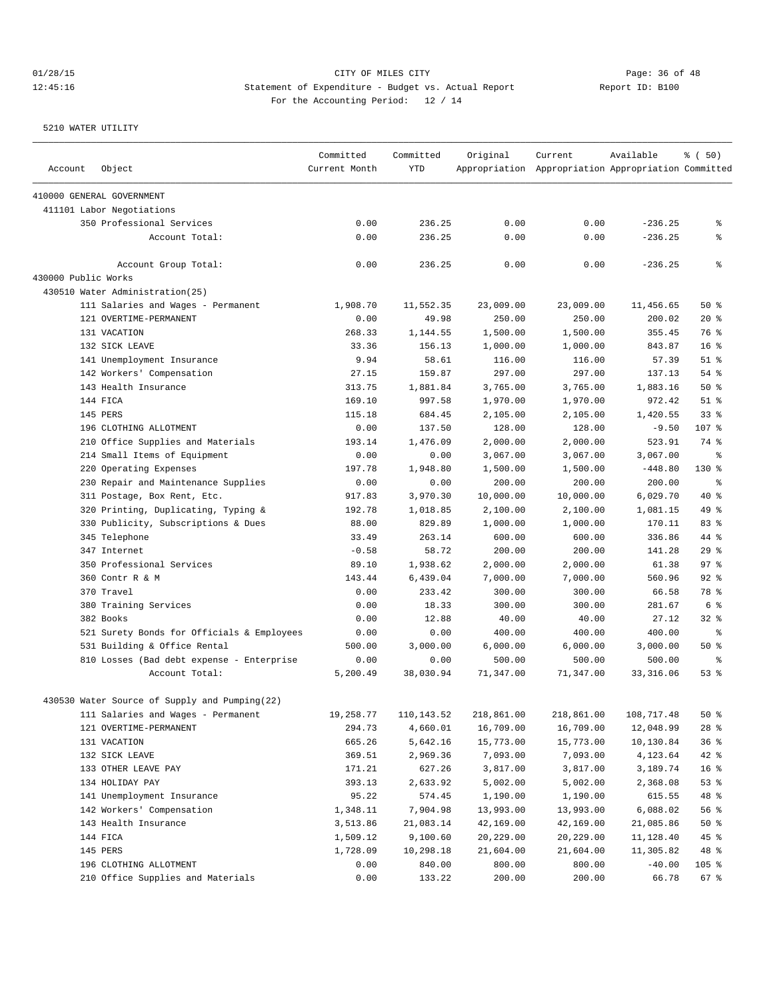| Account             | Object                                        | Committed<br>Current Month | Committed<br><b>YTD</b> | Original   | Current<br>Appropriation Appropriation Appropriation Committed | Available  | % (50)          |
|---------------------|-----------------------------------------------|----------------------------|-------------------------|------------|----------------------------------------------------------------|------------|-----------------|
|                     | 410000 GENERAL GOVERNMENT                     |                            |                         |            |                                                                |            |                 |
|                     | 411101 Labor Negotiations                     |                            |                         |            |                                                                |            |                 |
|                     | 350 Professional Services                     | 0.00                       | 236.25                  | 0.00       | 0.00                                                           | $-236.25$  | နွ              |
|                     | Account Total:                                | 0.00                       | 236.25                  | 0.00       | 0.00                                                           | $-236.25$  | နွ              |
|                     | Account Group Total:                          | 0.00                       | 236.25                  | 0.00       | 0.00                                                           | $-236.25$  | ి               |
| 430000 Public Works |                                               |                            |                         |            |                                                                |            |                 |
|                     | 430510 Water Administration (25)              |                            |                         |            |                                                                |            |                 |
|                     | 111 Salaries and Wages - Permanent            | 1,908.70                   | 11,552.35               | 23,009.00  | 23,009.00                                                      | 11,456.65  | 50%             |
|                     | 121 OVERTIME-PERMANENT                        | 0.00                       | 49.98                   | 250.00     | 250.00                                                         | 200.02     | $20*$           |
|                     | 131 VACATION                                  | 268.33                     | 1,144.55                | 1,500.00   | 1,500.00                                                       | 355.45     | 76 %            |
|                     | 132 SICK LEAVE                                | 33.36                      | 156.13                  | 1,000.00   | 1,000.00                                                       | 843.87     | $16*$           |
|                     | 141 Unemployment Insurance                    | 9.94                       | 58.61                   | 116.00     | 116.00                                                         | 57.39      | $51$ %          |
|                     | 142 Workers' Compensation                     | 27.15                      | 159.87                  | 297.00     | 297.00                                                         | 137.13     | 54 %            |
|                     | 143 Health Insurance                          | 313.75                     | 1,881.84                | 3,765.00   | 3,765.00                                                       | 1,883.16   | 50%             |
|                     | 144 FICA                                      | 169.10                     | 997.58                  | 1,970.00   | 1,970.00                                                       | 972.42     | $51$ %          |
|                     | 145 PERS                                      | 115.18                     | 684.45                  | 2,105.00   | 2,105.00                                                       | 1,420.55   | 33%             |
|                     | 196 CLOTHING ALLOTMENT                        | 0.00                       | 137.50                  | 128.00     | 128.00                                                         | $-9.50$    | 107 %           |
|                     | 210 Office Supplies and Materials             | 193.14                     | 1,476.09                | 2,000.00   | 2,000.00                                                       | 523.91     | 74 %            |
|                     | 214 Small Items of Equipment                  | 0.00                       | 0.00                    | 3,067.00   | 3,067.00                                                       | 3,067.00   | ႜ               |
|                     | 220 Operating Expenses                        | 197.78                     | 1,948.80                | 1,500.00   | 1,500.00                                                       | $-448.80$  | $130*$          |
|                     | 230 Repair and Maintenance Supplies           | 0.00                       | 0.00                    | 200.00     | 200.00                                                         | 200.00     | နွ              |
|                     | 311 Postage, Box Rent, Etc.                   | 917.83                     | 3,970.30                | 10,000.00  | 10,000.00                                                      | 6,029.70   | $40*$           |
|                     | 320 Printing, Duplicating, Typing &           | 192.78                     | 1,018.85                | 2,100.00   | 2,100.00                                                       | 1,081.15   | 49 %            |
|                     | 330 Publicity, Subscriptions & Dues           | 88.00                      | 829.89                  | 1,000.00   | 1,000.00                                                       | 170.11     | 83%             |
|                     | 345 Telephone                                 | 33.49                      | 263.14                  | 600.00     | 600.00                                                         | 336.86     | 44 %            |
|                     | 347 Internet                                  | $-0.58$                    | 58.72                   | 200.00     | 200.00                                                         | 141.28     | 29%             |
|                     | 350 Professional Services                     | 89.10                      | 1,938.62                | 2,000.00   | 2,000.00                                                       | 61.38      | 97%             |
|                     | 360 Contr R & M                               | 143.44                     | 6,439.04                | 7,000.00   | 7,000.00                                                       | 560.96     | 92%             |
|                     | 370 Travel                                    | 0.00                       | 233.42                  | 300.00     | 300.00                                                         | 66.58      | 78 %            |
|                     | 380 Training Services                         | 0.00                       | 18.33                   | 300.00     | 300.00                                                         | 281.67     | 6 %             |
|                     | 382 Books                                     | 0.00                       | 12.88                   | 40.00      | 40.00                                                          | 27.12      | $32$ $%$        |
|                     | 521 Surety Bonds for Officials & Employees    | 0.00                       | 0.00                    | 400.00     | 400.00                                                         | 400.00     | ႜ               |
|                     | 531 Building & Office Rental                  | 500.00                     | 3,000.00                | 6,000.00   | 6,000.00                                                       | 3,000.00   | 50 %            |
|                     | 810 Losses (Bad debt expense - Enterprise     | 0.00                       | 0.00                    | 500.00     | 500.00                                                         | 500.00     | နွ              |
|                     | Account Total:                                | 5,200.49                   | 38,030.94               | 71,347.00  | 71,347.00                                                      | 33, 316.06 | $53$ $%$        |
|                     | 430530 Water Source of Supply and Pumping(22) |                            |                         |            |                                                                |            |                 |
|                     | 111 Salaries and Wages - Permanent            | 19,258.77                  | 110,143.52              | 218,861.00 | 218,861.00                                                     | 108,717.48 | 50%             |
|                     | 121 OVERTIME-PERMANENT                        | 294.73                     | 4,660.01                | 16,709.00  | 16,709.00                                                      | 12,048.99  | $28$ %          |
|                     | 131 VACATION                                  | 665.26                     | 5,642.16                | 15,773.00  | 15,773.00                                                      | 10,130.84  | 36%             |
|                     | 132 SICK LEAVE                                | 369.51                     | 2,969.36                | 7,093.00   | 7,093.00                                                       | 4,123.64   | 42 %            |
|                     | 133 OTHER LEAVE PAY                           | 171.21                     | 627.26                  | 3,817.00   | 3,817.00                                                       | 3,189.74   | 16 <sup>°</sup> |
|                     | 134 HOLIDAY PAY                               | 393.13                     | 2,633.92                | 5,002.00   | 5,002.00                                                       | 2,368.08   | 53%             |
|                     | 141 Unemployment Insurance                    | 95.22                      | 574.45                  | 1,190.00   | 1,190.00                                                       | 615.55     | 48 %            |
|                     | 142 Workers' Compensation                     | 1,348.11                   | 7,904.98                | 13,993.00  | 13,993.00                                                      | 6,088.02   | 56 %            |
|                     | 143 Health Insurance                          | 3,513.86                   | 21,083.14               | 42,169.00  | 42,169.00                                                      | 21,085.86  | 50%             |
|                     | 144 FICA                                      | 1,509.12                   | 9,100.60                | 20,229.00  | 20,229.00                                                      | 11,128.40  | 45%             |
|                     | 145 PERS                                      | 1,728.09                   | 10,298.18               | 21,604.00  | 21,604.00                                                      | 11,305.82  | 48 %            |
|                     | 196 CLOTHING ALLOTMENT                        | 0.00                       | 840.00                  | 800.00     | 800.00                                                         | $-40.00$   | $105$ %         |
|                     | 210 Office Supplies and Materials             | 0.00                       | 133.22                  | 200.00     | 200.00                                                         | 66.78      | 67 %            |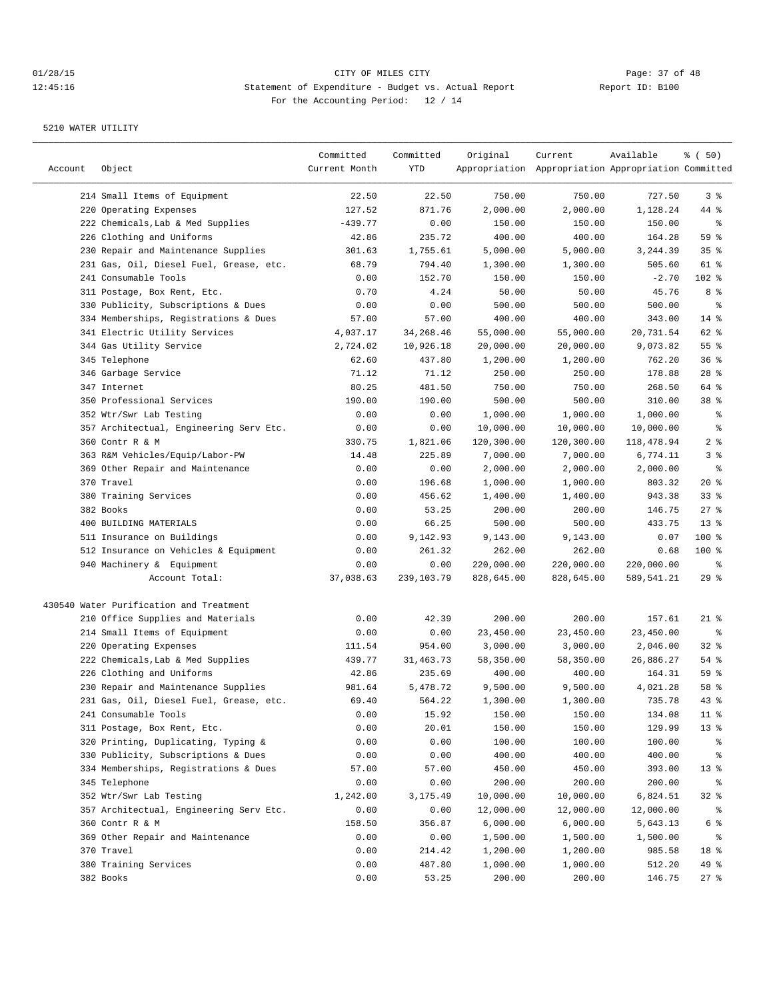## 01/28/15 Page: 37 of 48 12:45:16 Statement of Expenditure - Budget vs. Actual Report Changer Report ID: B100 For the Accounting Period: 12 / 14

| Account | Object                                  | Committed<br>Current Month | Committed<br>YTD | Original   | Current<br>Appropriation Appropriation Appropriation Committed | Available  | % ( 50)         |
|---------|-----------------------------------------|----------------------------|------------------|------------|----------------------------------------------------------------|------------|-----------------|
|         | 214 Small Items of Equipment            | 22.50                      | 22.50            | 750.00     | 750.00                                                         | 727.50     | 3%              |
|         | 220 Operating Expenses                  | 127.52                     | 871.76           | 2,000.00   | 2,000.00                                                       | 1,128.24   | 44 %            |
|         | 222 Chemicals, Lab & Med Supplies       | $-439.77$                  | 0.00             | 150.00     | 150.00                                                         | 150.00     | နွ              |
|         | 226 Clothing and Uniforms               | 42.86                      | 235.72           | 400.00     | 400.00                                                         | 164.28     | 59 %            |
|         | 230 Repair and Maintenance Supplies     | 301.63                     | 1,755.61         | 5,000.00   | 5,000.00                                                       | 3,244.39   | 35%             |
|         | 231 Gas, Oil, Diesel Fuel, Grease, etc. | 68.79                      | 794.40           | 1,300.00   | 1,300.00                                                       | 505.60     | 61 %            |
|         | 241 Consumable Tools                    | 0.00                       | 152.70           | 150.00     | 150.00                                                         | $-2.70$    | 102 %           |
|         | 311 Postage, Box Rent, Etc.             | 0.70                       | 4.24             | 50.00      | 50.00                                                          | 45.76      | 8 %             |
|         | 330 Publicity, Subscriptions & Dues     | 0.00                       | 0.00             | 500.00     | 500.00                                                         | 500.00     | နွ              |
|         | 334 Memberships, Registrations & Dues   | 57.00                      | 57.00            | 400.00     | 400.00                                                         | 343.00     | $14*$           |
|         | 341 Electric Utility Services           | 4,037.17                   | 34, 268. 46      | 55,000.00  | 55,000.00                                                      | 20,731.54  | 62 %            |
|         | 344 Gas Utility Service                 | 2,724.02                   | 10,926.18        | 20,000.00  | 20,000.00                                                      | 9,073.82   | 55%             |
|         | 345 Telephone                           | 62.60                      | 437.80           | 1,200.00   | 1,200.00                                                       | 762.20     | 36%             |
|         | 346 Garbage Service                     | 71.12                      | 71.12            | 250.00     | 250.00                                                         | 178.88     | $28$ %          |
|         | 347 Internet                            | 80.25                      | 481.50           | 750.00     | 750.00                                                         | 268.50     | 64 %            |
|         | 350 Professional Services               | 190.00                     | 190.00           | 500.00     | 500.00                                                         | 310.00     | 38 %            |
|         | 352 Wtr/Swr Lab Testing                 | 0.00                       | 0.00             | 1,000.00   | 1,000.00                                                       | 1,000.00   | နွ              |
|         | 357 Architectual, Engineering Serv Etc. | 0.00                       | 0.00             | 10,000.00  | 10,000.00                                                      | 10,000.00  | နွ              |
|         | 360 Contr R & M                         | 330.75                     | 1,821.06         | 120,300.00 | 120,300.00                                                     | 118,478.94 | 2 <sup>8</sup>  |
|         | 363 R&M Vehicles/Equip/Labor-PW         | 14.48                      | 225.89           | 7,000.00   | 7,000.00                                                       | 6,774.11   | 3%              |
|         | 369 Other Repair and Maintenance        | 0.00                       | 0.00             | 2,000.00   | 2,000.00                                                       | 2,000.00   | ್ಠಿ             |
|         | 370 Travel                              | 0.00                       | 196.68           | 1,000.00   | 1,000.00                                                       | 803.32     | $20*$           |
|         | 380 Training Services                   | 0.00                       | 456.62           | 1,400.00   | 1,400.00                                                       | 943.38     | 33%             |
|         | 382 Books                               | 0.00                       | 53.25            | 200.00     | 200.00                                                         | 146.75     | $27$ %          |
|         | 400 BUILDING MATERIALS                  | 0.00                       | 66.25            | 500.00     | 500.00                                                         | 433.75     | 13 <sup>8</sup> |
|         | 511 Insurance on Buildings              | 0.00                       | 9,142.93         | 9,143.00   | 9,143.00                                                       | 0.07       | $100$ %         |
|         | 512 Insurance on Vehicles & Equipment   | 0.00                       | 261.32           | 262.00     | 262.00                                                         | 0.68       | $100$ %         |
|         | 940 Machinery & Equipment               | 0.00                       | 0.00             | 220,000.00 | 220,000.00                                                     | 220,000.00 | ႜ               |
|         | Account Total:                          | 37,038.63                  | 239,103.79       | 828,645.00 | 828,645.00                                                     | 589,541.21 | 29%             |
|         | 430540 Water Purification and Treatment |                            |                  |            |                                                                |            |                 |
|         | 210 Office Supplies and Materials       | 0.00                       | 42.39            | 200.00     | 200.00                                                         | 157.61     | $21$ %          |
|         | 214 Small Items of Equipment            | 0.00                       | 0.00             | 23,450.00  | 23,450.00                                                      | 23,450.00  | နွ              |
|         | 220 Operating Expenses                  | 111.54                     | 954.00           | 3,000.00   | 3,000.00                                                       | 2,046.00   | $32$ $%$        |
|         | 222 Chemicals, Lab & Med Supplies       | 439.77                     | 31, 463. 73      | 58,350.00  | 58,350.00                                                      | 26,886.27  | 54 %            |
|         | 226 Clothing and Uniforms               | 42.86                      | 235.69           | 400.00     | 400.00                                                         | 164.31     | 59 %            |
|         | 230 Repair and Maintenance Supplies     | 981.64                     | 5,478.72         | 9,500.00   | 9,500.00                                                       | 4,021.28   | 58 %            |
|         | 231 Gas, Oil, Diesel Fuel, Grease, etc. | 69.40                      | 564.22           | 1,300.00   | 1,300.00                                                       | 735.78     | 43 %            |
|         | 241 Consumable Tools                    | 0.00                       | 15.92            | 150.00     | 150.00                                                         | 134.08     | 11 <sub>8</sub> |
|         | 311 Postage, Box Rent, Etc.             | 0.00                       | 20.01            | 150.00     | 150.00                                                         | 129.99     | 13 <sup>°</sup> |
|         | 320 Printing, Duplicating, Typing &     | 0.00                       | 0.00             | 100.00     | 100.00                                                         | 100.00     | ွေ              |
|         | 330 Publicity, Subscriptions & Dues     | 0.00                       | 0.00             | 400.00     | 400.00                                                         | 400.00     | ွေ              |
|         | 334 Memberships, Registrations & Dues   | 57.00                      | 57.00            | 450.00     | 450.00                                                         | 393.00     | 13 <sub>8</sub> |
|         | 345 Telephone                           | 0.00                       | 0.00             | 200.00     | 200.00                                                         | 200.00     | ွေ              |
|         | 352 Wtr/Swr Lab Testing                 | 1,242.00                   | 3,175.49         | 10,000.00  | 10,000.00                                                      | 6,824.51   | $32*$           |
|         | 357 Architectual, Engineering Serv Etc. | 0.00                       | 0.00             | 12,000.00  | 12,000.00                                                      | 12,000.00  | ွေ              |
|         | 360 Contr R & M                         | 158.50                     | 356.87           | 6,000.00   | 6,000.00                                                       | 5,643.13   | 6 %             |
|         | 369 Other Repair and Maintenance        | 0.00                       | 0.00             | 1,500.00   | 1,500.00                                                       | 1,500.00   | ွေ              |
|         | 370 Travel                              | 0.00                       | 214.42           | 1,200.00   | 1,200.00                                                       | 985.58     | 18 %            |
|         | 380 Training Services                   | 0.00                       | 487.80           | 1,000.00   | 1,000.00                                                       | 512.20     | 49 %            |
|         | 382 Books                               | 0.00                       | 53.25            | 200.00     | 200.00                                                         | 146.75     | $27$ %          |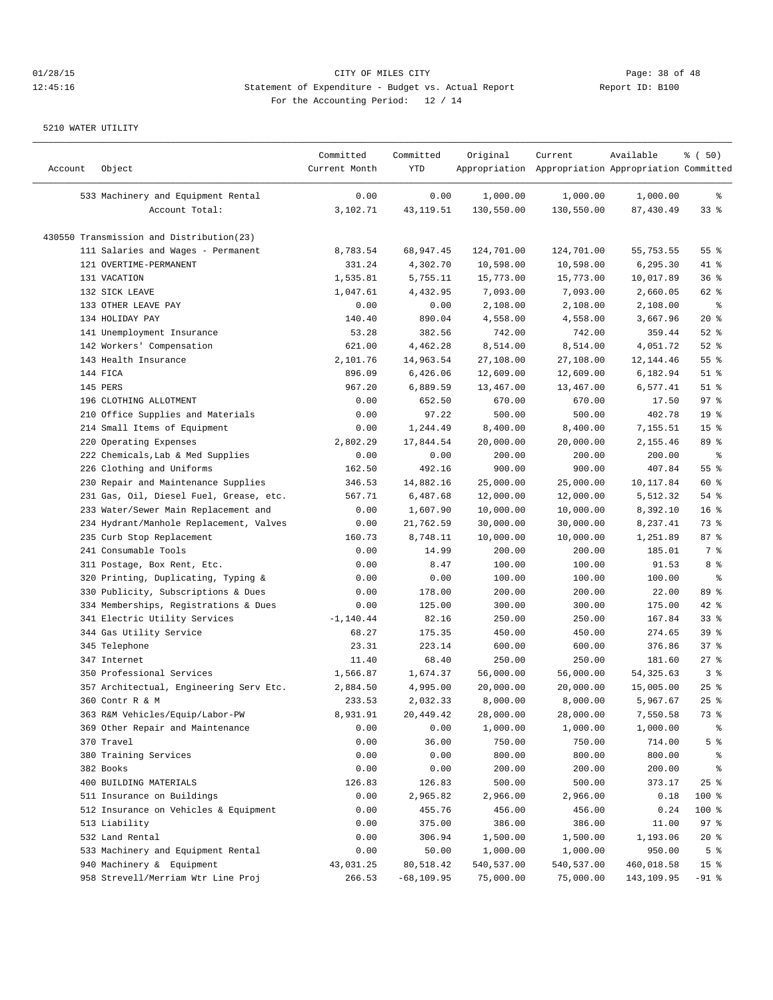| Account | Object                                   | Committed<br>Current Month | Committed<br>YTD | Original   | Current<br>Appropriation Appropriation Appropriation Committed | Available  | % ( 50)            |
|---------|------------------------------------------|----------------------------|------------------|------------|----------------------------------------------------------------|------------|--------------------|
|         | 533 Machinery and Equipment Rental       | 0.00                       | 0.00             | 1,000.00   | 1,000.00                                                       | 1,000.00   | ွေ                 |
|         | Account Total:                           | 3,102.71                   | 43, 119.51       | 130,550.00 | 130,550.00                                                     | 87,430.49  | $33*$              |
|         | 430550 Transmission and Distribution(23) |                            |                  |            |                                                                |            |                    |
|         | 111 Salaries and Wages - Permanent       | 8,783.54                   | 68,947.45        | 124,701.00 | 124,701.00                                                     | 55,753.55  | 55 %               |
|         | 121 OVERTIME-PERMANENT                   | 331.24                     | 4,302.70         | 10,598.00  | 10,598.00                                                      | 6,295.30   | 41 %               |
|         | 131 VACATION                             | 1,535.81                   | 5,755.11         | 15,773.00  | 15,773.00                                                      | 10,017.89  | 36%                |
|         | 132 SICK LEAVE                           | 1,047.61                   | 4,432.95         | 7,093.00   | 7,093.00                                                       | 2,660.05   | 62 %               |
|         | 133 OTHER LEAVE PAY                      | 0.00                       | 0.00             | 2,108.00   | 2,108.00                                                       | 2,108.00   | နွ                 |
|         | 134 HOLIDAY PAY                          | 140.40                     | 890.04           | 4,558.00   | 4,558.00                                                       | 3,667.96   | 20%                |
|         | 141 Unemployment Insurance               | 53.28                      | 382.56           | 742.00     | 742.00                                                         | 359.44     | $52$ $%$           |
|         | 142 Workers' Compensation                | 621.00                     | 4,462.28         | 8,514.00   | 8,514.00                                                       | 4,051.72   | $52$ $%$           |
|         | 143 Health Insurance                     | 2,101.76                   | 14,963.54        | 27,108.00  | 27,108.00                                                      | 12,144.46  | 55%                |
|         | 144 FICA                                 | 896.09                     | 6,426.06         | 12,609.00  | 12,609.00                                                      | 6,182.94   | $51$ %             |
|         | 145 PERS                                 | 967.20                     | 6,889.59         | 13,467.00  | 13,467.00                                                      | 6,577.41   | $51$ %             |
|         | 196 CLOTHING ALLOTMENT                   | 0.00                       | 652.50           | 670.00     | 670.00                                                         | 17.50      | 97%                |
|         | 210 Office Supplies and Materials        | 0.00                       | 97.22            | 500.00     | 500.00                                                         | 402.78     | 19 <sup>°</sup>    |
|         | 214 Small Items of Equipment             | 0.00                       | 1,244.49         | 8,400.00   | 8,400.00                                                       | 7,155.51   | 15 <sup>8</sup>    |
|         | 220 Operating Expenses                   | 2,802.29                   | 17,844.54        | 20,000.00  | 20,000.00                                                      | 2,155.46   | 89 %               |
|         | 222 Chemicals, Lab & Med Supplies        | 0.00                       | 0.00             | 200.00     | 200.00                                                         | 200.00     | နွ                 |
|         | 226 Clothing and Uniforms                | 162.50                     | 492.16           | 900.00     | 900.00                                                         | 407.84     | 55%                |
|         | 230 Repair and Maintenance Supplies      | 346.53                     | 14,882.16        | 25,000.00  | 25,000.00                                                      | 10,117.84  | 60 %               |
|         | 231 Gas, Oil, Diesel Fuel, Grease, etc.  | 567.71                     | 6,487.68         | 12,000.00  | 12,000.00                                                      | 5,512.32   | $54$ %             |
|         | 233 Water/Sewer Main Replacement and     | 0.00                       | 1,607.90         | 10,000.00  | 10,000.00                                                      | 8,392.10   | 16 <sup>8</sup>    |
|         | 234 Hydrant/Manhole Replacement, Valves  | 0.00                       | 21,762.59        | 30,000.00  | 30,000.00                                                      | 8,237.41   | 73 %               |
|         | 235 Curb Stop Replacement                | 160.73                     | 8,748.11         | 10,000.00  | 10,000.00                                                      | 1,251.89   | 87%                |
|         | 241 Consumable Tools                     | 0.00                       | 14.99            | 200.00     | 200.00                                                         | 185.01     | 7 %                |
|         | 311 Postage, Box Rent, Etc.              | 0.00                       | 8.47             | 100.00     | 100.00                                                         | 91.53      | 8 %                |
|         | 320 Printing, Duplicating, Typing &      | 0.00                       | 0.00             | 100.00     | 100.00                                                         | 100.00     | နွ                 |
| 330     | Publicity, Subscriptions & Dues          | 0.00                       | 178.00           | 200.00     | 200.00                                                         | 22.00      | 89 %               |
|         | 334 Memberships, Registrations & Dues    | 0.00                       | 125.00           | 300.00     | 300.00                                                         | 175.00     | $42$ %             |
|         | 341 Electric Utility Services            | $-1, 140.44$               | 82.16            | 250.00     | 250.00                                                         | 167.84     | $33$ $%$           |
|         | 344 Gas Utility Service                  | 68.27                      | 175.35           | 450.00     | 450.00                                                         | 274.65     | 39%                |
|         | 345 Telephone                            | 23.31                      | 223.14           | 600.00     | 600.00                                                         | 376.86     | 37%                |
|         | 347 Internet                             | 11.40                      | 68.40            | 250.00     | 250.00                                                         | 181.60     | $27$ %             |
|         | 350 Professional Services                | 1,566.87                   | 1,674.37         | 56,000.00  | 56,000.00                                                      | 54, 325.63 | 3%                 |
|         | 357 Architectual, Engineering Serv Etc.  | 2,884.50                   | 4,995.00         | 20,000.00  | 20,000.00                                                      | 15,005.00  | $25$ %             |
|         | 360 Contr R & M                          | 233.53                     | 2,032.33         | 8,000.00   | 8,000.00                                                       | 5,967.67   | $25$ $\frac{6}{5}$ |
|         | 363 R&M Vehicles/Equip/Labor-PW          | 8,931.91                   | 20,449.42        | 28,000.00  | 28,000.00                                                      | 7,550.58   | 73 %               |
|         | 369 Other Repair and Maintenance         | 0.00                       | 0.00             | 1,000.00   | 1,000.00                                                       | 1,000.00   | ွေ                 |
|         | 370 Travel                               | 0.00                       | 36.00            | 750.00     | 750.00                                                         | 714.00     | 5 %                |
|         | 380 Training Services                    | 0.00                       | 0.00             | 800.00     | 800.00                                                         | 800.00     | ႜૢ                 |
|         | 382 Books                                | 0.00                       | 0.00             | 200.00     | 200.00                                                         | 200.00     | ိင                 |
|         | 400 BUILDING MATERIALS                   | 126.83                     | 126.83           | 500.00     | 500.00                                                         | 373.17     | 25%                |
|         | 511 Insurance on Buildings               | 0.00                       | 2,965.82         | 2,966.00   | 2,966.00                                                       | 0.18       | 100 %              |
|         | 512 Insurance on Vehicles & Equipment    | 0.00                       | 455.76           | 456.00     | 456.00                                                         | 0.24       | 100 %              |
|         | 513 Liability                            | 0.00                       | 375.00           | 386.00     | 386.00                                                         | 11.00      | 97%                |
|         | 532 Land Rental                          | 0.00                       | 306.94           | 1,500.00   | 1,500.00                                                       | 1,193.06   | $20*$              |
|         | 533 Machinery and Equipment Rental       | 0.00                       | 50.00            | 1,000.00   | 1,000.00                                                       | 950.00     | 5 <sup>°</sup>     |
|         | 940 Machinery & Equipment                | 43,031.25                  | 80,518.42        | 540,537.00 | 540,537.00                                                     | 460,018.58 | 15 <sup>°</sup>    |
|         | 958 Strevell/Merriam Wtr Line Proj       | 266.53                     | $-68, 109.95$    | 75,000.00  | 75,000.00                                                      | 143,109.95 | $-91$ %            |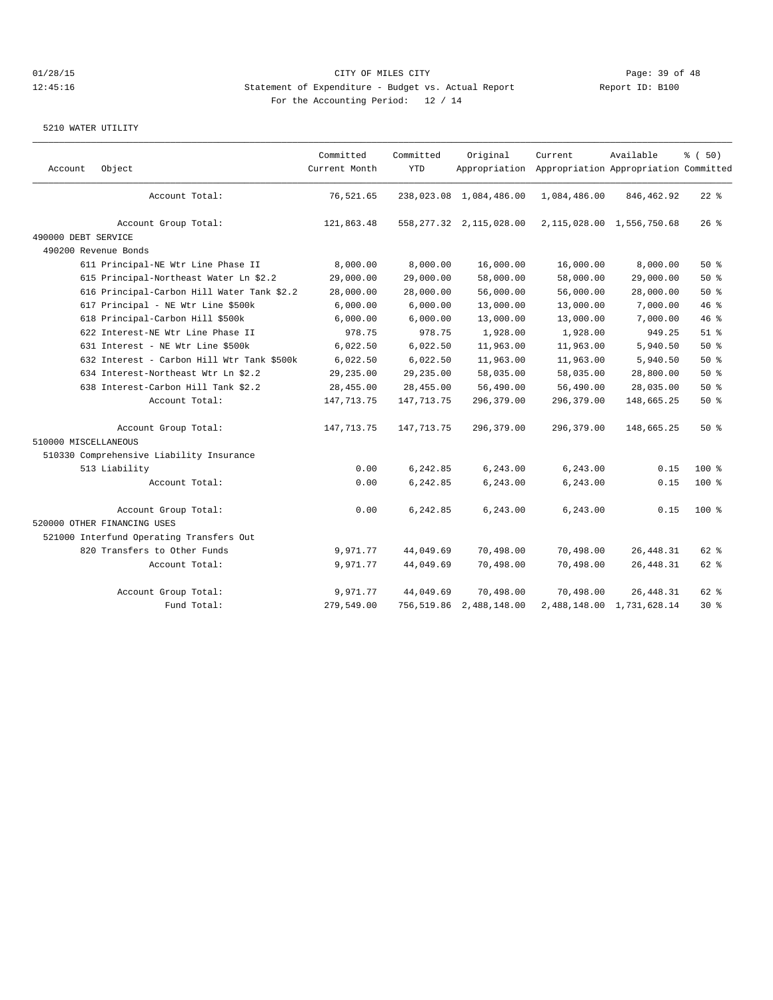| Account              | Object                                     | Committed<br>Current Month | Committed<br><b>YTD</b> | Original                   | Current<br>Appropriation Appropriation Appropriation Committed | Available                     | % (50)   |
|----------------------|--------------------------------------------|----------------------------|-------------------------|----------------------------|----------------------------------------------------------------|-------------------------------|----------|
|                      | Account Total:                             | 76,521.65                  |                         | 238,023.08 1,084,486.00    | 1,084,486.00                                                   | 846,462.92                    | $22$ %   |
|                      | Account Group Total:                       | 121,863.48                 |                         | 558, 277.32 2, 115, 028.00 |                                                                | 2, 115, 028.00 1, 556, 750.68 | $26$ %   |
| 490000 DEBT SERVICE  |                                            |                            |                         |                            |                                                                |                               |          |
|                      | 490200 Revenue Bonds                       |                            |                         |                            |                                                                |                               |          |
|                      | 611 Principal-NE Wtr Line Phase II         | 8,000.00                   | 8,000.00                | 16,000.00                  | 16,000.00                                                      | 8,000.00                      | $50*$    |
|                      | 615 Principal-Northeast Water Ln \$2.2     | 29,000.00                  | 29,000.00               | 58,000.00                  | 58,000.00                                                      | 29,000.00                     | 50%      |
|                      | 616 Principal-Carbon Hill Water Tank \$2.2 | 28,000.00                  | 28,000.00               | 56,000.00                  | 56,000.00                                                      | 28,000.00                     | 50%      |
|                      | 617 Principal - NE Wtr Line \$500k         | 6,000.00                   | 6,000.00                | 13,000.00                  | 13,000.00                                                      | 7,000.00                      | 46%      |
|                      | 618 Principal-Carbon Hill \$500k           | 6,000.00                   | 6,000.00                | 13,000.00                  | 13,000.00                                                      | 7,000.00                      | 46 %     |
|                      | 622 Interest-NE Wtr Line Phase II          | 978.75                     | 978.75                  | 1,928.00                   | 1,928.00                                                       | 949.25                        | $51$ $%$ |
|                      | 631 Interest - NE Wtr Line \$500k          | 6,022.50                   | 6,022.50                | 11,963.00                  | 11,963.00                                                      | 5,940.50                      | 50%      |
|                      | 632 Interest - Carbon Hill Wtr Tank \$500k | 6,022.50                   | 6,022.50                | 11,963.00                  | 11,963.00                                                      | 5,940.50                      | 50%      |
|                      | 634 Interest-Northeast Wtr Ln \$2.2        | 29,235.00                  | 29,235.00               | 58,035.00                  | 58,035.00                                                      | 28,800.00                     | 50%      |
|                      | 638 Interest-Carbon Hill Tank \$2.2        | 28,455.00                  | 28,455.00               | 56,490.00                  | 56,490.00                                                      | 28,035.00                     | 50%      |
|                      | Account Total:                             | 147,713.75                 | 147, 713. 75            | 296,379.00                 | 296,379.00                                                     | 148,665.25                    | 50%      |
|                      | Account Group Total:                       | 147,713.75                 | 147,713.75              | 296,379.00                 | 296,379.00                                                     | 148,665.25                    | 50%      |
| 510000 MISCELLANEOUS |                                            |                            |                         |                            |                                                                |                               |          |
|                      | 510330 Comprehensive Liability Insurance   |                            |                         |                            |                                                                |                               |          |
|                      | 513 Liability                              | 0.00                       | 6,242.85                | 6,243.00                   | 6,243.00                                                       | 0.15                          | $100*$   |
|                      | Account Total:                             | 0.00                       | 6,242.85                | 6,243.00                   | 6,243.00                                                       | 0.15                          | 100 %    |
|                      | Account Group Total:                       | 0.00                       | 6,242.85                | 6,243.00                   | 6,243.00                                                       | 0.15                          | $100$ %  |
|                      | 520000 OTHER FINANCING USES                |                            |                         |                            |                                                                |                               |          |
|                      | 521000 Interfund Operating Transfers Out   |                            |                         |                            |                                                                |                               |          |
|                      | 820 Transfers to Other Funds               | 9,971.77                   | 44,049.69               | 70,498.00                  | 70,498.00                                                      | 26, 448.31                    | $62$ $%$ |
|                      | Account Total:                             | 9,971.77                   | 44,049.69               | 70,498.00                  | 70,498.00                                                      | 26, 448.31                    | 62 %     |
|                      | Account Group Total:                       | 9,971.77                   | 44,049.69               | 70,498.00                  | 70,498.00                                                      | 26, 448.31                    | 62 %     |
|                      | Fund Total:                                | 279,549.00                 |                         | 756,519.86 2,488,148.00    |                                                                | 2,488,148.00 1,731,628.14     | 30 %     |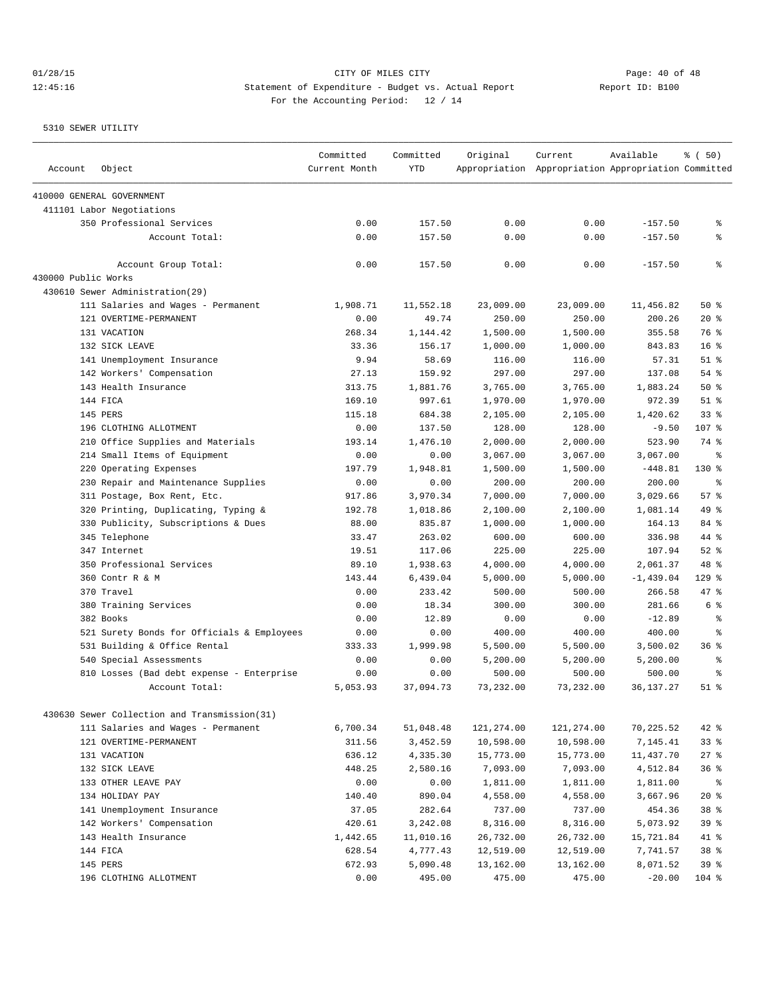01/28/15 Page: 40 of 48 12:45:16 Statement of Expenditure - Budget vs. Actual Report Changer Report ID: B100 For the Accounting Period: 12 / 14

| Account             | Object                                       | Committed<br>Current Month | Committed<br><b>YTD</b> | Original   | Current<br>Appropriation Appropriation Appropriation Committed | Available   | % (50)          |
|---------------------|----------------------------------------------|----------------------------|-------------------------|------------|----------------------------------------------------------------|-------------|-----------------|
|                     | 410000 GENERAL GOVERNMENT                    |                            |                         |            |                                                                |             |                 |
|                     | 411101 Labor Negotiations                    |                            |                         |            |                                                                |             |                 |
|                     | 350 Professional Services                    | 0.00                       | 157.50                  | 0.00       | 0.00                                                           | $-157.50$   | နွ              |
|                     | Account Total:                               | 0.00                       | 157.50                  | 0.00       | 0.00                                                           | $-157.50$   | နွ              |
|                     | Account Group Total:                         | 0.00                       | 157.50                  | 0.00       | 0.00                                                           | $-157.50$   | နွ              |
| 430000 Public Works |                                              |                            |                         |            |                                                                |             |                 |
|                     | 430610 Sewer Administration (29)             |                            |                         |            |                                                                |             |                 |
|                     | 111 Salaries and Wages - Permanent           | 1,908.71                   | 11,552.18               | 23,009.00  | 23,009.00                                                      | 11,456.82   | 50%             |
|                     | 121 OVERTIME-PERMANENT                       | 0.00                       | 49.74                   | 250.00     | 250.00                                                         | 200.26      | $20*$           |
|                     | 131 VACATION                                 | 268.34                     | 1,144.42                | 1,500.00   | 1,500.00                                                       | 355.58      | 76 %            |
|                     | 132 SICK LEAVE                               | 33.36                      | 156.17                  | 1,000.00   | 1,000.00                                                       | 843.83      | $16*$           |
|                     | 141 Unemployment Insurance                   | 9.94                       | 58.69                   | 116.00     | 116.00                                                         | 57.31       | $51$ $%$        |
|                     | 142 Workers' Compensation                    | 27.13                      | 159.92                  | 297.00     | 297.00                                                         | 137.08      | 54 %            |
|                     | 143 Health Insurance                         | 313.75                     | 1,881.76                | 3,765.00   | 3,765.00                                                       | 1,883.24    | 50%             |
|                     | 144 FICA                                     | 169.10                     | 997.61                  | 1,970.00   | 1,970.00                                                       | 972.39      | $51$ %          |
|                     | 145 PERS                                     | 115.18                     | 684.38                  | 2,105.00   | 2,105.00                                                       | 1,420.62    | 33 <sup>8</sup> |
|                     | 196 CLOTHING ALLOTMENT                       | 0.00                       | 137.50                  | 128.00     | 128.00                                                         | $-9.50$     | 107 %           |
|                     | 210 Office Supplies and Materials            | 193.14                     | 1,476.10                | 2,000.00   | 2,000.00                                                       | 523.90      | 74 %            |
|                     | 214 Small Items of Equipment                 | 0.00                       | 0.00                    | 3,067.00   | 3,067.00                                                       | 3,067.00    | ႜ               |
|                     | 220 Operating Expenses                       | 197.79                     | 1,948.81                | 1,500.00   | 1,500.00                                                       | $-448.81$   | $130*$          |
|                     | 230 Repair and Maintenance Supplies          | 0.00                       | 0.00                    | 200.00     | 200.00                                                         | 200.00      | နွ              |
|                     | 311 Postage, Box Rent, Etc.                  | 917.86                     | 3,970.34                | 7,000.00   | 7,000.00                                                       | 3,029.66    | 57%             |
|                     | 320 Printing, Duplicating, Typing &          | 192.78                     | 1,018.86                | 2,100.00   | 2,100.00                                                       | 1,081.14    | 49 %            |
|                     | 330 Publicity, Subscriptions & Dues          | 88.00                      | 835.87                  | 1,000.00   | 1,000.00                                                       | 164.13      | 84 %            |
|                     | 345 Telephone                                | 33.47                      | 263.02                  | 600.00     | 600.00                                                         | 336.98      | 44 %            |
|                     | 347 Internet                                 | 19.51                      | 117.06                  | 225.00     | 225.00                                                         | 107.94      | $52$ $%$        |
|                     | 350 Professional Services                    | 89.10                      | 1,938.63                | 4,000.00   | 4,000.00                                                       | 2,061.37    | 48 %            |
|                     | 360 Contr R & M                              | 143.44                     | 6,439.04                | 5,000.00   | 5,000.00                                                       | $-1,439.04$ | $129$ %         |
|                     | 370 Travel                                   | 0.00                       | 233.42                  | 500.00     | 500.00                                                         | 266.58      | 47.8            |
|                     | 380 Training Services                        | 0.00                       | 18.34                   | 300.00     | 300.00                                                         | 281.66      | 6 %             |
|                     | 382 Books                                    | 0.00                       | 12.89                   | 0.00       | 0.00                                                           | $-12.89$    | ి               |
|                     | 521 Surety Bonds for Officials & Employees   | 0.00                       | 0.00                    | 400.00     | 400.00                                                         | 400.00      | ⊱               |
|                     | 531 Building & Office Rental                 | 333.33                     | 1,999.98                | 5,500.00   | 5,500.00                                                       | 3,500.02    | 36%             |
|                     | 540 Special Assessments                      | 0.00                       | 0.00                    | 5,200.00   | 5,200.00                                                       | 5,200.00    | နွ              |
|                     | 810 Losses (Bad debt expense - Enterprise    | 0.00                       | 0.00                    | 500.00     | 500.00                                                         | 500.00      | ి               |
|                     | Account Total:                               | 5,053.93                   | 37,094.73               | 73,232.00  | 73,232.00                                                      | 36, 137. 27 | $51$ $%$        |
|                     | 430630 Sewer Collection and Transmission(31) |                            |                         |            |                                                                |             |                 |
|                     | 111 Salaries and Wages - Permanent           | 6,700.34                   | 51,048.48               | 121,274.00 | 121,274.00                                                     | 70,225.52   | $42$ %          |
|                     | 121 OVERTIME-PERMANENT                       | 311.56                     | 3,452.59                | 10,598.00  | 10,598.00                                                      | 7,145.41    | 33%             |
|                     | 131 VACATION                                 | 636.12                     | 4,335.30                | 15,773.00  | 15,773.00                                                      | 11,437.70   | $27$ %          |
|                     | 132 SICK LEAVE                               | 448.25                     | 2,580.16                | 7,093.00   | 7,093.00                                                       | 4,512.84    | $36*$           |
|                     | 133 OTHER LEAVE PAY                          | 0.00                       | 0.00                    | 1,811.00   | 1,811.00                                                       | 1,811.00    | ိ               |
|                     | 134 HOLIDAY PAY                              | 140.40                     | 890.04                  | 4,558.00   | 4,558.00                                                       | 3,667.96    | $20*$           |
|                     | 141 Unemployment Insurance                   | 37.05                      | 282.64                  | 737.00     | 737.00                                                         | 454.36      | 38 <sup>8</sup> |
|                     | 142 Workers' Compensation                    | 420.61                     | 3,242.08                | 8,316.00   | 8,316.00                                                       | 5,073.92    | 39%             |
|                     | 143 Health Insurance                         | 1,442.65                   | 11,010.16               | 26,732.00  | 26,732.00                                                      | 15,721.84   | 41 %            |
|                     | 144 FICA                                     | 628.54                     | 4,777.43                | 12,519.00  | 12,519.00                                                      | 7,741.57    | 38 <sup>8</sup> |
|                     | 145 PERS                                     | 672.93                     | 5,090.48                | 13,162.00  | 13,162.00                                                      | 8,071.52    | 39%             |
|                     | 196 CLOTHING ALLOTMENT                       | 0.00                       | 495.00                  | 475.00     | 475.00                                                         | $-20.00$    | $104$ %         |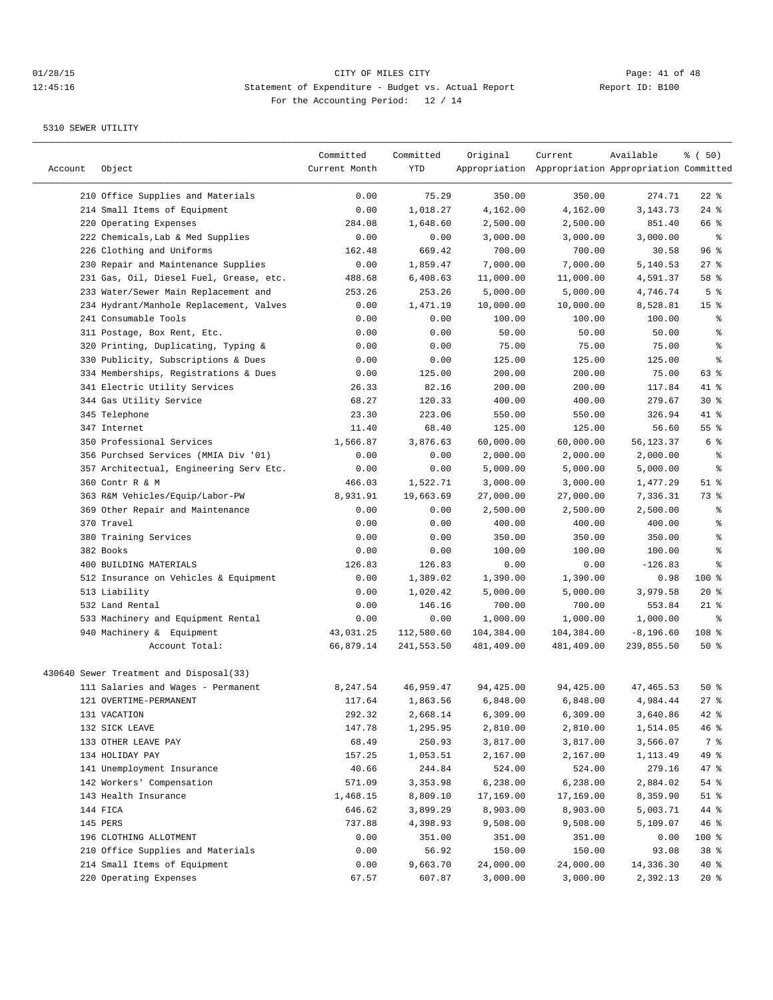| Account | Object                                  | Committed<br>Current Month | Committed<br>YTD | Original   | Current<br>Appropriation Appropriation Appropriation Committed | Available    | % ( 50)         |
|---------|-----------------------------------------|----------------------------|------------------|------------|----------------------------------------------------------------|--------------|-----------------|
|         | 210 Office Supplies and Materials       | 0.00                       | 75.29            | 350.00     | 350.00                                                         | 274.71       | $22$ %          |
|         | 214 Small Items of Equipment            | 0.00                       | 1,018.27         | 4,162.00   | 4,162.00                                                       | 3, 143. 73   | $24$ %          |
|         | 220 Operating Expenses                  | 284.08                     | 1,648.60         | 2,500.00   | 2,500.00                                                       | 851.40       | 66 %            |
|         | 222 Chemicals, Lab & Med Supplies       | 0.00                       | 0.00             | 3,000.00   | 3,000.00                                                       | 3,000.00     | $\epsilon$      |
|         | 226 Clothing and Uniforms               | 162.48                     | 669.42           | 700.00     | 700.00                                                         | 30.58        | 96%             |
|         | 230 Repair and Maintenance Supplies     | 0.00                       | 1,859.47         | 7,000.00   | 7,000.00                                                       | 5,140.53     | $27$ %          |
|         | 231 Gas, Oil, Diesel Fuel, Grease, etc. | 488.68                     | 6,408.63         | 11,000.00  | 11,000.00                                                      | 4,591.37     | 58 %            |
|         | 233 Water/Sewer Main Replacement and    | 253.26                     | 253.26           | 5,000.00   | 5,000.00                                                       | 4,746.74     | 5 <sup>°</sup>  |
|         | 234 Hydrant/Manhole Replacement, Valves | 0.00                       | 1,471.19         | 10,000.00  | 10,000.00                                                      | 8,528.81     | 15 <sup>°</sup> |
|         | 241 Consumable Tools                    | 0.00                       | 0.00             | 100.00     | 100.00                                                         | 100.00       | နွ              |
|         | 311 Postage, Box Rent, Etc.             | 0.00                       | 0.00             | 50.00      | 50.00                                                          | 50.00        | န္              |
|         | 320 Printing, Duplicating, Typing &     | 0.00                       | 0.00             | 75.00      | 75.00                                                          | 75.00        | ి               |
|         | 330 Publicity, Subscriptions & Dues     | 0.00                       | 0.00             | 125.00     | 125.00                                                         | 125.00       | ి               |
|         | 334 Memberships, Registrations & Dues   | 0.00                       | 125.00           | 200.00     | 200.00                                                         | 75.00        | 63 %            |
|         | 341 Electric Utility Services           | 26.33                      | 82.16            | 200.00     | 200.00                                                         | 117.84       | 41 %            |
|         | 344 Gas Utility Service                 | 68.27                      | 120.33           | 400.00     | 400.00                                                         | 279.67       | $30*$           |
|         | 345 Telephone                           | 23.30                      | 223.06           | 550.00     | 550.00                                                         | 326.94       | 41 %            |
|         | 347 Internet                            | 11.40                      | 68.40            | 125.00     | 125.00                                                         | 56.60        | 55%             |
|         | 350 Professional Services               | 1,566.87                   | 3,876.63         | 60,000.00  | 60,000.00                                                      | 56,123.37    | 6 %             |
|         | 356 Purchsed Services (MMIA Div '01)    | 0.00                       | 0.00             | 2,000.00   | 2,000.00                                                       | 2,000.00     | နွ              |
|         | 357 Architectual, Engineering Serv Etc. | 0.00                       | 0.00             | 5,000.00   | 5,000.00                                                       | 5,000.00     | နွ              |
|         | 360 Contr R & M                         | 466.03                     | 1,522.71         | 3,000.00   | 3,000.00                                                       | 1,477.29     | $51$ %          |
|         | 363 R&M Vehicles/Equip/Labor-PW         | 8,931.91                   | 19,663.69        | 27,000.00  | 27,000.00                                                      | 7,336.31     | 73 %            |
|         | 369 Other Repair and Maintenance        | 0.00                       | 0.00             | 2,500.00   | 2,500.00                                                       | 2,500.00     | န္              |
|         | 370 Travel                              | 0.00                       | 0.00             | 400.00     | 400.00                                                         | 400.00       | န္              |
|         | 380 Training Services                   | 0.00                       | 0.00             | 350.00     | 350.00                                                         | 350.00       | $\epsilon$      |
|         | 382 Books                               | 0.00                       | 0.00             | 100.00     | 100.00                                                         | 100.00       | $\,$ $\,$ $\,$  |
|         | 400 BUILDING MATERIALS                  | 126.83                     | 126.83           | 0.00       | 0.00                                                           | $-126.83$    | ి               |
|         | 512 Insurance on Vehicles & Equipment   | 0.00                       | 1,389.02         | 1,390.00   | 1,390.00                                                       | 0.98         | 100 %           |
|         | 513 Liability                           | 0.00                       | 1,020.42         | 5,000.00   | 5,000.00                                                       | 3,979.58     | $20*$           |
|         | 532 Land Rental                         | 0.00                       | 146.16           | 700.00     | 700.00                                                         | 553.84       | $21$ %          |
|         | 533 Machinery and Equipment Rental      | 0.00                       | 0.00             | 1,000.00   | 1,000.00                                                       | 1,000.00     | ి               |
|         | 940 Machinery & Equipment               | 43,031.25                  | 112,580.60       | 104,384.00 | 104,384.00                                                     | $-8, 196.60$ | 108 %           |
|         | Account Total:                          | 66,879.14                  | 241,553.50       | 481,409.00 | 481,409.00                                                     | 239,855.50   | 50%             |
|         | 430640 Sewer Treatment and Disposal(33) |                            |                  |            |                                                                |              |                 |
|         | 111 Salaries and Wages - Permanent      | 8,247.54                   | 46,959.47        | 94,425.00  | 94,425.00                                                      | 47, 465.53   | $50*$           |
|         | 121 OVERTIME-PERMANENT                  | 117.64                     | 1,863.56         | 6,848.00   | 6,848.00                                                       | 4,984.44     | $27$ %          |
|         | 131 VACATION                            | 292.32                     | 2,668.14         | 6,309.00   | 6,309.00                                                       | 3,640.86     | 42 %            |
|         | 132 SICK LEAVE                          | 147.78                     | 1,295.95         | 2,810.00   | 2,810.00                                                       | 1,514.05     | 46%             |
|         | 133 OTHER LEAVE PAY                     | 68.49                      | 250.93           | 3,817.00   | 3,817.00                                                       | 3,566.07     | 7 %             |
|         | 134 HOLIDAY PAY                         | 157.25                     | 1,053.51         | 2,167.00   | 2,167.00                                                       | 1,113.49     | 49 %            |
|         | 141 Unemployment Insurance              | 40.66                      | 244.84           | 524.00     | 524.00                                                         | 279.16       | 47 %            |
|         | 142 Workers' Compensation               | 571.09                     | 3,353.98         | 6,238.00   | 6,238.00                                                       | 2,884.02     | 54 %            |
|         | 143 Health Insurance                    | 1,468.15                   | 8,809.10         | 17,169.00  | 17,169.00                                                      | 8,359.90     | $51$ %          |
|         | 144 FICA                                | 646.62                     | 3,899.29         | 8,903.00   | 8,903.00                                                       | 5,003.71     | 44 %            |
|         | 145 PERS                                | 737.88                     | 4,398.93         | 9,508.00   | 9,508.00                                                       | 5,109.07     | 46%             |
|         | 196 CLOTHING ALLOTMENT                  | 0.00                       | 351.00           | 351.00     | 351.00                                                         | 0.00         | 100 %           |
|         | 210 Office Supplies and Materials       | 0.00                       | 56.92            | 150.00     | 150.00                                                         | 93.08        | 38 <sup>8</sup> |
|         | 214 Small Items of Equipment            | 0.00                       | 9,663.70         | 24,000.00  | 24,000.00                                                      | 14,336.30    | $40*$           |
|         | 220 Operating Expenses                  | 67.57                      | 607.87           | 3,000.00   | 3,000.00                                                       | 2,392.13     | $20*$           |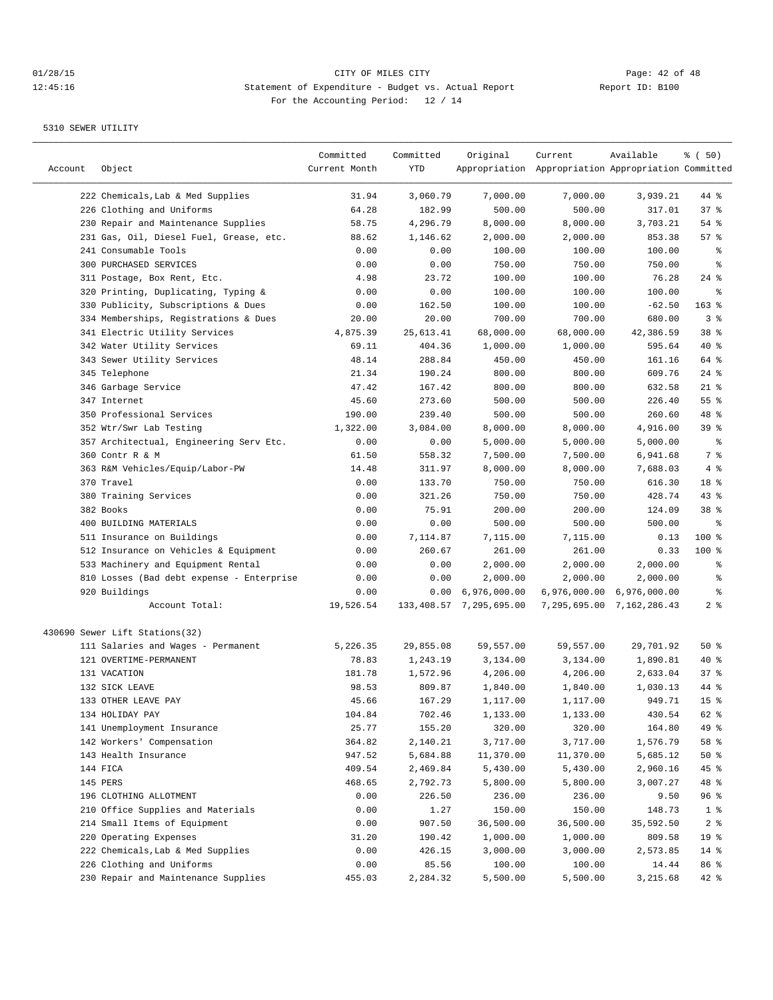| Account | Object                                    | Committed<br>Current Month | Committed<br>YTD | Original                   | Current<br>Appropriation Appropriation Appropriation Committed | Available                 | % ( 50)         |
|---------|-------------------------------------------|----------------------------|------------------|----------------------------|----------------------------------------------------------------|---------------------------|-----------------|
|         | 222 Chemicals, Lab & Med Supplies         | 31.94                      | 3,060.79         | 7,000.00                   | 7,000.00                                                       | 3,939.21                  | 44 %            |
|         | 226 Clothing and Uniforms                 | 64.28                      | 182.99           | 500.00                     | 500.00                                                         | 317.01                    | 37%             |
|         | 230 Repair and Maintenance Supplies       | 58.75                      | 4,296.79         | 8,000.00                   | 8,000.00                                                       | 3,703.21                  | $54$ %          |
|         | 231 Gas, Oil, Diesel Fuel, Grease, etc.   | 88.62                      | 1,146.62         | 2,000.00                   | 2,000.00                                                       | 853.38                    | 57%             |
|         | 241 Consumable Tools                      | 0.00                       | 0.00             | 100.00                     | 100.00                                                         | 100.00                    | နွ              |
|         | <b>300 PURCHASED SERVICES</b>             | 0.00                       | 0.00             | 750.00                     | 750.00                                                         | 750.00                    | န္              |
|         | 311 Postage, Box Rent, Etc.               | 4.98                       | 23.72            | 100.00                     | 100.00                                                         | 76.28                     | $24$ %          |
|         | 320 Printing, Duplicating, Typing &       | 0.00                       | 0.00             | 100.00                     | 100.00                                                         | 100.00                    | ႜ               |
|         | 330 Publicity, Subscriptions & Dues       | 0.00                       | 162.50           | 100.00                     | 100.00                                                         | $-62.50$                  | $163$ %         |
|         | 334 Memberships, Registrations & Dues     | 20.00                      | 20.00            | 700.00                     | 700.00                                                         | 680.00                    | 3%              |
|         | 341 Electric Utility Services             | 4,875.39                   | 25,613.41        | 68,000.00                  | 68,000.00                                                      | 42,386.59                 | 38 %            |
|         | 342 Water Utility Services                | 69.11                      | 404.36           | 1,000.00                   | 1,000.00                                                       | 595.64                    | 40 %            |
|         | 343 Sewer Utility Services                | 48.14                      | 288.84           | 450.00                     | 450.00                                                         | 161.16                    | 64 %            |
|         | 345 Telephone                             | 21.34                      | 190.24           | 800.00                     | 800.00                                                         | 609.76                    | $24$ %          |
|         | 346 Garbage Service                       | 47.42                      | 167.42           | 800.00                     | 800.00                                                         | 632.58                    | $21$ %          |
|         | 347 Internet                              | 45.60                      | 273.60           | 500.00                     | 500.00                                                         | 226.40                    | 55%             |
|         | 350 Professional Services                 | 190.00                     | 239.40           | 500.00                     | 500.00                                                         | 260.60                    | 48 %            |
|         | 352 Wtr/Swr Lab Testing                   | 1,322.00                   | 3,084.00         | 8,000.00                   | 8,000.00                                                       | 4,916.00                  | 39%             |
|         | 357 Architectual, Engineering Serv Etc.   | 0.00                       | 0.00             | 5,000.00                   | 5,000.00                                                       | 5,000.00                  | နွ              |
|         | 360 Contr R & M                           | 61.50                      | 558.32           | 7,500.00                   | 7,500.00                                                       | 6,941.68                  | 7 %             |
|         | 363 R&M Vehicles/Equip/Labor-PW           | 14.48                      | 311.97           | 8,000.00                   | 8,000.00                                                       | 7,688.03                  | 4 %             |
|         | 370 Travel                                | 0.00                       | 133.70           | 750.00                     | 750.00                                                         | 616.30                    | 18 %            |
|         | 380 Training Services                     | 0.00                       | 321.26           | 750.00                     | 750.00                                                         | 428.74                    | 43%             |
|         | 382 Books                                 | 0.00                       | 75.91            | 200.00                     | 200.00                                                         | 124.09                    | 38 <sup>8</sup> |
|         | 400 BUILDING MATERIALS                    | 0.00                       | 0.00             | 500.00                     | 500.00                                                         | 500.00                    | ి               |
|         | 511 Insurance on Buildings                | 0.00                       | 7,114.87         | 7,115.00                   | 7,115.00                                                       | 0.13                      | $100$ %         |
|         | 512 Insurance on Vehicles & Equipment     | 0.00                       | 260.67           | 261.00                     | 261.00                                                         | 0.33                      | $100$ %         |
|         | 533 Machinery and Equipment Rental        | 0.00                       | 0.00             | 2,000.00                   | 2,000.00                                                       | 2,000.00                  | ႜ               |
|         | 810 Losses (Bad debt expense - Enterprise | 0.00                       | 0.00             | 2,000.00                   | 2,000.00                                                       | 2,000.00                  | န္              |
|         | 920 Buildings                             | 0.00                       |                  | $0.00 \quad 6,976,000.00$  |                                                                | 6,976,000.00 6,976,000.00 | န္              |
|         | Account Total:                            | 19,526.54                  |                  | 133, 408.57 7, 295, 695.00 |                                                                | 7,295,695.00 7,162,286.43 | 2 <sup>8</sup>  |
|         | 430690 Sewer Lift Stations(32)            |                            |                  |                            |                                                                |                           |                 |
|         | 111 Salaries and Wages - Permanent        | 5,226.35                   | 29,855.08        | 59,557.00                  | 59,557.00                                                      | 29,701.92                 | 50%             |
|         | 121 OVERTIME-PERMANENT                    | 78.83                      | 1,243.19         | 3,134.00                   | 3,134.00                                                       | 1,890.81                  | 40 %            |
|         | 131 VACATION                              | 181.78                     | 1,572.96         | 4,206.00                   | 4,206.00                                                       | 2,633.04                  | 37 <sub>8</sub> |
|         | 132 SICK LEAVE                            | 98.53                      | 809.87           | 1,840.00                   | 1,840.00                                                       | 1,030.13                  | 44 %            |
|         | 133 OTHER LEAVE PAY                       | 45.66                      | 167.29           | 1,117.00                   | 1,117.00                                                       | 949.71                    | 15 <sup>°</sup> |
|         | 134 HOLIDAY PAY                           | 104.84                     | 702.46           | 1,133.00                   | 1,133.00                                                       | 430.54                    | 62 %            |
|         | 141 Unemployment Insurance                | 25.77                      | 155.20           | 320.00                     | 320.00                                                         | 164.80                    | 49 %            |
|         | 142 Workers' Compensation                 | 364.82                     | 2,140.21         | 3,717.00                   | 3,717.00                                                       | 1,576.79                  | 58 %            |
|         | 143 Health Insurance                      | 947.52                     | 5,684.88         | 11,370.00                  | 11,370.00                                                      | 5,685.12                  | $50*$           |
|         | 144 FICA                                  | 409.54                     | 2,469.84         | 5,430.00                   | 5,430.00                                                       | 2,960.16                  | 45 %            |
|         | 145 PERS                                  | 468.65                     | 2,792.73         | 5,800.00                   | 5,800.00                                                       | 3,007.27                  | 48 %            |
|         | 196 CLOTHING ALLOTMENT                    | 0.00                       | 226.50           | 236.00                     | 236.00                                                         | 9.50                      | 96 %            |
|         | 210 Office Supplies and Materials         | 0.00                       | 1.27             | 150.00                     | 150.00                                                         | 148.73                    | 1 <sup>8</sup>  |
|         | 214 Small Items of Equipment              | 0.00                       | 907.50           | 36,500.00                  | 36,500.00                                                      | 35,592.50                 | 2 <sup>8</sup>  |
|         | 220 Operating Expenses                    | 31.20                      | 190.42           | 1,000.00                   | 1,000.00                                                       | 809.58                    | 19 <sup>°</sup> |
|         | 222 Chemicals, Lab & Med Supplies         | 0.00                       | 426.15           | 3,000.00                   | 3,000.00                                                       | 2,573.85                  | $14$ %          |
|         | 226 Clothing and Uniforms                 | 0.00                       | 85.56            | 100.00                     | 100.00                                                         | 14.44                     | 86%             |
|         | 230 Repair and Maintenance Supplies       | 455.03                     | 2,284.32         | 5,500.00                   | 5,500.00                                                       | 3,215.68                  | 42 %            |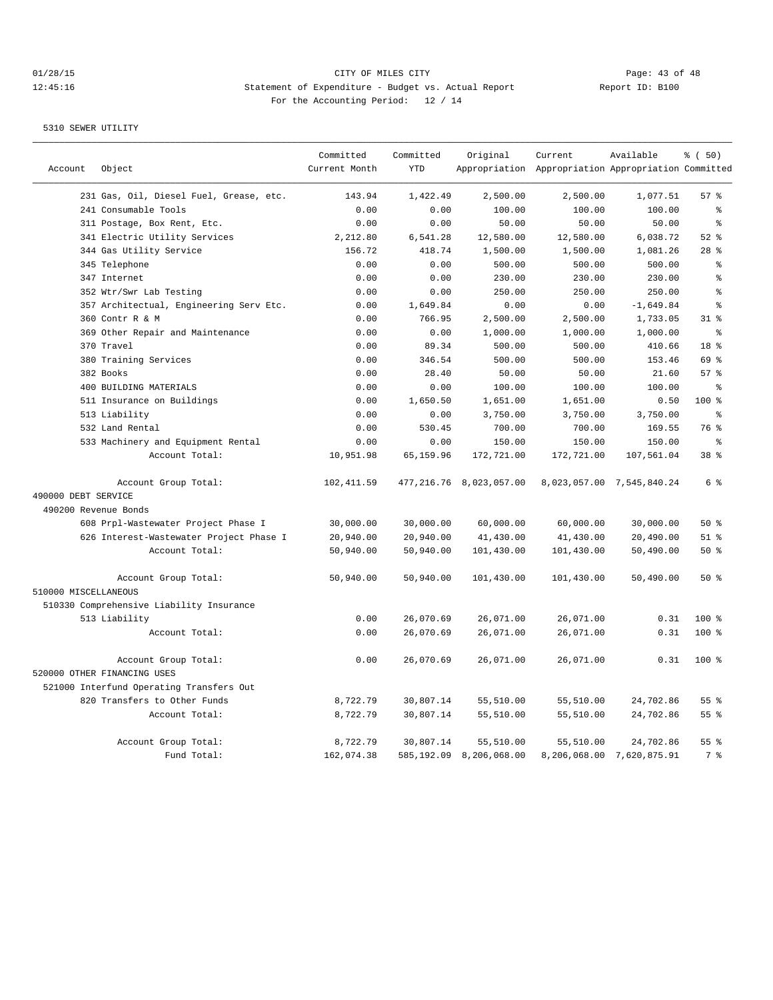# 01/28/15 Page: 43 of 48 12:45:16 Statement of Expenditure - Budget vs. Actual Report Changery Report ID: B100 For the Accounting Period: 12 / 14

|                      |                                          | Committed     | Committed  | Original                   | Current                                             | Available                 | % (50)         |
|----------------------|------------------------------------------|---------------|------------|----------------------------|-----------------------------------------------------|---------------------------|----------------|
| Account              | Object                                   | Current Month | <b>YTD</b> |                            | Appropriation Appropriation Appropriation Committed |                           |                |
|                      | 231 Gas, Oil, Diesel Fuel, Grease, etc.  | 143.94        | 1,422.49   | 2,500.00                   | 2,500.00                                            | 1,077.51                  | 57%            |
|                      | 241 Consumable Tools                     | 0.00          | 0.00       | 100.00                     | 100.00                                              | 100.00                    | ៖              |
|                      | 311 Postage, Box Rent, Etc.              | 0.00          | 0.00       | 50.00                      | 50.00                                               | 50.00                     | ి              |
|                      | 341 Electric Utility Services            | 2,212.80      | 6,541.28   | 12,580.00                  | 12,580.00                                           | 6,038.72                  | $52$ $%$       |
|                      | 344 Gas Utility Service                  | 156.72        | 418.74     | 1,500.00                   | 1,500.00                                            | 1,081.26                  | $28$ %         |
|                      | 345 Telephone                            | 0.00          | 0.00       | 500.00                     | 500.00                                              | 500.00                    | န့             |
|                      | 347 Internet                             | 0.00          | 0.00       | 230.00                     | 230.00                                              | 230.00                    | န္             |
|                      | 352 Wtr/Swr Lab Testing                  | 0.00          | 0.00       | 250.00                     | 250.00                                              | 250.00                    | ٥,             |
|                      | 357 Architectual, Engineering Serv Etc.  | 0.00          | 1,649.84   | 0.00                       | 0.00                                                | $-1,649.84$               | နွ             |
|                      | 360 Contr R & M                          | 0.00          | 766.95     | 2,500.00                   | 2,500.00                                            | 1,733.05                  | $31$ %         |
|                      | 369 Other Repair and Maintenance         | 0.00          | 0.00       | 1,000.00                   | 1,000.00                                            | 1,000.00                  | $\approx$      |
|                      | 370 Travel                               | 0.00          | 89.34      | 500.00                     | 500.00                                              | 410.66                    | 18 %           |
|                      | 380 Training Services                    | 0.00          | 346.54     | 500.00                     | 500.00                                              | 153.46                    | 69 %           |
|                      | 382 Books                                | 0.00          | 28.40      | 50.00                      | 50.00                                               | 21.60                     | 57%            |
|                      | 400 BUILDING MATERIALS                   | 0.00          | 0.00       | 100.00                     | 100.00                                              | 100.00                    | နွ             |
|                      | 511 Insurance on Buildings               | 0.00          | 1,650.50   | 1,651.00                   | 1,651.00                                            | 0.50                      | 100 %          |
|                      | 513 Liability                            | 0.00          | 0.00       | 3,750.00                   | 3,750.00                                            | 3,750.00                  | နွ             |
|                      | 532 Land Rental                          | 0.00          | 530.45     | 700.00                     | 700.00                                              | 169.55                    | 76 %           |
|                      | 533 Machinery and Equipment Rental       | 0.00          | 0.00       | 150.00                     | 150.00                                              | 150.00                    | နွ             |
|                      | Account Total:                           | 10,951.98     | 65,159.96  | 172,721.00                 | 172,721.00                                          | 107,561.04                | 38 %           |
|                      | Account Group Total:                     | 102, 411.59   |            | 477, 216.76 8, 023, 057.00 |                                                     | 8,023,057.00 7,545,840.24 | 6 %            |
| 490000 DEBT SERVICE  |                                          |               |            |                            |                                                     |                           |                |
| 490200 Revenue Bonds |                                          |               |            |                            |                                                     |                           |                |
|                      | 608 Prpl-Wastewater Project Phase I      | 30,000.00     | 30,000.00  | 60,000.00                  | 60,000.00                                           | 30,000.00                 | 50%            |
|                      | 626 Interest-Wastewater Project Phase I  | 20,940.00     | 20,940.00  | 41,430.00                  | 41,430.00                                           | 20,490.00                 | $51$ %         |
|                      | Account Total:                           | 50,940.00     | 50,940.00  | 101,430.00                 | 101,430.00                                          | 50,490.00                 | 50%            |
|                      | Account Group Total:                     | 50,940.00     | 50,940.00  | 101,430.00                 | 101,430.00                                          | 50,490.00                 | 50%            |
| 510000 MISCELLANEOUS |                                          |               |            |                            |                                                     |                           |                |
|                      | 510330 Comprehensive Liability Insurance |               |            |                            |                                                     |                           |                |
|                      | 513 Liability                            | 0.00          | 26,070.69  | 26,071.00                  | 26,071.00                                           | 0.31                      | $100*$         |
|                      | Account Total:                           | 0.00          | 26,070.69  | 26,071.00                  | 26,071.00                                           | 0.31                      | 100 %          |
|                      | Account Group Total:                     | 0.00          | 26,070.69  | 26,071.00                  | 26,071.00                                           | 0.31                      | 100 %          |
|                      | 520000 OTHER FINANCING USES              |               |            |                            |                                                     |                           |                |
|                      | 521000 Interfund Operating Transfers Out |               |            |                            |                                                     |                           |                |
|                      | 820 Transfers to Other Funds             | 8,722.79      | 30,807.14  | 55,510.00                  | 55,510.00                                           | 24,702.86                 | 55%            |
|                      | Account Total:                           | 8,722.79      | 30,807.14  | 55,510.00                  | 55,510.00                                           | 24,702.86                 | 55%            |
|                      | Account Group Total:                     | 8,722.79      | 30,807.14  | 55,510.00                  | 55,510.00                                           | 24,702.86                 | 55 %           |
|                      | Fund Total:                              | 162,074.38    |            | 585,192.09 8,206,068.00    |                                                     | 8,206,068.00 7,620,875.91 | 7 <sup>°</sup> |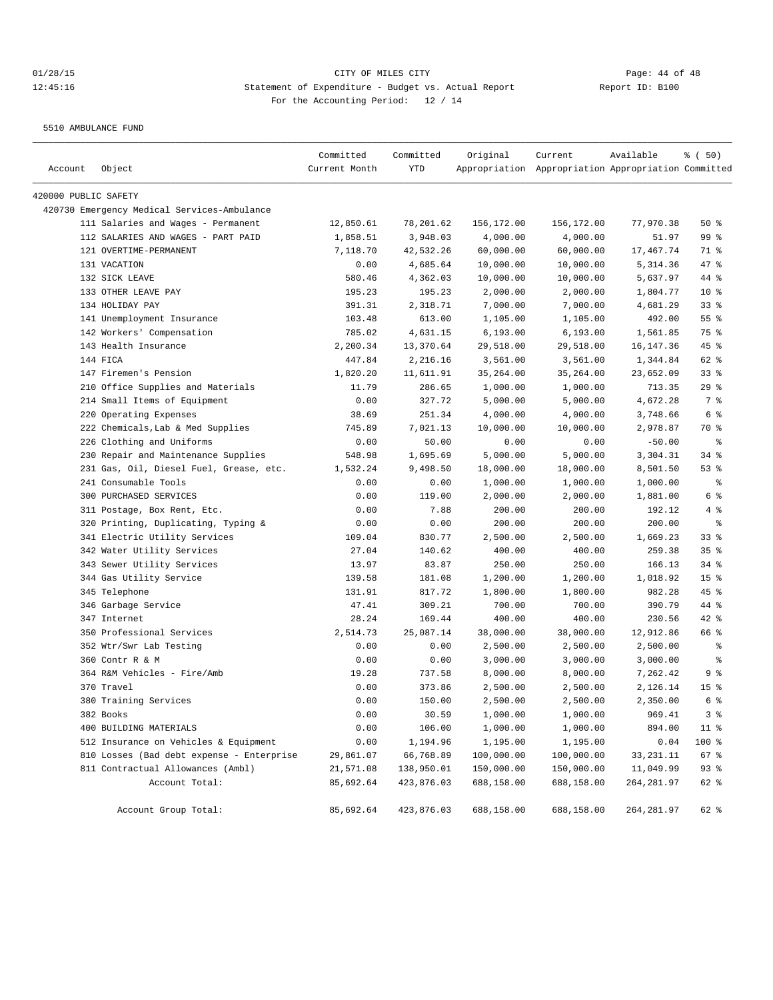5510 AMBULANCE FUND

| Account              | Object                                      | Committed<br>Current Month | Committed<br>YTD | Original   | Current<br>Appropriation Appropriation Appropriation Committed | Available   | % ( 50)         |
|----------------------|---------------------------------------------|----------------------------|------------------|------------|----------------------------------------------------------------|-------------|-----------------|
|                      |                                             |                            |                  |            |                                                                |             |                 |
| 420000 PUBLIC SAFETY |                                             |                            |                  |            |                                                                |             |                 |
|                      | 420730 Emergency Medical Services-Ambulance |                            |                  |            |                                                                |             |                 |
|                      | 111 Salaries and Wages - Permanent          | 12,850.61                  | 78,201.62        | 156,172.00 | 156,172.00                                                     | 77,970.38   | 50%             |
|                      | 112 SALARIES AND WAGES - PART PAID          | 1,858.51                   | 3,948.03         | 4,000.00   | 4,000.00                                                       | 51.97       | 99 %            |
|                      | 121 OVERTIME-PERMANENT                      | 7,118.70                   | 42,532.26        | 60,000.00  | 60,000.00                                                      | 17,467.74   | 71 %            |
|                      | 131 VACATION                                | 0.00                       | 4,685.64         | 10,000.00  | 10,000.00                                                      | 5,314.36    | $47$ %          |
|                      | 132 SICK LEAVE                              | 580.46                     | 4,362.03         | 10,000.00  | 10,000.00                                                      | 5,637.97    | 44 %            |
|                      | 133 OTHER LEAVE PAY                         | 195.23                     | 195.23           | 2,000.00   | 2,000.00                                                       | 1,804.77    | $10*$           |
|                      | 134 HOLIDAY PAY                             | 391.31                     | 2,318.71         | 7,000.00   | 7,000.00                                                       | 4,681.29    | 33%             |
|                      | 141 Unemployment Insurance                  | 103.48                     | 613.00           | 1,105.00   | 1,105.00                                                       | 492.00      | 55%             |
|                      | 142 Workers' Compensation                   | 785.02                     | 4,631.15         | 6, 193.00  | 6, 193.00                                                      | 1,561.85    | 75 %            |
|                      | 143 Health Insurance                        | 2,200.34                   | 13,370.64        | 29,518.00  | 29,518.00                                                      | 16, 147. 36 | $45$ %          |
|                      | 144 FICA                                    | 447.84                     | 2,216.16         | 3,561.00   | 3,561.00                                                       | 1,344.84    | 62 %            |
|                      | 147 Firemen's Pension                       | 1,820.20                   | 11,611.91        | 35,264.00  | 35,264.00                                                      | 23,652.09   | 33%             |
|                      | 210 Office Supplies and Materials           | 11.79                      | 286.65           | 1,000.00   | 1,000.00                                                       | 713.35      | 29%             |
|                      | 214 Small Items of Equipment                | 0.00                       | 327.72           | 5,000.00   | 5,000.00                                                       | 4,672.28    | 7 %             |
|                      | 220 Operating Expenses                      | 38.69                      | 251.34           | 4,000.00   | 4,000.00                                                       | 3,748.66    | 6 <sup>°</sup>  |
|                      | 222 Chemicals, Lab & Med Supplies           | 745.89                     | 7,021.13         | 10,000.00  | 10,000.00                                                      | 2,978.87    | 70 %            |
|                      | 226 Clothing and Uniforms                   | 0.00                       | 50.00            | 0.00       | 0.00                                                           | $-50.00$    | $\epsilon$      |
|                      | 230 Repair and Maintenance Supplies         | 548.98                     | 1,695.69         | 5,000.00   | 5,000.00                                                       | 3,304.31    | $34$ $%$        |
|                      | 231 Gas, Oil, Diesel Fuel, Grease, etc.     | 1,532.24                   | 9,498.50         | 18,000.00  | 18,000.00                                                      | 8,501.50    | 53%             |
|                      | 241 Consumable Tools                        | 0.00                       | 0.00             | 1,000.00   | 1,000.00                                                       | 1,000.00    | ႜ               |
|                      | 300 PURCHASED SERVICES                      | 0.00                       | 119.00           | 2,000.00   | 2,000.00                                                       | 1,881.00    | 6 %             |
|                      | 311 Postage, Box Rent, Etc.                 | 0.00                       | 7.88             | 200.00     | 200.00                                                         | 192.12      | 4 %             |
|                      | 320 Printing, Duplicating, Typing &         | 0.00                       | 0.00             | 200.00     | 200.00                                                         | 200.00      | နွ              |
|                      | 341 Electric Utility Services               | 109.04                     | 830.77           | 2,500.00   | 2,500.00                                                       | 1,669.23    | $33$ $%$        |
|                      | 342 Water Utility Services                  | 27.04                      | 140.62           | 400.00     | 400.00                                                         | 259.38      | 35%             |
|                      | 343 Sewer Utility Services                  | 13.97                      | 83.87            | 250.00     | 250.00                                                         | 166.13      | $34$ $%$        |
|                      | 344 Gas Utility Service                     | 139.58                     | 181.08           | 1,200.00   | 1,200.00                                                       | 1,018.92    | 15 <sup>8</sup> |
|                      | 345 Telephone                               | 131.91                     | 817.72           | 1,800.00   | 1,800.00                                                       | 982.28      | $45$ %          |
|                      | 346 Garbage Service                         | 47.41                      | 309.21           | 700.00     | 700.00                                                         | 390.79      | 44 %            |
|                      | 347 Internet                                | 28.24                      | 169.44           | 400.00     | 400.00                                                         | 230.56      | $42$ %          |
|                      | 350 Professional Services                   | 2,514.73                   | 25,087.14        | 38,000.00  | 38,000.00                                                      | 12,912.86   | 66 %            |
|                      | 352 Wtr/Swr Lab Testing                     | 0.00                       | 0.00             | 2,500.00   | 2,500.00                                                       | 2,500.00    | နွ              |
|                      | 360 Contr R & M                             | 0.00                       | 0.00             | 3,000.00   | 3,000.00                                                       | 3,000.00    | နွ              |
|                      | 364 R&M Vehicles - Fire/Amb                 | 19.28                      | 737.58           | 8,000.00   | 8,000.00                                                       | 7,262.42    | 9 %             |
|                      | 370 Travel                                  | 0.00                       | 373.86           | 2,500.00   | 2,500.00                                                       | 2,126.14    | 15 <sup>°</sup> |
|                      | 380 Training Services                       | 0.00                       | 150.00           | 2,500.00   | 2,500.00                                                       | 2,350.00    | 6 %             |
|                      | 382 Books                                   | 0.00                       | 30.59            | 1,000.00   | 1,000.00                                                       | 969.41      | 3 <sup>8</sup>  |
|                      | 400 BUILDING MATERIALS                      | 0.00                       | 106.00           | 1,000.00   | 1,000.00                                                       | 894.00      | $11$ %          |
|                      | 512 Insurance on Vehicles & Equipment       | 0.00                       | 1,194.96         | 1,195.00   | 1,195.00                                                       | 0.04        | 100 %           |
|                      | 810 Losses (Bad debt expense - Enterprise   | 29,861.07                  | 66,768.89        | 100,000.00 | 100,000.00                                                     | 33, 231. 11 | $67$ %          |
|                      | 811 Contractual Allowances (Ambl)           | 21,571.08                  | 138,950.01       | 150,000.00 | 150,000.00                                                     | 11,049.99   | 93 %            |
|                      | Account Total:                              | 85,692.64                  | 423,876.03       | 688,158.00 | 688,158.00                                                     | 264,281.97  | 62 %            |
|                      | Account Group Total:                        | 85,692.64                  | 423,876.03       | 688,158.00 | 688,158.00                                                     | 264,281.97  | 62 %            |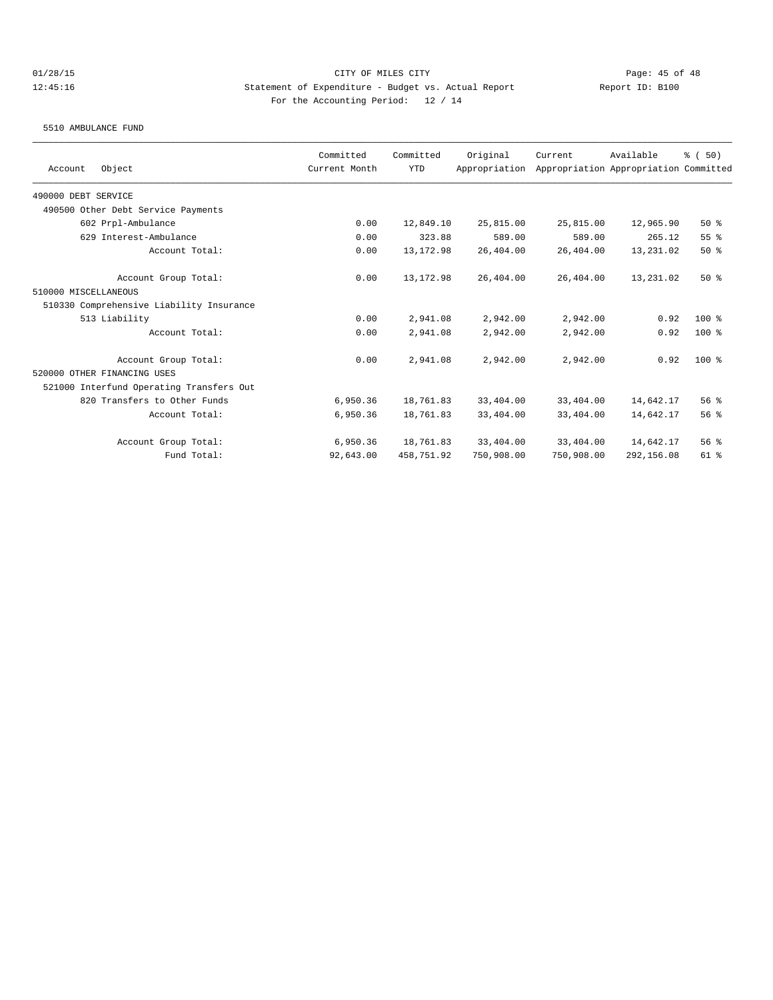5510 AMBULANCE FUND

|                                          | Committed     | Committed  | Original      | Current    | Available                             | % (50)          |
|------------------------------------------|---------------|------------|---------------|------------|---------------------------------------|-----------------|
| Object<br>Account                        | Current Month | <b>YTD</b> | Appropriation |            | Appropriation Appropriation Committed |                 |
| 490000 DEBT SERVICE                      |               |            |               |            |                                       |                 |
| 490500 Other Debt Service Payments       |               |            |               |            |                                       |                 |
| 602 Prpl-Ambulance                       | 0.00          | 12,849.10  | 25,815.00     | 25,815.00  | 12,965.90                             | 50%             |
| 629 Interest-Ambulance                   | 0.00          | 323.88     | 589.00        | 589.00     | 265.12                                | 55%             |
| Account Total:                           | 0.00          | 13, 172.98 | 26,404.00     | 26,404.00  | 13,231.02                             | 50%             |
| Account Group Total:                     | 0.00          | 13, 172.98 | 26,404.00     | 26,404.00  | 13,231.02                             | 50%             |
| 510000 MISCELLANEOUS                     |               |            |               |            |                                       |                 |
| 510330 Comprehensive Liability Insurance |               |            |               |            |                                       |                 |
| 513 Liability                            | 0.00          | 2,941.08   | 2,942.00      | 2,942.00   | 0.92                                  | $100$ %         |
| Account Total:                           | 0.00          | 2,941.08   | 2,942.00      | 2,942.00   | 0.92                                  | 100 %           |
| Account Group Total:                     | 0.00          | 2,941.08   | 2,942.00      | 2,942.00   | 0.92                                  | $100$ %         |
| 520000 OTHER FINANCING USES              |               |            |               |            |                                       |                 |
| 521000 Interfund Operating Transfers Out |               |            |               |            |                                       |                 |
| 820 Transfers to Other Funds             | 6,950.36      | 18,761.83  | 33,404.00     | 33,404.00  | 14,642.17                             | 56%             |
| Account Total:                           | 6,950.36      | 18,761.83  | 33,404.00     | 33,404.00  | 14,642.17                             | 56%             |
| Account Group Total:                     | 6,950.36      | 18,761.83  | 33,404.00     | 33,404.00  | 14,642.17                             | 56 <sup>8</sup> |
| Fund Total:                              | 92,643.00     | 458,751.92 | 750,908.00    | 750,908.00 | 292,156.08                            | $61$ $%$        |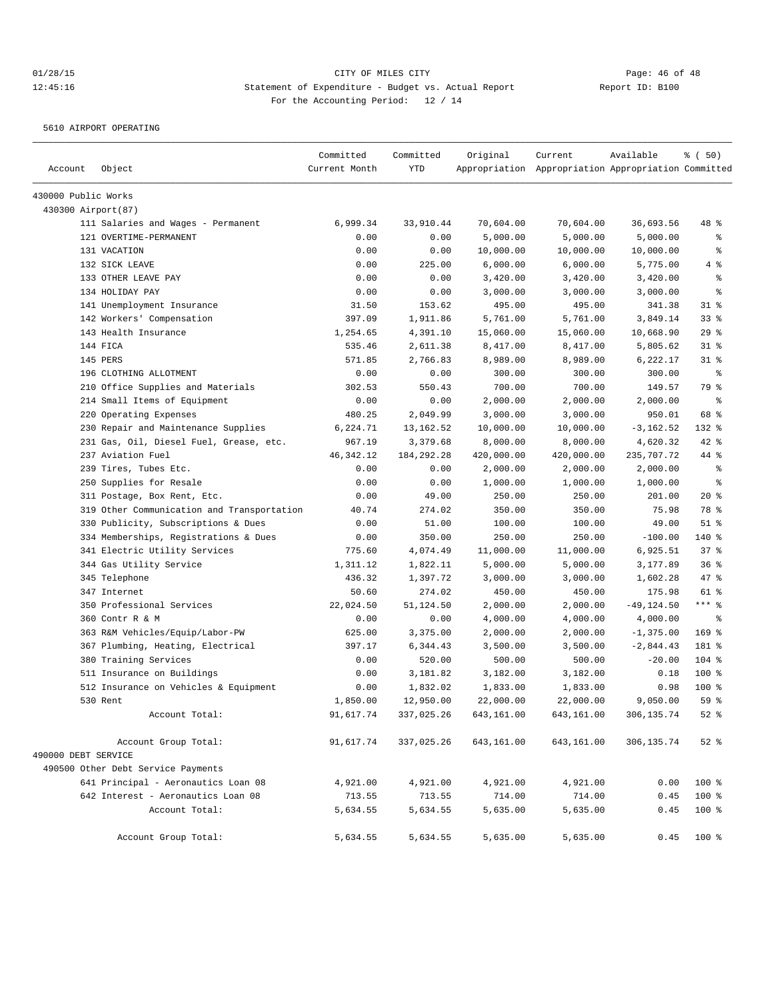5610 AIRPORT OPERATING

| Account             | Object                                     | Committed<br>Current Month | Committed<br><b>YTD</b> | Original   | Current<br>Appropriation Appropriation Appropriation Committed | Available     | % (50)       |
|---------------------|--------------------------------------------|----------------------------|-------------------------|------------|----------------------------------------------------------------|---------------|--------------|
|                     |                                            |                            |                         |            |                                                                |               |              |
| 430000 Public Works |                                            |                            |                         |            |                                                                |               |              |
| 430300 Airport(87)  |                                            |                            |                         |            |                                                                |               |              |
|                     | 111 Salaries and Wages - Permanent         | 6,999.34                   | 33,910.44               | 70,604.00  | 70,604.00                                                      | 36,693.56     | 48 %         |
|                     | 121 OVERTIME-PERMANENT                     | 0.00                       | 0.00                    | 5,000.00   | 5,000.00                                                       | 5,000.00      | နွ           |
|                     | 131 VACATION                               | 0.00                       | 0.00                    | 10,000.00  | 10,000.00                                                      | 10,000.00     | ి            |
|                     | 132 SICK LEAVE                             | 0.00                       | 225.00                  | 6,000.00   | 6,000.00                                                       | 5,775.00      | 4 %          |
|                     | 133 OTHER LEAVE PAY                        | 0.00                       | 0.00                    | 3,420.00   | 3,420.00                                                       | 3,420.00      | နွ           |
|                     | 134 HOLIDAY PAY                            | 0.00                       | 0.00                    | 3,000.00   | 3,000.00                                                       | 3,000.00      | ి            |
|                     | 141 Unemployment Insurance                 | 31.50                      | 153.62                  | 495.00     | 495.00                                                         | 341.38        | $31$ %       |
|                     | 142 Workers' Compensation                  | 397.09                     | 1,911.86                | 5,761.00   | 5,761.00                                                       | 3,849.14      | $33$ $%$     |
|                     | 143 Health Insurance                       | 1,254.65                   | 4,391.10                | 15,060.00  | 15,060.00                                                      | 10,668.90     | 29%          |
|                     | 144 FICA                                   | 535.46                     | 2,611.38                | 8,417.00   | 8,417.00                                                       | 5,805.62      | $31$ %       |
|                     | 145 PERS                                   | 571.85                     | 2,766.83                | 8,989.00   | 8,989.00                                                       | 6,222.17      | $31$ %       |
|                     | 196 CLOTHING ALLOTMENT                     | 0.00                       | 0.00                    | 300.00     | 300.00                                                         | 300.00        | နွ           |
|                     | 210 Office Supplies and Materials          | 302.53                     | 550.43                  | 700.00     | 700.00                                                         | 149.57        | 79 %         |
|                     | 214 Small Items of Equipment               | 0.00                       | 0.00                    | 2,000.00   | 2,000.00                                                       | 2,000.00      | နွ           |
|                     | 220 Operating Expenses                     | 480.25                     | 2,049.99                | 3,000.00   | 3,000.00                                                       | 950.01        | 68 %         |
|                     | 230 Repair and Maintenance Supplies        | 6,224.71                   | 13, 162.52              | 10,000.00  | 10,000.00                                                      | $-3, 162.52$  | 132 %        |
|                     | 231 Gas, Oil, Diesel Fuel, Grease, etc.    | 967.19                     | 3,379.68                | 8,000.00   | 8,000.00                                                       | 4,620.32      | $42$ %       |
|                     | 237 Aviation Fuel                          | 46, 342.12                 | 184, 292. 28            | 420,000.00 | 420,000.00                                                     | 235,707.72    | 44 %         |
|                     | 239 Tires, Tubes Etc.                      | 0.00                       | 0.00                    | 2,000.00   | 2,000.00                                                       | 2,000.00      | $\epsilon$   |
|                     | 250 Supplies for Resale                    | 0.00                       | 0.00                    | 1,000.00   | 1,000.00                                                       | 1,000.00      | နွ           |
|                     | 311 Postage, Box Rent, Etc.                | 0.00                       | 49.00                   | 250.00     | 250.00                                                         | 201.00        | $20*$        |
|                     | 319 Other Communication and Transportation | 40.74                      | 274.02                  | 350.00     | 350.00                                                         | 75.98         | 78 %         |
|                     | 330 Publicity, Subscriptions & Dues        | 0.00                       | 51.00                   | 100.00     | 100.00                                                         | 49.00         | $51$ %       |
|                     | 334 Memberships, Registrations & Dues      | 0.00                       | 350.00                  | 250.00     | 250.00                                                         | $-100.00$     | 140 %        |
|                     | 341 Electric Utility Services              | 775.60                     | 4,074.49                | 11,000.00  | 11,000.00                                                      | 6,925.51      | 37%          |
|                     | 344 Gas Utility Service                    | 1,311.12                   | 1,822.11                | 5,000.00   | 5,000.00                                                       | 3,177.89      | 36%          |
|                     | 345 Telephone                              | 436.32                     | 1,397.72                | 3,000.00   | 3,000.00                                                       | 1,602.28      | 47 %         |
|                     | 347 Internet                               | 50.60                      | 274.02                  | 450.00     | 450.00                                                         | 175.98        | $61$ %       |
|                     | 350 Professional Services                  | 22,024.50                  | 51,124.50               | 2,000.00   | 2,000.00                                                       | $-49, 124.50$ | $***$ $_{8}$ |
|                     | 360 Contr R & M                            | 0.00                       | 0.00                    | 4,000.00   | 4,000.00                                                       | 4,000.00      | နွ           |
|                     | 363 R&M Vehicles/Equip/Labor-PW            | 625.00                     | 3,375.00                | 2,000.00   | 2,000.00                                                       | $-1,375.00$   | $169$ %      |
|                     | 367 Plumbing, Heating, Electrical          | 397.17                     | 6,344.43                | 3,500.00   | 3,500.00                                                       | $-2,844.43$   | 181 %        |
|                     | 380 Training Services                      | 0.00                       | 520.00                  | 500.00     | 500.00                                                         | $-20.00$      | $104$ %      |
|                     | 511 Insurance on Buildings                 | 0.00                       | 3,181.82                | 3,182.00   | 3,182.00                                                       | 0.18          | 100 %        |
|                     | 512 Insurance on Vehicles & Equipment      | 0.00                       | 1,832.02                | 1,833.00   | 1,833.00                                                       | 0.98          | 100 %        |
|                     | 530 Rent                                   | 1,850.00                   | 12,950.00               | 22,000.00  | 22,000.00                                                      | 9,050.00      | 59 %         |
|                     | Account Total:                             | 91,617.74                  | 337,025.26              | 643,161.00 | 643,161.00                                                     | 306,135.74    | $52$ $%$     |
|                     | Account Group Total:                       | 91,617.74                  | 337,025.26              | 643,161.00 | 643,161.00                                                     | 306,135.74    | $52$ $%$     |
| 490000 DEBT SERVICE |                                            |                            |                         |            |                                                                |               |              |
|                     | 490500 Other Debt Service Payments         |                            |                         |            |                                                                |               |              |
|                     | 641 Principal - Aeronautics Loan 08        | 4,921.00                   | 4,921.00                | 4,921.00   | 4,921.00                                                       | 0.00          | 100 %        |
|                     | 642 Interest - Aeronautics Loan 08         | 713.55                     | 713.55                  | 714.00     | 714.00                                                         | 0.45          | 100 %        |
|                     | Account Total:                             | 5,634.55                   | 5,634.55                | 5,635.00   | 5,635.00                                                       | 0.45          | 100 %        |
|                     | Account Group Total:                       | 5,634.55                   | 5,634.55                | 5,635.00   | 5,635.00                                                       | 0.45          | 100 %        |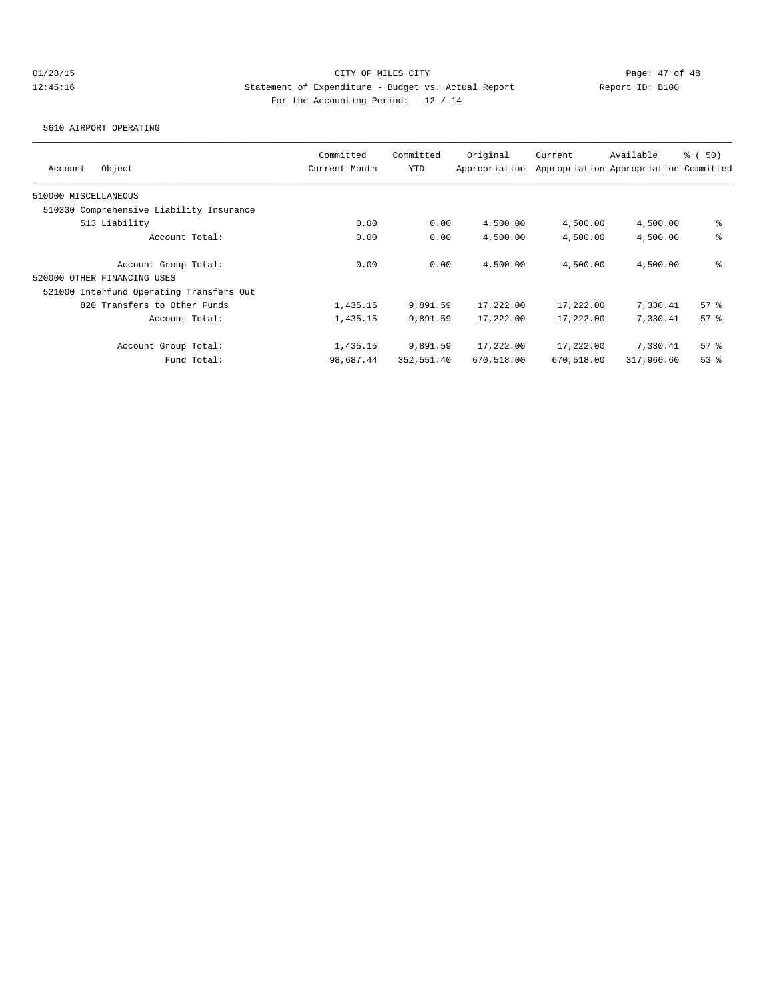5610 AIRPORT OPERATING

| Object<br>Account                        | Committed<br>Current Month | Committed<br>YTD | Original<br>Appropriation | Current    | Available<br>Appropriation Appropriation Committed | 8 ( 50) |
|------------------------------------------|----------------------------|------------------|---------------------------|------------|----------------------------------------------------|---------|
| 510000 MISCELLANEOUS                     |                            |                  |                           |            |                                                    |         |
| 510330 Comprehensive Liability Insurance |                            |                  |                           |            |                                                    |         |
| 513 Liability                            | 0.00                       | 0.00             | 4,500.00                  | 4,500.00   | 4,500.00                                           | နွ      |
| Account Total:                           | 0.00                       | 0.00             | 4,500.00                  | 4,500.00   | 4,500.00                                           | နွ      |
| Account Group Total:                     | 0.00                       | 0.00             | 4,500.00                  | 4,500.00   | 4,500.00                                           | နွ      |
| 520000 OTHER FINANCING USES              |                            |                  |                           |            |                                                    |         |
| 521000 Interfund Operating Transfers Out |                            |                  |                           |            |                                                    |         |
| 820 Transfers to Other Funds             | 1,435.15                   | 9,891.59         | 17,222.00                 | 17,222.00  | 7,330.41                                           | 57%     |
| Account Total:                           | 1,435.15                   | 9,891.59         | 17,222.00                 | 17,222.00  | 7,330.41                                           | 57%     |
| Account Group Total:                     | 1,435.15                   | 9,891.59         | 17,222.00                 | 17,222.00  | 7,330.41                                           | 57%     |
| Fund Total:                              | 98,687.44                  | 352,551.40       | 670,518.00                | 670,518.00 | 317,966.60                                         | 53%     |
|                                          |                            |                  |                           |            |                                                    |         |